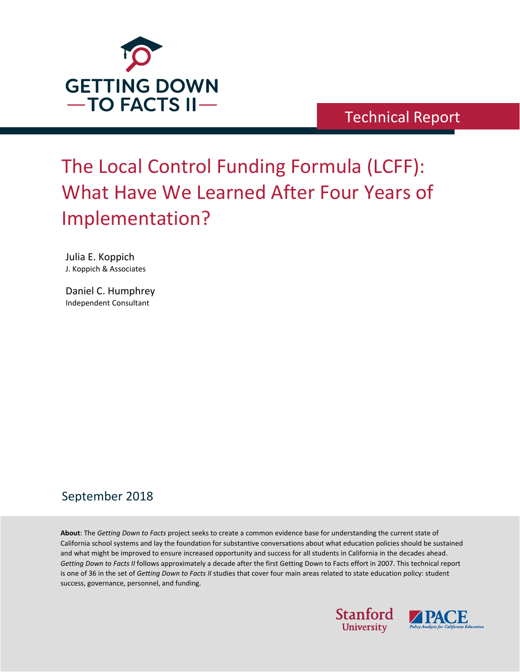

Technical Report

# The Local Control Funding Formula (LCFF): What Have We Learned After Four Years of Implementation?

Julia E. Koppich J. Koppich & Associates

Daniel C. Humphrey Independent Consultant

## September 2018

**About**: The *Getting Down to Facts* project seeks to create a common evidence base for understanding the current state of California school systems and lay the foundation for substantive conversations about what education policies should be sustained and what might be improved to ensure increased opportunity and success for all students in California in the decades ahead. *Getting Down to Facts II* follows approximately a decade after the first Getting Down to Facts effort in 2007. This technical report is one of 36 in the set of *Getting Down to Facts II* studies that cover four main areas related to state education policy: student success, governance, personnel, and funding.



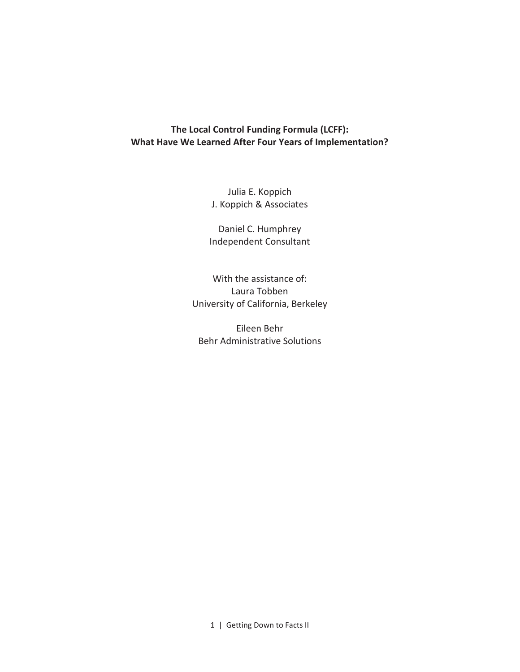## **The Local Control Funding Formula (LCFF): What Have We Learned After Four Years of Implementation?**

Julia E. Koppich J. Koppich & Associates

Daniel C. Humphrey Independent Consultant

With the assistance of: Laura Tobben University of California, Berkeley

Eileen Behr Behr Administrative Solutions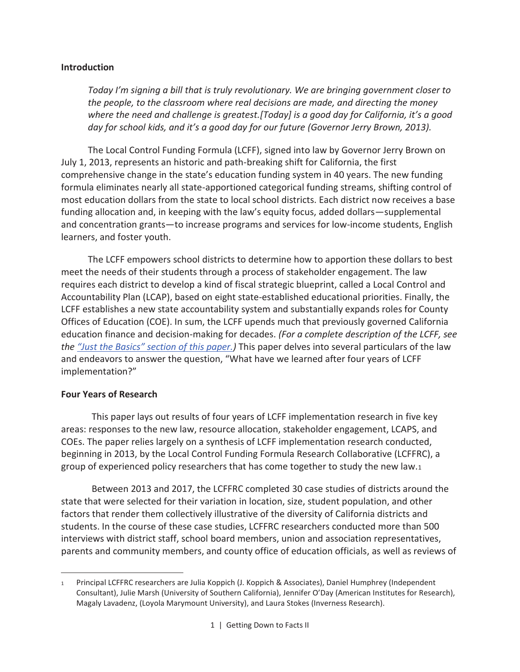#### **Introduction**

*Today I'm signing a bill that is truly revolutionary. We are bringing government closer to the people, to the classroom where real decisions are made, and directing the money where the need and challenge is greatest.[Today] is a good day for California, it's a good day for school kids, and it's a good day for our future (Governor Jerry Brown, 2013).* 

The Local Control Funding Formula (LCFF), signed into law by Governor Jerry Brown on July 1, 2013, represents an historic and path-breaking shift for California, the first comprehensive change in the state's education funding system in 40 years. The new funding formula eliminates nearly all state-apportioned categorical funding streams, shifting control of most education dollars from the state to local school districts. Each district now receives a base funding allocation and, in keeping with the law's equity focus, added dollars—supplemental and concentration grants—to increase programs and services for low-income students, English learners, and foster youth.

The LCFF empowers school districts to determine how to apportion these dollars to best meet the needs of their students through a process of stakeholder engagement. The law requires each district to develop a kind of fiscal strategic blueprint, called a Local Control and Accountability Plan (LCAP), based on eight state-established educational priorities. Finally, the LCFF establishes a new state accountability system and substantially expands roles for County Offices of Education (COE). In sum, the LCFF upends much that previously governed California education finance and decision-making for decades. *(For a complete description of the LCFF, see the "Just the Basics" section of this paper.)* This paper delves into several particulars of the law and endeavors to answer the question, "What have we learned after four years of LCFF implementation?"

#### **Four Years of Research**

 $\overline{a}$ 

This paper lays out results of four years of LCFF implementation research in five key areas: responses to the new law, resource allocation, stakeholder engagement, LCAPS, and COEs. The paper relies largely on a synthesis of LCFF implementation research conducted, beginning in 2013, by the Local Control Funding Formula Research Collaborative (LCFFRC), a group of experienced policy researchers that has come together to study the new law.<sup>1</sup>

Between 2013 and 2017, the LCFFRC completed 30 case studies of districts around the state that were selected for their variation in location, size, student population, and other factors that render them collectively illustrative of the diversity of California districts and students. In the course of these case studies, LCFFRC researchers conducted more than 500 interviews with district staff, school board members, union and association representatives, parents and community members, and county office of education officials, as well as reviews of

<sup>1</sup> Principal LCFFRC researchers are Julia Koppich (J. Koppich & Associates), Daniel Humphrey (Independent Consultant), Julie Marsh (University of Southern California), Jennifer O'Day (American Institutes for Research), Magaly Lavadenz, (Loyola Marymount University), and Laura Stokes (Inverness Research).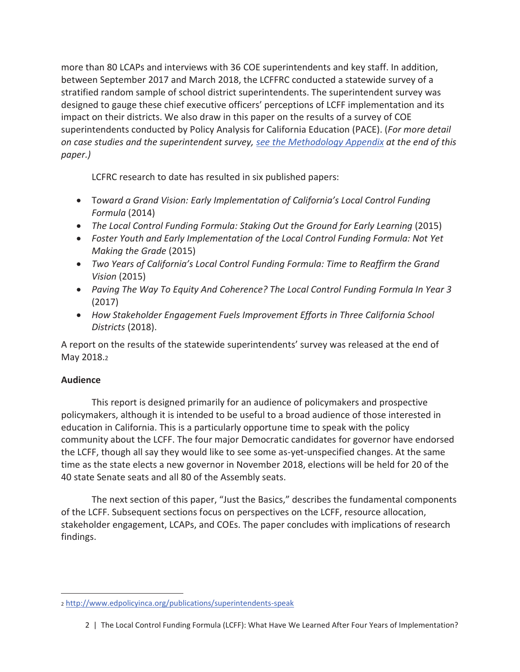more than 80 LCAPs and interviews with 36 COE superintendents and key staff. In addition, between September 2017 and March 2018, the LCFFRC conducted a statewide survey of a stratified random sample of school district superintendents. The superintendent survey was designed to gauge these chief executive officers' perceptions of LCFF implementation and its impact on their districts. We also draw in this paper on the results of a survey of COE superintendents conducted by Policy Analysis for California Education (PACE). (*For more detail on case studies and the superintendent survey, see the Methodology Appendix at the end of this paper.)*

LCFRC research to date has resulted in six published papers:

- · T*oward a Grand Vision: Early Implementation of California's Local Control Funding Formula* (2014)
- · *The Local Control Funding Formula: Staking Out the Ground for Early Learning* (2015)
- · *Foster Youth and Early Implementation of the Local Control Funding Formula: Not Yet Making the Grade* (2015)
- · *Two Years of California's Local Control Funding Formula: Time to Reaffirm the Grand Vision* (2015)
- · *Paving The Way To Equity And Coherence? The Local Control Funding Formula In Year 3* (2017)
- · *How Stakeholder Engagement Fuels Improvement Efforts in Three California School Districts* (2018).

A report on the results of the statewide superintendents' survey was released at the end of May 2018.<sup>2</sup>

## **Audience**

 $\overline{a}$ 

This report is designed primarily for an audience of policymakers and prospective policymakers, although it is intended to be useful to a broad audience of those interested in education in California. This is a particularly opportune time to speak with the policy community about the LCFF. The four major Democratic candidates for governor have endorsed the LCFF, though all say they would like to see some as-yet-unspecified changes. At the same time as the state elects a new governor in November 2018, elections will be held for 20 of the 40 state Senate seats and all 80 of the Assembly seats.

The next section of this paper, "Just the Basics," describes the fundamental components of the LCFF. Subsequent sections focus on perspectives on the LCFF, resource allocation, stakeholder engagement, LCAPs, and COEs. The paper concludes with implications of research findings.

<sup>2</sup> http://www.edpolicyinca.org/publications/superintendents-speak

<sup>2 |</sup> The Local Control Funding Formula (LCFF): What Have We Learned After Four Years of Implementation?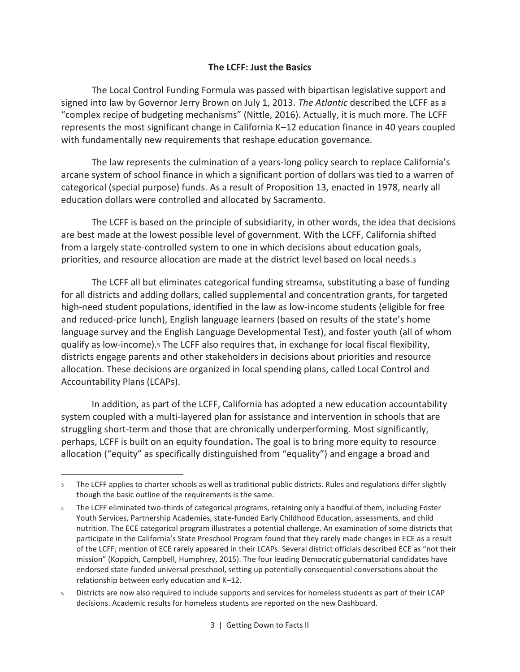#### **The LCFF: Just the Basics**

The Local Control Funding Formula was passed with bipartisan legislative support and signed into law by Governor Jerry Brown on July 1, 2013. *The Atlantic* described the LCFF as a "complex recipe of budgeting mechanisms" (Nittle, 2016). Actually, it is much more. The LCFF represents the most significant change in California K–12 education finance in 40 years coupled with fundamentally new requirements that reshape education governance.

The law represents the culmination of a years-long policy search to replace California's arcane system of school finance in which a significant portion of dollars was tied to a warren of categorical (special purpose) funds. As a result of Proposition 13, enacted in 1978, nearly all education dollars were controlled and allocated by Sacramento.

The LCFF is based on the principle of subsidiarity, in other words, the idea that decisions are best made at the lowest possible level of government. With the LCFF, California shifted from a largely state-controlled system to one in which decisions about education goals, priorities, and resource allocation are made at the district level based on local needs.<sup>3</sup>

The LCFF all but eliminates categorical funding streams4, substituting a base of funding for all districts and adding dollars, called supplemental and concentration grants, for targeted high-need student populations, identified in the law as low-income students (eligible for free and reduced-price lunch), English language learners (based on results of the state's home language survey and the English Language Developmental Test), and foster youth (all of whom qualify as low-income).5 The LCFF also requires that, in exchange for local fiscal flexibility, districts engage parents and other stakeholders in decisions about priorities and resource allocation. These decisions are organized in local spending plans, called Local Control and Accountability Plans (LCAPs).

In addition, as part of the LCFF, California has adopted a new education accountability system coupled with a multi-layered plan for assistance and intervention in schools that are struggling short-term and those that are chronically underperforming. Most significantly, perhaps, LCFF is built on an equity foundation**.** The goal is to bring more equity to resource allocation ("equity" as specifically distinguished from "equality") and engage a broad and

 $\overline{a}$ 

<sup>3</sup> The LCFF applies to charter schools as well as traditional public districts. Rules and regulations differ slightly though the basic outline of the requirements is the same.

<sup>4</sup> The LCFF eliminated two-thirds of categorical programs, retaining only a handful of them, including Foster Youth Services, Partnership Academies, state-funded Early Childhood Education, assessments, and child nutrition. The ECE categorical program illustrates a potential challenge. An examination of some districts that participate in the California's State Preschool Program found that they rarely made changes in ECE as a result of the LCFF; mention of ECE rarely appeared in their LCAPs. Several district officials described ECE as "not their mission" (Koppich, Campbell, Humphrey, 2015). The four leading Democratic gubernatorial candidates have endorsed state-funded universal preschool, setting up potentially consequential conversations about the relationship between early education and K–12.

<sup>5</sup> Districts are now also required to include supports and services for homeless students as part of their LCAP decisions. Academic results for homeless students are reported on the new Dashboard.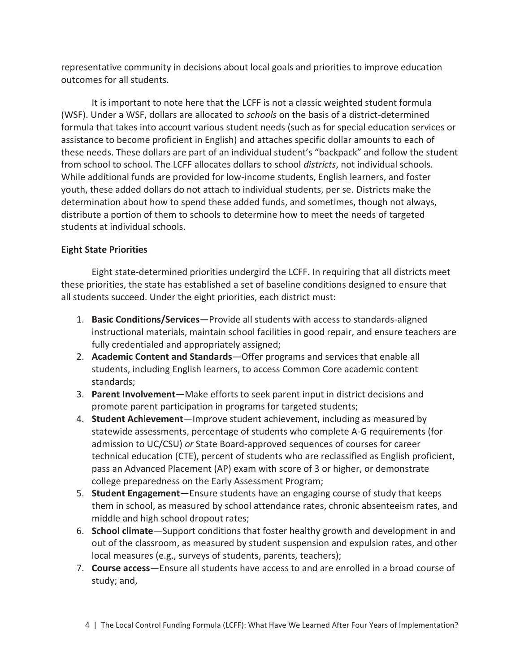representative community in decisions about local goals and priorities to improve education outcomes for all students.

It is important to note here that the LCFF is not a classic weighted student formula (WSF). Under a WSF, dollars are allocated to *schools* on the basis of a district-determined formula that takes into account various student needs (such as for special education services or assistance to become proficient in English) and attaches specific dollar amounts to each of these needs. These dollars are part of an individual student's "backpack" and follow the student from school to school. The LCFF allocates dollars to school *districts*, not individual schools. While additional funds are provided for low-income students, English learners, and foster youth, these added dollars do not attach to individual students, per se. Districts make the determination about how to spend these added funds, and sometimes, though not always, distribute a portion of them to schools to determine how to meet the needs of targeted students at individual schools.

## **Eight State Priorities**

Eight state-determined priorities undergird the LCFF. In requiring that all districts meet these priorities, the state has established a set of baseline conditions designed to ensure that all students succeed. Under the eight priorities, each district must:

- 1. **Basic Conditions/Services**—Provide all students with access to standards-aligned instructional materials, maintain school facilities in good repair, and ensure teachers are fully credentialed and appropriately assigned;
- 2. **Academic Content and Standards**—Offer programs and services that enable all students, including English learners, to access Common Core academic content standards;
- 3. **Parent Involvement**—Make efforts to seek parent input in district decisions and promote parent participation in programs for targeted students;
- 4. **Student Achievement**—Improve student achievement, including as measured by statewide assessments, percentage of students who complete A-G requirements (for admission to UC/CSU) *or* State Board-approved sequences of courses for career technical education (CTE), percent of students who are reclassified as English proficient, pass an Advanced Placement (AP) exam with score of 3 or higher, or demonstrate college preparedness on the Early Assessment Program;
- 5. **Student Engagement**—Ensure students have an engaging course of study that keeps them in school, as measured by school attendance rates, chronic absenteeism rates, and middle and high school dropout rates;
- 6. **School climate**—Support conditions that foster healthy growth and development in and out of the classroom, as measured by student suspension and expulsion rates, and other local measures (e.g., surveys of students, parents, teachers);
- 7. **Course access**—Ensure all students have access to and are enrolled in a broad course of study; and,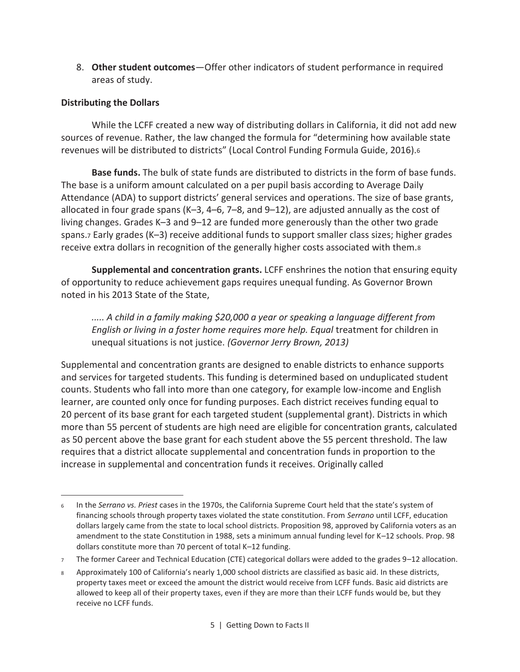8. **Other student outcomes**—Offer other indicators of student performance in required areas of study.

## **Distributing the Dollars**

 $\overline{a}$ 

While the LCFF created a new way of distributing dollars in California, it did not add new sources of revenue. Rather, the law changed the formula for "determining how available state revenues will be distributed to districts" (Local Control Funding Formula Guide, 2016).<sup>6</sup>

**Base funds.** The bulk of state funds are distributed to districts in the form of base funds. The base is a uniform amount calculated on a per pupil basis according to Average Daily Attendance (ADA) to support districts' general services and operations. The size of base grants, allocated in four grade spans (K–3, 4–6, 7–8, and 9–12), are adjusted annually as the cost of living changes. Grades K–3 and 9–12 are funded more generously than the other two grade spans.7 Early grades (K–3) receive additional funds to support smaller class sizes; higher grades receive extra dollars in recognition of the generally higher costs associated with them.<sup>8</sup>

**Supplemental and concentration grants.** LCFF enshrines the notion that ensuring equity of opportunity to reduce achievement gaps requires unequal funding. As Governor Brown noted in his 2013 State of the State,

*..... A child in a family making \$20,000 a year or speaking a language different from English or living in a foster home requires more help. Equal treatment for children in* unequal situations is not justice. *(Governor Jerry Brown, 2013)* 

Supplemental and concentration grants are designed to enable districts to enhance supports and services for targeted students. This funding is determined based on unduplicated student counts. Students who fall into more than one category, for example low-income and English learner, are counted only once for funding purposes. Each district receives funding equal to 20 percent of its base grant for each targeted student (supplemental grant). Districts in which more than 55 percent of students are high need are eligible for concentration grants, calculated as 50 percent above the base grant for each student above the 55 percent threshold. The law requires that a district allocate supplemental and concentration funds in proportion to the increase in supplemental and concentration funds it receives. Originally called

<sup>6</sup> In the *Serrano vs. Priest* cases in the 1970s, the California Supreme Court held that the state's system of financing schools through property taxes violated the state constitution. From *Serrano* until LCFF, education dollars largely came from the state to local school districts. Proposition 98, approved by California voters as an amendment to the state Constitution in 1988, sets a minimum annual funding level for K–12 schools. Prop. 98 dollars constitute more than 70 percent of total K–12 funding.

<sup>7</sup> The former Career and Technical Education (CTE) categorical dollars were added to the grades 9–12 allocation.

<sup>8</sup> Approximately 100 of California's nearly 1,000 school districts are classified as basic aid. In these districts, property taxes meet or exceed the amount the district would receive from LCFF funds. Basic aid districts are allowed to keep all of their property taxes, even if they are more than their LCFF funds would be, but they receive no LCFF funds.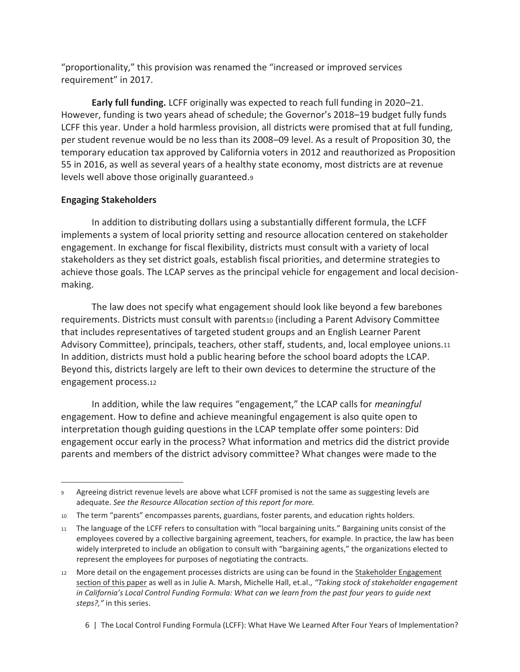"proportionality," this provision was renamed the "increased or improved services requirement" in 2017.

**Early full funding.** LCFF originally was expected to reach full funding in 2020–21. However, funding is two years ahead of schedule; the Governor's 2018–19 budget fully funds LCFF this year. Under a hold harmless provision, all districts were promised that at full funding, per student revenue would be no less than its 2008–09 level. As a result of Proposition 30, the temporary education tax approved by California voters in 2012 and reauthorized as Proposition 55 in 2016, as well as several years of a healthy state economy, most districts are at revenue levels well above those originally guaranteed.<sup>9</sup>

## **Engaging Stakeholders**

 $\overline{\phantom{0}}$ 

In addition to distributing dollars using a substantially different formula, the LCFF implements a system of local priority setting and resource allocation centered on stakeholder engagement. In exchange for fiscal flexibility, districts must consult with a variety of local stakeholders as they set district goals, establish fiscal priorities, and determine strategies to achieve those goals. The LCAP serves as the principal vehicle for engagement and local decisionmaking.

The law does not specify what engagement should look like beyond a few barebones requirements. Districts must consult with parents10 (including a Parent Advisory Committee that includes representatives of targeted student groups and an English Learner Parent Advisory Committee), principals, teachers, other staff, students, and, local employee unions.<sup>11</sup> In addition, districts must hold a public hearing before the school board adopts the LCAP. Beyond this, districts largely are left to their own devices to determine the structure of the engagement process.<sup>12</sup>

In addition, while the law requires "engagement," the LCAP calls for *meaningful* engagement. How to define and achieve meaningful engagement is also quite open to interpretation though guiding questions in the LCAP template offer some pointers: Did engagement occur early in the process? What information and metrics did the district provide parents and members of the district advisory committee? What changes were made to the

<sup>9</sup> Agreeing district revenue levels are above what LCFF promised is not the same as suggesting levels are adequate. *See the Resource Allocation section of this report for more.* 

<sup>10</sup> The term "parents" encompasses parents, guardians, foster parents, and education rights holders.

<sup>11</sup> The language of the LCFF refers to consultation with "local bargaining units." Bargaining units consist of the employees covered by a collective bargaining agreement, teachers, for example. In practice, the law has been widely interpreted to include an obligation to consult with "bargaining agents," the organizations elected to represent the employees for purposes of negotiating the contracts.

<sup>12</sup> More detail on the engagement processes districts are using can be found in the Stakeholder Engagement section of this paper as well as in Julie A. Marsh, Michelle Hall, et.al., *"Taking stock of stakeholder engagement in California's Local Control Funding Formula: What can we learn from the past four years to guide next steps?,"* in this series.

<sup>6 |</sup> The Local Control Funding Formula (LCFF): What Have We Learned After Four Years of Implementation?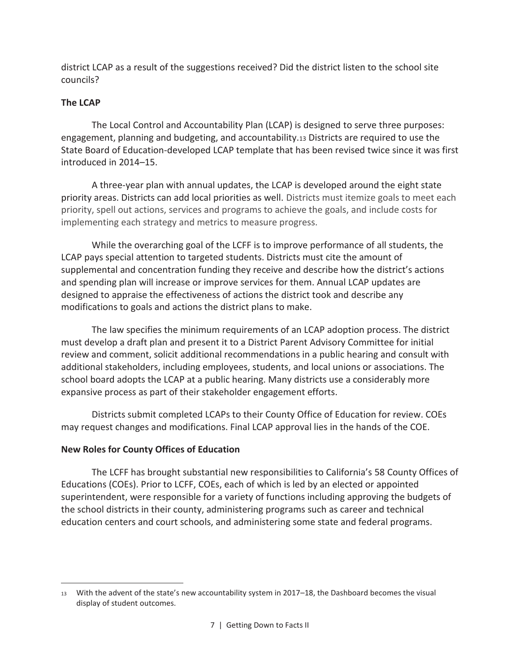district LCAP as a result of the suggestions received? Did the district listen to the school site councils?

## **The LCAP**

 $\overline{\phantom{0}}$ 

The Local Control and Accountability Plan (LCAP) is designed to serve three purposes: engagement, planning and budgeting, and accountability.13 Districts are required to use the State Board of Education-developed LCAP template that has been revised twice since it was first introduced in 2014–15.

A three-year plan with annual updates, the LCAP is developed around the eight state priority areas. Districts can add local priorities as well. Districts must itemize goals to meet each priority, spell out actions, services and programs to achieve the goals, and include costs for implementing each strategy and metrics to measure progress.

While the overarching goal of the LCFF is to improve performance of all students, the LCAP pays special attention to targeted students. Districts must cite the amount of supplemental and concentration funding they receive and describe how the district's actions and spending plan will increase or improve services for them. Annual LCAP updates are designed to appraise the effectiveness of actions the district took and describe any modifications to goals and actions the district plans to make.

The law specifies the minimum requirements of an LCAP adoption process. The district must develop a draft plan and present it to a District Parent Advisory Committee for initial review and comment, solicit additional recommendations in a public hearing and consult with additional stakeholders, including employees, students, and local unions or associations. The school board adopts the LCAP at a public hearing. Many districts use a considerably more expansive process as part of their stakeholder engagement efforts.

Districts submit completed LCAPs to their County Office of Education for review. COEs may request changes and modifications. Final LCAP approval lies in the hands of the COE.

## **New Roles for County Offices of Education**

The LCFF has brought substantial new responsibilities to California's 58 County Offices of Educations (COEs). Prior to LCFF, COEs, each of which is led by an elected or appointed superintendent, were responsible for a variety of functions including approving the budgets of the school districts in their county, administering programs such as career and technical education centers and court schools, and administering some state and federal programs.

<sup>13</sup> With the advent of the state's new accountability system in 2017–18, the Dashboard becomes the visual display of student outcomes.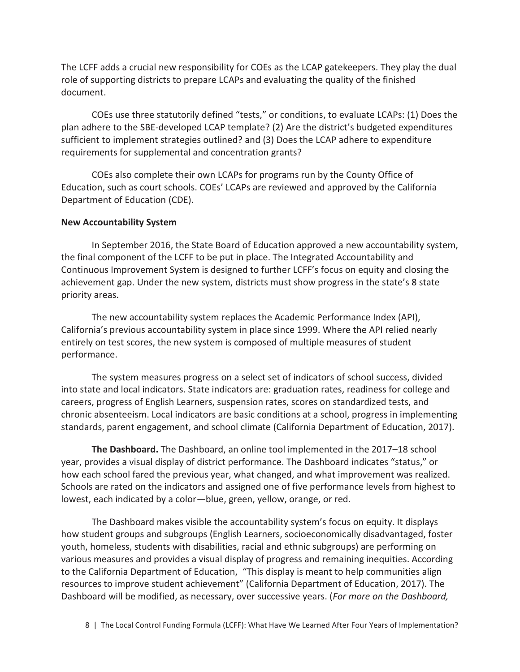The LCFF adds a crucial new responsibility for COEs as the LCAP gatekeepers. They play the dual role of supporting districts to prepare LCAPs and evaluating the quality of the finished document.

COEs use three statutorily defined "tests," or conditions, to evaluate LCAPs: (1) Does the plan adhere to the SBE-developed LCAP template? (2) Are the district's budgeted expenditures sufficient to implement strategies outlined? and (3) Does the LCAP adhere to expenditure requirements for supplemental and concentration grants?

COEs also complete their own LCAPs for programs run by the County Office of Education, such as court schools. COEs' LCAPs are reviewed and approved by the California Department of Education (CDE).

## **New Accountability System**

In September 2016, the State Board of Education approved a new accountability system, the final component of the LCFF to be put in place. The Integrated Accountability and Continuous Improvement System is designed to further LCFF's focus on equity and closing the achievement gap. Under the new system, districts must show progress in the state's 8 state priority areas.

The new accountability system replaces the Academic Performance Index (API), California's previous accountability system in place since 1999. Where the API relied nearly entirely on test scores, the new system is composed of multiple measures of student performance.

The system measures progress on a select set of indicators of school success, divided into state and local indicators. State indicators are: graduation rates, readiness for college and careers, progress of English Learners, suspension rates, scores on standardized tests, and chronic absenteeism. Local indicators are basic conditions at a school, progress in implementing standards, parent engagement, and school climate (California Department of Education, 2017).

**The Dashboard.** The Dashboard, an online tool implemented in the 2017–18 school year, provides a visual display of district performance. The Dashboard indicates "status," or how each school fared the previous year, what changed, and what improvement was realized. Schools are rated on the indicators and assigned one of five performance levels from highest to lowest, each indicated by a color—blue, green, yellow, orange, or red.

The Dashboard makes visible the accountability system's focus on equity. It displays how student groups and subgroups (English Learners, socioeconomically disadvantaged, foster youth, homeless, students with disabilities, racial and ethnic subgroups) are performing on various measures and provides a visual display of progress and remaining inequities. According to the California Department of Education, "This display is meant to help communities align resources to improve student achievement" (California Department of Education, 2017). The Dashboard will be modified, as necessary, over successive years. (*For more on the Dashboard,*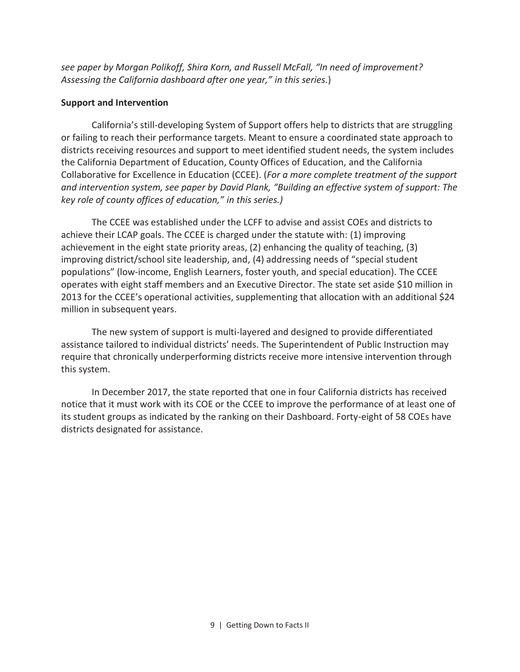*see paper by Morgan Polikoff, Shira Korn, and Russell McFall, "In need of improvement? Assessing the California dashboard after one year," in this series.*)

## **Support and Intervention**

California's still-developing System of Support offers help to districts that are struggling or failing to reach their performance targets. Meant to ensure a coordinated state approach to districts receiving resources and support to meet identified student needs, the system includes the California Department of Education, County Offices of Education, and the California Collaborative for Excellence in Education (CCEE). (*For a more complete treatment of the support and intervention system, see paper by David Plank, "Building an effective system of support: The key role of county offices of education," in this series.)*

The CCEE was established under the LCFF to advise and assist COEs and districts to achieve their LCAP goals. The CCEE is charged under the statute with: (1) improving achievement in the eight state priority areas, (2) enhancing the quality of teaching, (3) improving district/school site leadership, and, (4) addressing needs of "special student populations" (low-income, English Learners, foster youth, and special education). The CCEE operates with eight staff members and an Executive Director. The state set aside \$10 million in 2013 for the CCEE's operational activities, supplementing that allocation with an additional \$24 million in subsequent years.

The new system of support is multi-layered and designed to provide differentiated assistance tailored to individual districts' needs. The Superintendent of Public Instruction may require that chronically underperforming districts receive more intensive intervention through this system.

In December 2017, the state reported that one in four California districts has received notice that it must work with its COE or the CCEE to improve the performance of at least one of its student groups as indicated by the ranking on their Dashboard. Forty-eight of 58 COEs have districts designated for assistance.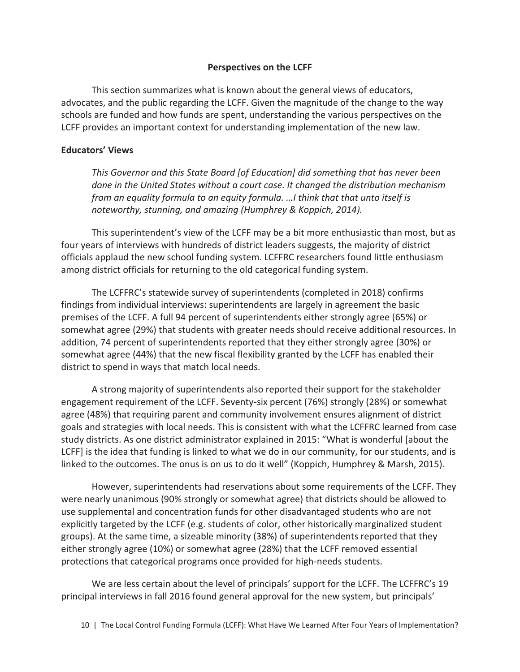#### **Perspectives on the LCFF**

This section summarizes what is known about the general views of educators, advocates, and the public regarding the LCFF. Given the magnitude of the change to the way schools are funded and how funds are spent, understanding the various perspectives on the LCFF provides an important context for understanding implementation of the new law.

#### **Educators' Views**

*This Governor and this State Board [of Education] did something that has never been done in the United States without a court case. It changed the distribution mechanism from an equality formula to an equity formula. …I think that that unto itself is noteworthy, stunning, and amazing (Humphrey & Koppich, 2014).* 

This superintendent's view of the LCFF may be a bit more enthusiastic than most, but as four years of interviews with hundreds of district leaders suggests, the majority of district officials applaud the new school funding system. LCFFRC researchers found little enthusiasm among district officials for returning to the old categorical funding system.

The LCFFRC's statewide survey of superintendents (completed in 2018) confirms findings from individual interviews: superintendents are largely in agreement the basic premises of the LCFF. A full 94 percent of superintendents either strongly agree (65%) or somewhat agree (29%) that students with greater needs should receive additional resources. In addition, 74 percent of superintendents reported that they either strongly agree (30%) or somewhat agree (44%) that the new fiscal flexibility granted by the LCFF has enabled their district to spend in ways that match local needs.

A strong majority of superintendents also reported their support for the stakeholder engagement requirement of the LCFF. Seventy-six percent (76%) strongly (28%) or somewhat agree (48%) that requiring parent and community involvement ensures alignment of district goals and strategies with local needs. This is consistent with what the LCFFRC learned from case study districts. As one district administrator explained in 2015: "What is wonderful [about the LCFF] is the idea that funding is linked to what we do in our community, for our students, and is linked to the outcomes. The onus is on us to do it well" (Koppich, Humphrey & Marsh, 2015).

However, superintendents had reservations about some requirements of the LCFF. They were nearly unanimous (90% strongly or somewhat agree) that districts should be allowed to use supplemental and concentration funds for other disadvantaged students who are not explicitly targeted by the LCFF (e.g. students of color, other historically marginalized student groups). At the same time, a sizeable minority (38%) of superintendents reported that they either strongly agree (10%) or somewhat agree (28%) that the LCFF removed essential protections that categorical programs once provided for high-needs students.

We are less certain about the level of principals' support for the LCFF. The LCFFRC's 19 principal interviews in fall 2016 found general approval for the new system, but principals'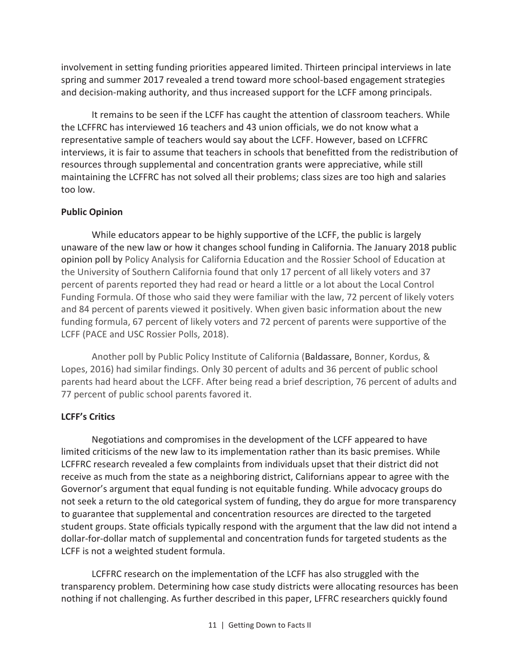involvement in setting funding priorities appeared limited. Thirteen principal interviews in late spring and summer 2017 revealed a trend toward more school-based engagement strategies and decision-making authority, and thus increased support for the LCFF among principals.

It remains to be seen if the LCFF has caught the attention of classroom teachers. While the LCFFRC has interviewed 16 teachers and 43 union officials, we do not know what a representative sample of teachers would say about the LCFF. However, based on LCFFRC interviews, it is fair to assume that teachers in schools that benefitted from the redistribution of resources through supplemental and concentration grants were appreciative, while still maintaining the LCFFRC has not solved all their problems; class sizes are too high and salaries too low.

## **Public Opinion**

While educators appear to be highly supportive of the LCFF, the public is largely unaware of the new law or how it changes school funding in California. The January 2018 public opinion poll by Policy Analysis for California Education and the Rossier School of Education at the University of Southern California found that only 17 percent of all likely voters and 37 percent of parents reported they had read or heard a little or a lot about the Local Control Funding Formula. Of those who said they were familiar with the law, 72 percent of likely voters and 84 percent of parents viewed it positively. When given basic information about the new funding formula, 67 percent of likely voters and 72 percent of parents were supportive of the LCFF (PACE and USC Rossier Polls, 2018).

Another poll by Public Policy Institute of California (Baldassare, Bonner, Kordus, & Lopes, 2016) had similar findings. Only 30 percent of adults and 36 percent of public school parents had heard about the LCFF. After being read a brief description, 76 percent of adults and 77 percent of public school parents favored it.

## **LCFF's Critics**

Negotiations and compromises in the development of the LCFF appeared to have limited criticisms of the new law to its implementation rather than its basic premises. While LCFFRC research revealed a few complaints from individuals upset that their district did not receive as much from the state as a neighboring district, Californians appear to agree with the Governor's argument that equal funding is not equitable funding. While advocacy groups do not seek a return to the old categorical system of funding, they do argue for more transparency to guarantee that supplemental and concentration resources are directed to the targeted student groups. State officials typically respond with the argument that the law did not intend a dollar-for-dollar match of supplemental and concentration funds for targeted students as the LCFF is not a weighted student formula.

LCFFRC research on the implementation of the LCFF has also struggled with the transparency problem. Determining how case study districts were allocating resources has been nothing if not challenging. As further described in this paper, LFFRC researchers quickly found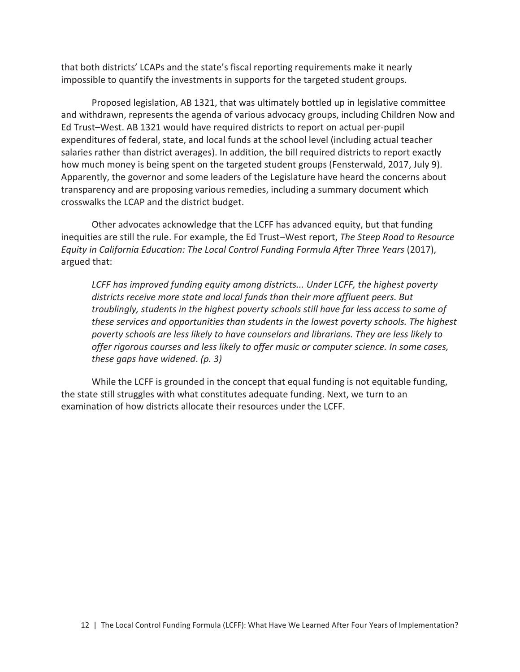that both districts' LCAPs and the state's fiscal reporting requirements make it nearly impossible to quantify the investments in supports for the targeted student groups.

Proposed legislation, AB 1321, that was ultimately bottled up in legislative committee and withdrawn, represents the agenda of various advocacy groups, including Children Now and Ed Trust–West. AB 1321 would have required districts to report on actual per-pupil expenditures of federal, state, and local funds at the school level (including actual teacher salaries rather than district averages). In addition, the bill required districts to report exactly how much money is being spent on the targeted student groups (Fensterwald, 2017, July 9). Apparently, the governor and some leaders of the Legislature have heard the concerns about transparency and are proposing various remedies, including a summary document which crosswalks the LCAP and the district budget.

Other advocates acknowledge that the LCFF has advanced equity, but that funding inequities are still the rule. For example, the Ed Trust–West report, *The Steep Road to Resource Equity in California Education: The Local Control Funding Formula After Three Years* (2017), argued that:

*LCFF has improved funding equity among districts... Under LCFF, the highest poverty districts receive more state and local funds than their more affluent peers. But troublingly, students in the highest poverty schools still have far less access to some of these services and opportunities than students in the lowest poverty schools. The highest poverty schools are less likely to have counselors and librarians. They are less likely to offer rigorous courses and less likely to offer music or computer science. In some cases, these gaps have widened*. *(p. 3)* 

While the LCFF is grounded in the concept that equal funding is not equitable funding, the state still struggles with what constitutes adequate funding. Next, we turn to an examination of how districts allocate their resources under the LCFF.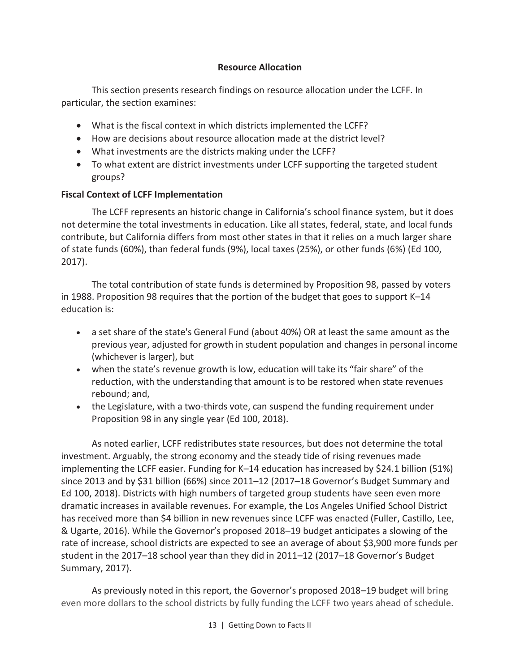## **Resource Allocation**

This section presents research findings on resource allocation under the LCFF. In particular, the section examines:

- · What is the fiscal context in which districts implemented the LCFF?
- · How are decisions about resource allocation made at the district level?
- · What investments are the districts making under the LCFF?
- · To what extent are district investments under LCFF supporting the targeted student groups?

## **Fiscal Context of LCFF Implementation**

The LCFF represents an historic change in California's school finance system, but it does not determine the total investments in education. Like all states, federal, state, and local funds contribute, but California differs from most other states in that it relies on a much larger share of state funds (60%), than federal funds (9%), local taxes (25%), or other funds (6%) (Ed 100, 2017).

The total contribution of state funds is determined by Proposition 98, passed by voters in 1988. Proposition 98 requires that the portion of the budget that goes to support K–14 education is:

- · a set share of the state's General Fund (about 40%) OR at least the same amount as the previous year, adjusted for growth in student population and changes in personal income (whichever is larger), but
- · when the state's revenue growth is low, education will take its "fair share" of the reduction, with the understanding that amount is to be restored when state revenues rebound; and,
- · the Legislature, with a two-thirds vote, can suspend the funding requirement under Proposition 98 in any single year (Ed 100, 2018).

As noted earlier, LCFF redistributes state resources, but does not determine the total investment. Arguably, the strong economy and the steady tide of rising revenues made implementing the LCFF easier. Funding for K–14 education has increased by \$24.1 billion (51%) since 2013 and by \$31 billion (66%) since 2011–12 (2017–18 Governor's Budget Summary and Ed 100, 2018). Districts with high numbers of targeted group students have seen even more dramatic increases in available revenues. For example, the Los Angeles Unified School District has received more than \$4 billion in new revenues since LCFF was enacted (Fuller, Castillo, Lee, & Ugarte, 2016). While the Governor's proposed 2018–19 budget anticipates a slowing of the rate of increase, school districts are expected to see an average of about \$3,900 more funds per student in the 2017–18 school year than they did in 2011–12 (2017–18 Governor's Budget Summary, 2017).

As previously noted in this report, the Governor's proposed 2018–19 budget will bring even more dollars to the school districts by fully funding the LCFF two years ahead of schedule.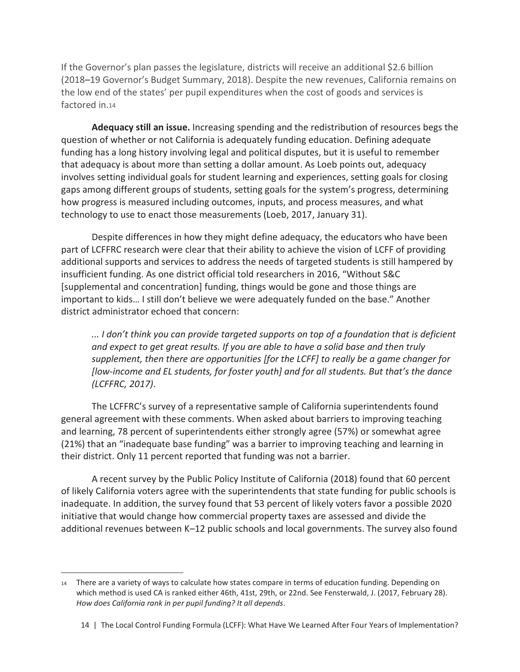If the Governor's plan passes the legislature, districts will receive an additional \$2.6 billion (2018–19 Governor's Budget Summary, 2018). Despite the new revenues, California remains on the low end of the states' per pupil expenditures when the cost of goods and services is factored in.<sup>14</sup>

**Adequacy still an issue.** Increasing spending and the redistribution of resources begs the question of whether or not California is adequately funding education. Defining adequate funding has a long history involving legal and political disputes, but it is useful to remember that adequacy is about more than setting a dollar amount. As Loeb points out, adequacy involves setting individual goals for student learning and experiences, setting goals for closing gaps among different groups of students, setting goals for the system's progress, determining how progress is measured including outcomes, inputs, and process measures, and what technology to use to enact those measurements (Loeb, 2017, January 31).

Despite differences in how they might define adequacy, the educators who have been part of LCFFRC research were clear that their ability to achieve the vision of LCFF of providing additional supports and services to address the needs of targeted students is still hampered by insufficient funding. As one district official told researchers in 2016, "Without S&C [supplemental and concentration] funding, things would be gone and those things are important to kids… I still don't believe we were adequately funded on the base." Another district administrator echoed that concern:

*... I don't think you can provide targeted supports on top of a foundation that is deficient and expect to get great results. If you are able to have a solid base and then truly supplement, then there are opportunities [for the LCFF] to really be a game changer for [low-income and EL students, for foster youth] and for all students. But that's the dance (LCFFRC, 2017)*.

The LCFFRC's survey of a representative sample of California superintendents found general agreement with these comments. When asked about barriers to improving teaching and learning, 78 percent of superintendents either strongly agree (57%) or somewhat agree (21%) that an "inadequate base funding" was a barrier to improving teaching and learning in their district. Only 11 percent reported that funding was not a barrier.

A recent survey by the Public Policy Institute of California (2018) found that 60 percent of likely California voters agree with the superintendents that state funding for public schools is inadequate. In addition, the survey found that 53 percent of likely voters favor a possible 2020 initiative that would change how commercial property taxes are assessed and divide the additional revenues between K–12 public schools and local governments. The survey also found

 $\overline{\phantom{0}}$ 

<sup>14</sup> There are a variety of ways to calculate how states compare in terms of education funding. Depending on which method is used CA is ranked either 46th, 41st, 29th, or 22nd. See Fensterwald, J. (2017, February 28). *How does California rank in per pupil funding? It all depends*.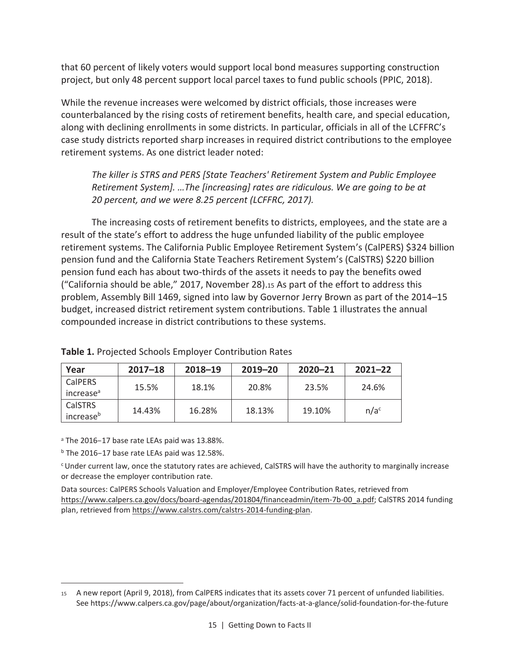that 60 percent of likely voters would support local bond measures supporting construction project, but only 48 percent support local parcel taxes to fund public schools (PPIC, 2018).

While the revenue increases were welcomed by district officials, those increases were counterbalanced by the rising costs of retirement benefits, health care, and special education, along with declining enrollments in some districts. In particular, officials in all of the LCFFRC's case study districts reported sharp increases in required district contributions to the employee retirement systems. As one district leader noted:

*The killer is STRS and PERS [State Teachers' Retirement System and Public Employee Retirement System]. …The [increasing] rates are ridiculous. We are going to be at 20 percent, and we were 8.25 percent (LCFFRC, 2017).*

The increasing costs of retirement benefits to districts, employees, and the state are a result of the state's effort to address the huge unfunded liability of the public employee retirement systems. The California Public Employee Retirement System's (CalPERS) \$324 billion pension fund and the California State Teachers Retirement System's (CalSTRS) \$220 billion pension fund each has about two-thirds of the assets it needs to pay the benefits owed ("California should be able," 2017, November 28).15 As part of the effort to address this problem, Assembly Bill 1469, signed into law by Governor Jerry Brown as part of the 2014–15 budget, increased district retirement system contributions. Table 1 illustrates the annual compounded increase in district contributions to these systems.

| Year                  | $2017 - 18$ | 2018-19 | $2019 - 20$ | $2020 - 21$ | $2021 - 22$      |
|-----------------------|-------------|---------|-------------|-------------|------------------|
| <b>CalPERS</b>        | 15.5%       | 18.1%   | 20.8%       | 23.5%       | 24.6%            |
| increase <sup>a</sup> |             |         |             |             |                  |
| <b>CalSTRS</b>        | 14.43%      | 16.28%  | 18.13%      | 19.10%      | n/a <sup>c</sup> |
| increase <sup>b</sup> |             |         |             |             |                  |

## **Table 1.** Projected Schools Employer Contribution Rates

<sup>a</sup> The 2016–17 base rate LEAs paid was 13.88%.

 $<sup>b</sup>$  The 2016–17 base rate LEAs paid was 12.58%.</sup>

 $\overline{\phantom{0}}$ 

<sup>c</sup>Under current law, once the statutory rates are achieved, CalSTRS will have the authority to marginally increase or decrease the employer contribution rate.

Data sources: CalPERS Schools Valuation and Employer/Employee Contribution Rates, retrieved from https://www.calpers.ca.gov/docs/board-agendas/201804/financeadmin/item-7b-00\_a.pdf; CalSTRS 2014 funding plan, retrieved from https://www.calstrs.com/calstrs-2014-funding-plan.

<sup>15</sup> A new report (April 9, 2018), from CalPERS indicates that its assets cover 71 percent of unfunded liabilities. See https://www.calpers.ca.gov/page/about/organization/facts-at-a-glance/solid-foundation-for-the-future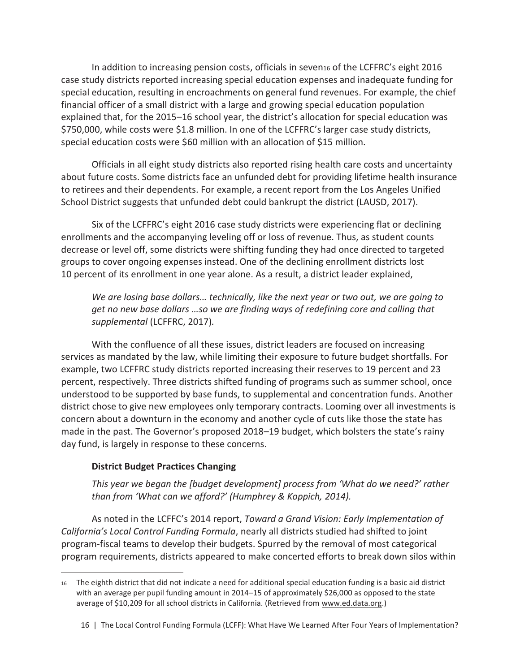In addition to increasing pension costs, officials in seven<sub>16</sub> of the LCFFRC's eight 2016 case study districts reported increasing special education expenses and inadequate funding for special education, resulting in encroachments on general fund revenues. For example, the chief financial officer of a small district with a large and growing special education population explained that, for the 2015–16 school year, the district's allocation for special education was \$750,000, while costs were \$1.8 million. In one of the LCFFRC's larger case study districts, special education costs were \$60 million with an allocation of \$15 million.

Officials in all eight study districts also reported rising health care costs and uncertainty about future costs. Some districts face an unfunded debt for providing lifetime health insurance to retirees and their dependents. For example, a recent report from the Los Angeles Unified School District suggests that unfunded debt could bankrupt the district (LAUSD, 2017).

Six of the LCFFRC's eight 2016 case study districts were experiencing flat or declining enrollments and the accompanying leveling off or loss of revenue. Thus, as student counts decrease or level off, some districts were shifting funding they had once directed to targeted groups to cover ongoing expenses instead. One of the declining enrollment districts lost 10 percent of its enrollment in one year alone. As a result, a district leader explained,

*We are losing base dollars… technically, like the next year or two out, we are going to get no new base dollars …so we are finding ways of redefining core and calling that supplemental* (LCFFRC, 2017)*.* 

With the confluence of all these issues, district leaders are focused on increasing services as mandated by the law, while limiting their exposure to future budget shortfalls. For example, two LCFFRC study districts reported increasing their reserves to 19 percent and 23 percent, respectively. Three districts shifted funding of programs such as summer school, once understood to be supported by base funds, to supplemental and concentration funds. Another district chose to give new employees only temporary contracts. Looming over all investments is concern about a downturn in the economy and another cycle of cuts like those the state has made in the past. The Governor's proposed 2018–19 budget, which bolsters the state's rainy day fund, is largely in response to these concerns.

## **District Budget Practices Changing**

 $\overline{\phantom{0}}$ 

*This year we began the [budget development] process from 'What do we need?' rather than from 'What can we afford?' (Humphrey & Koppich, 2014).* 

As noted in the LCFFC's 2014 report, *Toward a Grand Vision: Early Implementation of California's Local Control Funding Formula*, nearly all districts studied had shifted to joint program-fiscal teams to develop their budgets. Spurred by the removal of most categorical program requirements, districts appeared to make concerted efforts to break down silos within

<sup>16</sup> The eighth district that did not indicate a need for additional special education funding is a basic aid district with an average per pupil funding amount in 2014–15 of approximately \$26,000 as opposed to the state average of \$10,209 for all school districts in California. (Retrieved from www.ed.data.org.)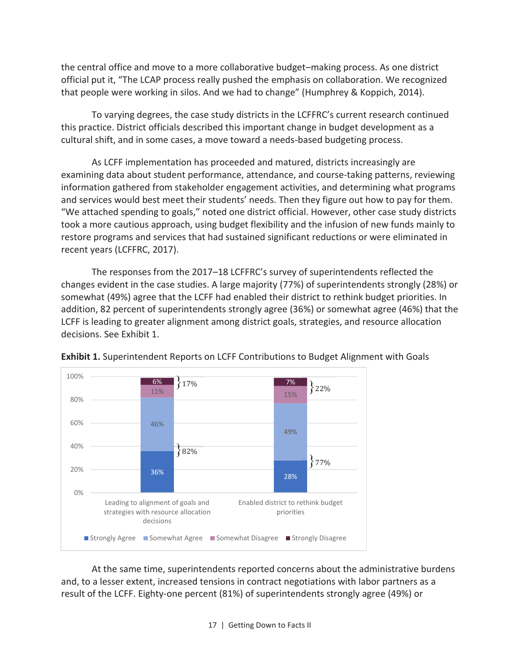the central office and move to a more collaborative budget–making process. As one district official put it, "The LCAP process really pushed the emphasis on collaboration. We recognized that people were working in silos. And we had to change" (Humphrey & Koppich, 2014).

To varying degrees, the case study districts in the LCFFRC's current research continued this practice. District officials described this important change in budget development as a cultural shift, and in some cases, a move toward a needs-based budgeting process.

As LCFF implementation has proceeded and matured, districts increasingly are examining data about student performance, attendance, and course-taking patterns, reviewing information gathered from stakeholder engagement activities, and determining what programs and services would best meet their students' needs. Then they figure out how to pay for them. "We attached spending to goals," noted one district official. However, other case study districts took a more cautious approach, using budget flexibility and the infusion of new funds mainly to restore programs and services that had sustained significant reductions or were eliminated in recent years (LCFFRC, 2017).

The responses from the 2017–18 LCFFRC's survey of superintendents reflected the changes evident in the case studies. A large majority (77%) of superintendents strongly (28%) or somewhat (49%) agree that the LCFF had enabled their district to rethink budget priorities. In addition, 82 percent of superintendents strongly agree (36%) or somewhat agree (46%) that the LCFF is leading to greater alignment among district goals, strategies, and resource allocation decisions. See Exhibit 1.



**Exhibit 1.** Superintendent Reports on LCFF Contributions to Budget Alignment with Goals

At the same time, superintendents reported concerns about the administrative burdens and, to a lesser extent, increased tensions in contract negotiations with labor partners as a result of the LCFF. Eighty-one percent (81%) of superintendents strongly agree (49%) or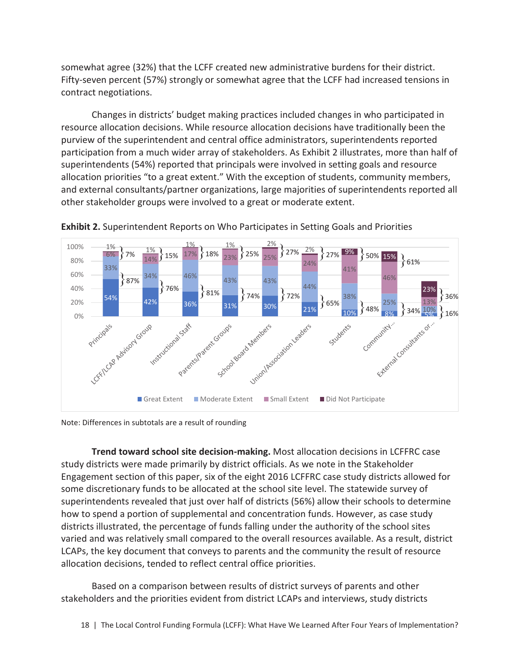somewhat agree (32%) that the LCFF created new administrative burdens for their district. Fifty-seven percent (57%) strongly or somewhat agree that the LCFF had increased tensions in contract negotiations.

Changes in districts' budget making practices included changes in who participated in resource allocation decisions. While resource allocation decisions have traditionally been the purview of the superintendent and central office administrators, superintendents reported participation from a much wider array of stakeholders. As Exhibit 2 illustrates, more than half of superintendents (54%) reported that principals were involved in setting goals and resource allocation priorities "to a great extent." With the exception of students, community members, and external consultants/partner organizations, large majorities of superintendents reported all other stakeholder groups were involved to a great or moderate extent.



**Exhibit 2.** Superintendent Reports on Who Participates in Setting Goals and Priorities

Note: Differences in subtotals are a result of rounding

**Trend toward school site decision-making.** Most allocation decisions in LCFFRC case study districts were made primarily by district officials. As we note in the Stakeholder Engagement section of this paper, six of the eight 2016 LCFFRC case study districts allowed for some discretionary funds to be allocated at the school site level. The statewide survey of superintendents revealed that just over half of districts (56%) allow their schools to determine how to spend a portion of supplemental and concentration funds. However, as case study districts illustrated, the percentage of funds falling under the authority of the school sites varied and was relatively small compared to the overall resources available. As a result, district LCAPs, the key document that conveys to parents and the community the result of resource allocation decisions, tended to reflect central office priorities.

Based on a comparison between results of district surveys of parents and other stakeholders and the priorities evident from district LCAPs and interviews, study districts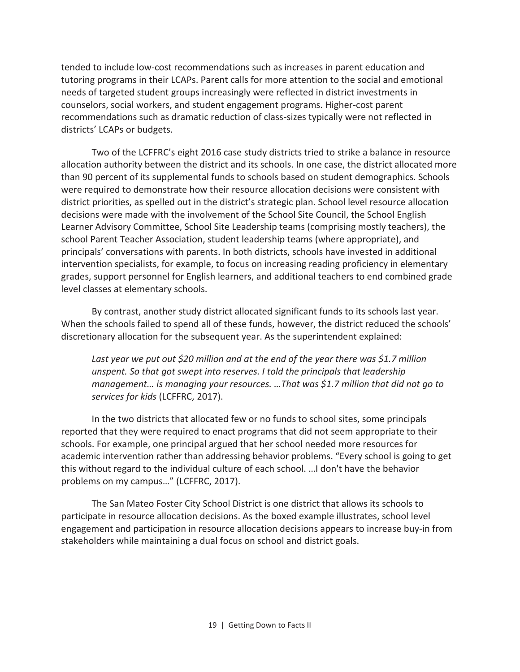tended to include low-cost recommendations such as increases in parent education and tutoring programs in their LCAPs. Parent calls for more attention to the social and emotional needs of targeted student groups increasingly were reflected in district investments in counselors, social workers, and student engagement programs. Higher-cost parent recommendations such as dramatic reduction of class-sizes typically were not reflected in districts' LCAPs or budgets.

Two of the LCFFRC's eight 2016 case study districts tried to strike a balance in resource allocation authority between the district and its schools. In one case, the district allocated more than 90 percent of its supplemental funds to schools based on student demographics. Schools were required to demonstrate how their resource allocation decisions were consistent with district priorities, as spelled out in the district's strategic plan. School level resource allocation decisions were made with the involvement of the School Site Council, the School English Learner Advisory Committee, School Site Leadership teams (comprising mostly teachers), the school Parent Teacher Association, student leadership teams (where appropriate), and principals' conversations with parents. In both districts, schools have invested in additional intervention specialists, for example, to focus on increasing reading proficiency in elementary grades, support personnel for English learners, and additional teachers to end combined grade level classes at elementary schools.

By contrast, another study district allocated significant funds to its schools last year. When the schools failed to spend all of these funds, however, the district reduced the schools' discretionary allocation for the subsequent year. As the superintendent explained:

*Last year we put out \$20 million and at the end of the year there was \$1.7 million unspent. So that got swept into reserves. I told the principals that leadership management… is managing your resources. …That was \$1.7 million that did not go to services for kids* (LCFFRC, 2017).

In the two districts that allocated few or no funds to school sites, some principals reported that they were required to enact programs that did not seem appropriate to their schools. For example, one principal argued that her school needed more resources for academic intervention rather than addressing behavior problems. "Every school is going to get this without regard to the individual culture of each school. …I don't have the behavior problems on my campus…" (LCFFRC, 2017).

The San Mateo Foster City School District is one district that allows its schools to participate in resource allocation decisions. As the boxed example illustrates, school level engagement and participation in resource allocation decisions appears to increase buy-in from stakeholders while maintaining a dual focus on school and district goals.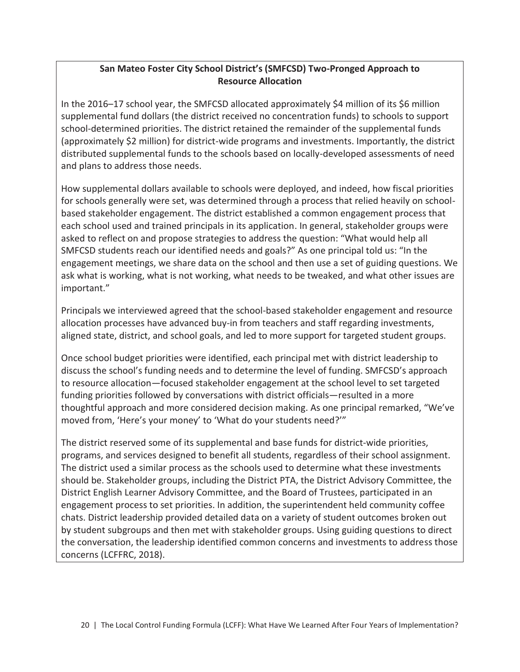## **San Mateo Foster City School District's (SMFCSD) Two-Pronged Approach to Resource Allocation**

In the 2016–17 school year, the SMFCSD allocated approximately \$4 million of its \$6 million supplemental fund dollars (the district received no concentration funds) to schools to support school-determined priorities. The district retained the remainder of the supplemental funds (approximately \$2 million) for district-wide programs and investments. Importantly, the district distributed supplemental funds to the schools based on locally-developed assessments of need and plans to address those needs.

How supplemental dollars available to schools were deployed, and indeed, how fiscal priorities for schools generally were set, was determined through a process that relied heavily on schoolbased stakeholder engagement. The district established a common engagement process that each school used and trained principals in its application. In general, stakeholder groups were asked to reflect on and propose strategies to address the question: "What would help all SMFCSD students reach our identified needs and goals?" As one principal told us: "In the engagement meetings, we share data on the school and then use a set of guiding questions. We ask what is working, what is not working, what needs to be tweaked, and what other issues are important."

Principals we interviewed agreed that the school-based stakeholder engagement and resource allocation processes have advanced buy-in from teachers and staff regarding investments, aligned state, district, and school goals, and led to more support for targeted student groups.

Once school budget priorities were identified, each principal met with district leadership to discuss the school's funding needs and to determine the level of funding. SMFCSD's approach to resource allocation—focused stakeholder engagement at the school level to set targeted funding priorities followed by conversations with district officials—resulted in a more thoughtful approach and more considered decision making. As one principal remarked, "We've moved from, 'Here's your money' to 'What do your students need?'"

The district reserved some of its supplemental and base funds for district-wide priorities, programs, and services designed to benefit all students, regardless of their school assignment. The district used a similar process as the schools used to determine what these investments should be. Stakeholder groups, including the District PTA, the District Advisory Committee, the District English Learner Advisory Committee, and the Board of Trustees, participated in an engagement process to set priorities. In addition, the superintendent held community coffee chats. District leadership provided detailed data on a variety of student outcomes broken out by student subgroups and then met with stakeholder groups. Using guiding questions to direct the conversation, the leadership identified common concerns and investments to address those concerns (LCFFRC, 2018).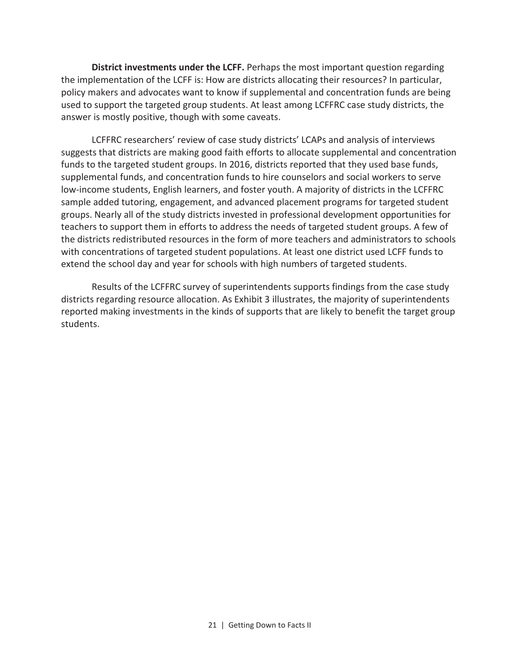**District investments under the LCFF.** Perhaps the most important question regarding the implementation of the LCFF is: How are districts allocating their resources? In particular, policy makers and advocates want to know if supplemental and concentration funds are being used to support the targeted group students. At least among LCFFRC case study districts, the answer is mostly positive, though with some caveats.

LCFFRC researchers' review of case study districts' LCAPs and analysis of interviews suggests that districts are making good faith efforts to allocate supplemental and concentration funds to the targeted student groups. In 2016, districts reported that they used base funds, supplemental funds, and concentration funds to hire counselors and social workers to serve low-income students, English learners, and foster youth. A majority of districts in the LCFFRC sample added tutoring, engagement, and advanced placement programs for targeted student groups. Nearly all of the study districts invested in professional development opportunities for teachers to support them in efforts to address the needs of targeted student groups. A few of the districts redistributed resources in the form of more teachers and administrators to schools with concentrations of targeted student populations. At least one district used LCFF funds to extend the school day and year for schools with high numbers of targeted students.

Results of the LCFFRC survey of superintendents supports findings from the case study districts regarding resource allocation. As Exhibit 3 illustrates, the majority of superintendents reported making investments in the kinds of supports that are likely to benefit the target group students.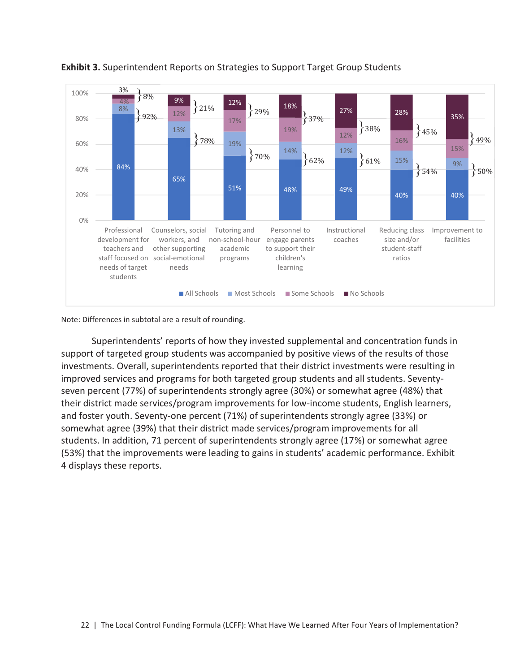

## **Exhibit 3.** Superintendent Reports on Strategies to Support Target Group Students

Note: Differences in subtotal are a result of rounding.

Superintendents' reports of how they invested supplemental and concentration funds in support of targeted group students was accompanied by positive views of the results of those investments. Overall, superintendents reported that their district investments were resulting in improved services and programs for both targeted group students and all students. Seventyseven percent (77%) of superintendents strongly agree (30%) or somewhat agree (48%) that their district made services/program improvements for low-income students, English learners, and foster youth. Seventy-one percent (71%) of superintendents strongly agree (33%) or somewhat agree (39%) that their district made services/program improvements for all students. In addition, 71 percent of superintendents strongly agree (17%) or somewhat agree (53%) that the improvements were leading to gains in students' academic performance. Exhibit 4 displays these reports.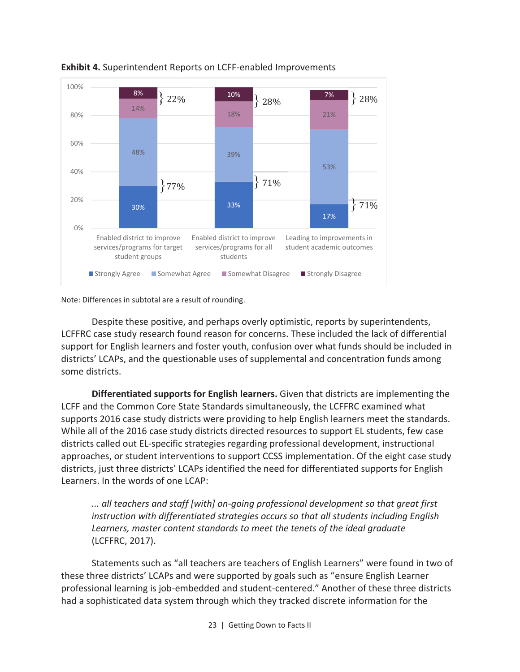

**Exhibit 4.** Superintendent Reports on LCFF-enabled Improvements

Note: Differences in subtotal are a result of rounding.

Despite these positive, and perhaps overly optimistic, reports by superintendents, LCFFRC case study research found reason for concerns. These included the lack of differential support for English learners and foster youth, confusion over what funds should be included in districts' LCAPs, and the questionable uses of supplemental and concentration funds among some districts.

**Differentiated supports for English learners.** Given that districts are implementing the LCFF and the Common Core State Standards simultaneously, the LCFFRC examined what supports 2016 case study districts were providing to help English learners meet the standards. While all of the 2016 case study districts directed resources to support EL students, few case districts called out EL-specific strategies regarding professional development, instructional approaches, or student interventions to support CCSS implementation. Of the eight case study districts, just three districts' LCAPs identified the need for differentiated supports for English Learners. In the words of one LCAP:

*... all teachers and staff [with] on-going professional development so that great first instruction with differentiated strategies occurs so that all students including English Learners, master content standards to meet the tenets of the ideal graduate*  (LCFFRC, 2017).

Statements such as "all teachers are teachers of English Learners" were found in two of these three districts' LCAPs and were supported by goals such as "ensure English Learner professional learning is job-embedded and student-centered." Another of these three districts had a sophisticated data system through which they tracked discrete information for the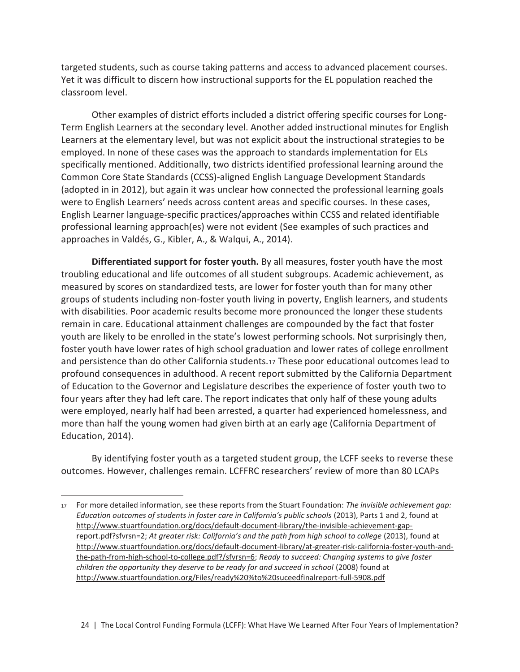targeted students, such as course taking patterns and access to advanced placement courses. Yet it was difficult to discern how instructional supports for the EL population reached the classroom level.

Other examples of district efforts included a district offering specific courses for Long-Term English Learners at the secondary level. Another added instructional minutes for English Learners at the elementary level, but was not explicit about the instructional strategies to be employed. In none of these cases was the approach to standards implementation for ELs specifically mentioned. Additionally, two districts identified professional learning around the Common Core State Standards (CCSS)-aligned English Language Development Standards (adopted in in 2012), but again it was unclear how connected the professional learning goals were to English Learners' needs across content areas and specific courses. In these cases, English Learner language-specific practices/approaches within CCSS and related identifiable professional learning approach(es) were not evident (See examples of such practices and approaches in Valdés, G., Kibler, A., & Walqui, A., 2014).

**Differentiated support for foster youth.** By all measures, foster youth have the most troubling educational and life outcomes of all student subgroups. Academic achievement, as measured by scores on standardized tests, are lower for foster youth than for many other groups of students including non-foster youth living in poverty, English learners, and students with disabilities. Poor academic results become more pronounced the longer these students remain in care. Educational attainment challenges are compounded by the fact that foster youth are likely to be enrolled in the state's lowest performing schools. Not surprisingly then, foster youth have lower rates of high school graduation and lower rates of college enrollment and persistence than do other California students.17 These poor educational outcomes lead to profound consequences in adulthood. A recent report submitted by the California Department of Education to the Governor and Legislature describes the experience of foster youth two to four years after they had left care. The report indicates that only half of these young adults were employed, nearly half had been arrested, a quarter had experienced homelessness, and more than half the young women had given birth at an early age (California Department of Education, 2014).

By identifying foster youth as a targeted student group, the LCFF seeks to reverse these outcomes. However, challenges remain. LCFFRC researchers' review of more than 80 LCAPs

 $\overline{\phantom{0}}$ 

<sup>17</sup> For more detailed information, see these reports from the Stuart Foundation: *The invisible achievement gap: Education outcomes of students in foster care in California's public schools* (2013), Parts 1 and 2, found at http://www.stuartfoundation.org/docs/default-document-library/the-invisible-achievement-gapreport.pdf?sfvrsn=2; *At greater risk: California's and the path from high school to college* (2013), found at http://www.stuartfoundation.org/docs/default-document-library/at-greater-risk-california-foster-youth-andthe-path-from-high-school-to-college.pdf?/sfvrsn=6; *Ready to succeed: Changing systems to give foster children the opportunity they deserve to be ready for and succeed in school* (2008) found at http://www.stuartfoundation.org/Files/ready%20%to%20suceedfinalreport-full-5908.pdf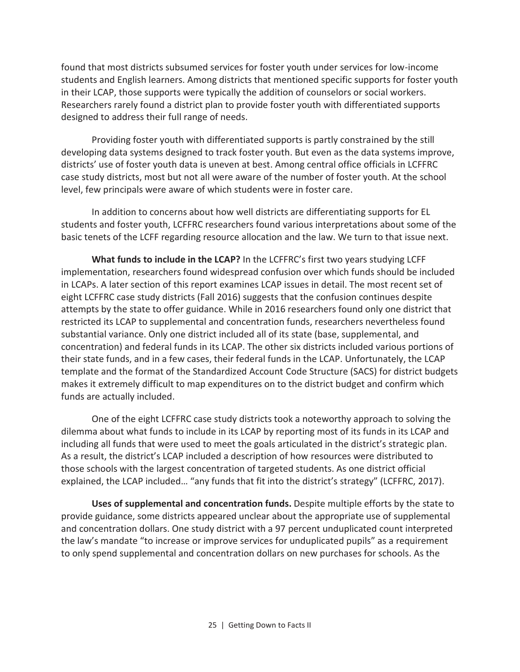found that most districts subsumed services for foster youth under services for low-income students and English learners. Among districts that mentioned specific supports for foster youth in their LCAP, those supports were typically the addition of counselors or social workers. Researchers rarely found a district plan to provide foster youth with differentiated supports designed to address their full range of needs.

Providing foster youth with differentiated supports is partly constrained by the still developing data systems designed to track foster youth. But even as the data systems improve, districts' use of foster youth data is uneven at best. Among central office officials in LCFFRC case study districts, most but not all were aware of the number of foster youth. At the school level, few principals were aware of which students were in foster care.

In addition to concerns about how well districts are differentiating supports for EL students and foster youth, LCFFRC researchers found various interpretations about some of the basic tenets of the LCFF regarding resource allocation and the law. We turn to that issue next.

**What funds to include in the LCAP?** In the LCFFRC's first two years studying LCFF implementation, researchers found widespread confusion over which funds should be included in LCAPs. A later section of this report examines LCAP issues in detail. The most recent set of eight LCFFRC case study districts (Fall 2016) suggests that the confusion continues despite attempts by the state to offer guidance. While in 2016 researchers found only one district that restricted its LCAP to supplemental and concentration funds, researchers nevertheless found substantial variance. Only one district included all of its state (base, supplemental, and concentration) and federal funds in its LCAP. The other six districts included various portions of their state funds, and in a few cases, their federal funds in the LCAP. Unfortunately, the LCAP template and the format of the Standardized Account Code Structure (SACS) for district budgets makes it extremely difficult to map expenditures on to the district budget and confirm which funds are actually included.

One of the eight LCFFRC case study districts took a noteworthy approach to solving the dilemma about what funds to include in its LCAP by reporting most of its funds in its LCAP and including all funds that were used to meet the goals articulated in the district's strategic plan. As a result, the district's LCAP included a description of how resources were distributed to those schools with the largest concentration of targeted students. As one district official explained, the LCAP included… "any funds that fit into the district's strategy" (LCFFRC, 2017).

**Uses of supplemental and concentration funds.** Despite multiple efforts by the state to provide guidance, some districts appeared unclear about the appropriate use of supplemental and concentration dollars. One study district with a 97 percent unduplicated count interpreted the law's mandate "to increase or improve services for unduplicated pupils" as a requirement to only spend supplemental and concentration dollars on new purchases for schools. As the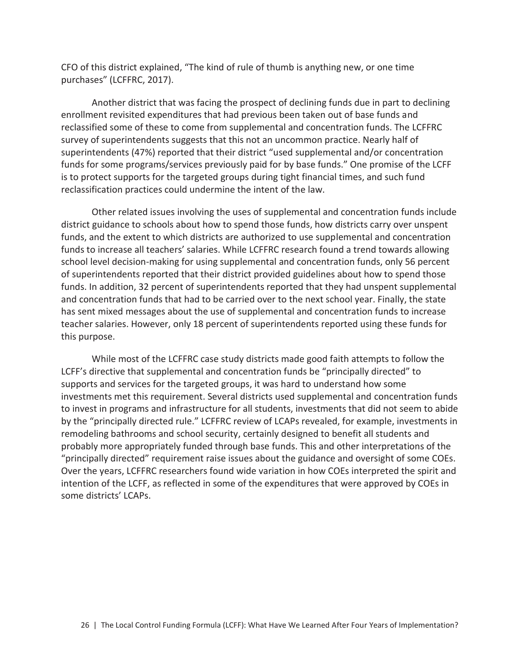CFO of this district explained, "The kind of rule of thumb is anything new, or one time purchases" (LCFFRC, 2017).

Another district that was facing the prospect of declining funds due in part to declining enrollment revisited expenditures that had previous been taken out of base funds and reclassified some of these to come from supplemental and concentration funds. The LCFFRC survey of superintendents suggests that this not an uncommon practice. Nearly half of superintendents (47%) reported that their district "used supplemental and/or concentration funds for some programs/services previously paid for by base funds." One promise of the LCFF is to protect supports for the targeted groups during tight financial times, and such fund reclassification practices could undermine the intent of the law.

Other related issues involving the uses of supplemental and concentration funds include district guidance to schools about how to spend those funds, how districts carry over unspent funds, and the extent to which districts are authorized to use supplemental and concentration funds to increase all teachers' salaries. While LCFFRC research found a trend towards allowing school level decision-making for using supplemental and concentration funds, only 56 percent of superintendents reported that their district provided guidelines about how to spend those funds. In addition, 32 percent of superintendents reported that they had unspent supplemental and concentration funds that had to be carried over to the next school year. Finally, the state has sent mixed messages about the use of supplemental and concentration funds to increase teacher salaries. However, only 18 percent of superintendents reported using these funds for this purpose.

While most of the LCFFRC case study districts made good faith attempts to follow the LCFF's directive that supplemental and concentration funds be "principally directed" to supports and services for the targeted groups, it was hard to understand how some investments met this requirement. Several districts used supplemental and concentration funds to invest in programs and infrastructure for all students, investments that did not seem to abide by the "principally directed rule." LCFFRC review of LCAPs revealed, for example, investments in remodeling bathrooms and school security, certainly designed to benefit all students and probably more appropriately funded through base funds. This and other interpretations of the "principally directed" requirement raise issues about the guidance and oversight of some COEs. Over the years, LCFFRC researchers found wide variation in how COEs interpreted the spirit and intention of the LCFF, as reflected in some of the expenditures that were approved by COEs in some districts' LCAPs.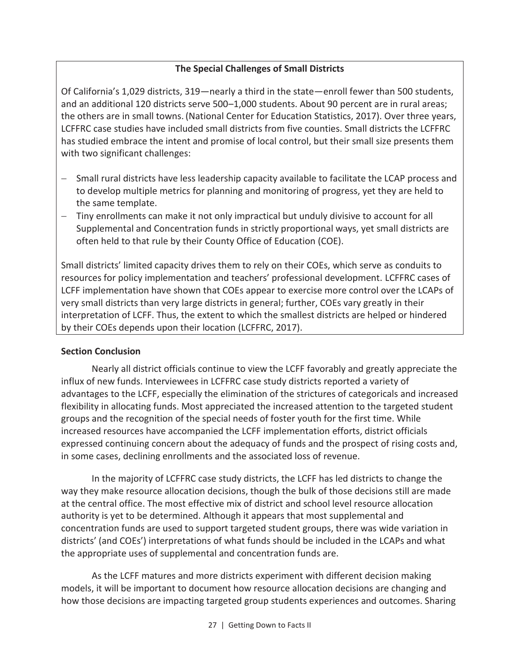## **The Special Challenges of Small Districts**

Of California's 1,029 districts, 319—nearly a third in the state—enroll fewer than 500 students, and an additional 120 districts serve 500–1,000 students. About 90 percent are in rural areas; the others are in small towns. (National Center for Education Statistics, 2017). Over three years, LCFFRC case studies have included small districts from five counties. Small districts the LCFFRC has studied embrace the intent and promise of local control, but their small size presents them with two significant challenges:

- Small rural districts have less leadership capacity available to facilitate the LCAP process and to develop multiple metrics for planning and monitoring of progress, yet they are held to the same template.
- Tiny enrollments can make it not only impractical but unduly divisive to account for all Supplemental and Concentration funds in strictly proportional ways, yet small districts are often held to that rule by their County Office of Education (COE).

Small districts' limited capacity drives them to rely on their COEs, which serve as conduits to resources for policy implementation and teachers' professional development. LCFFRC cases of LCFF implementation have shown that COEs appear to exercise more control over the LCAPs of very small districts than very large districts in general; further, COEs vary greatly in their interpretation of LCFF. Thus, the extent to which the smallest districts are helped or hindered by their COEs depends upon their location (LCFFRC, 2017).

## **Section Conclusion**

Nearly all district officials continue to view the LCFF favorably and greatly appreciate the influx of new funds. Interviewees in LCFFRC case study districts reported a variety of advantages to the LCFF, especially the elimination of the strictures of categoricals and increased flexibility in allocating funds. Most appreciated the increased attention to the targeted student groups and the recognition of the special needs of foster youth for the first time. While increased resources have accompanied the LCFF implementation efforts, district officials expressed continuing concern about the adequacy of funds and the prospect of rising costs and, in some cases, declining enrollments and the associated loss of revenue.

In the majority of LCFFRC case study districts, the LCFF has led districts to change the way they make resource allocation decisions, though the bulk of those decisions still are made at the central office. The most effective mix of district and school level resource allocation authority is yet to be determined. Although it appears that most supplemental and concentration funds are used to support targeted student groups, there was wide variation in districts' (and COEs') interpretations of what funds should be included in the LCAPs and what the appropriate uses of supplemental and concentration funds are.

As the LCFF matures and more districts experiment with different decision making models, it will be important to document how resource allocation decisions are changing and how those decisions are impacting targeted group students experiences and outcomes. Sharing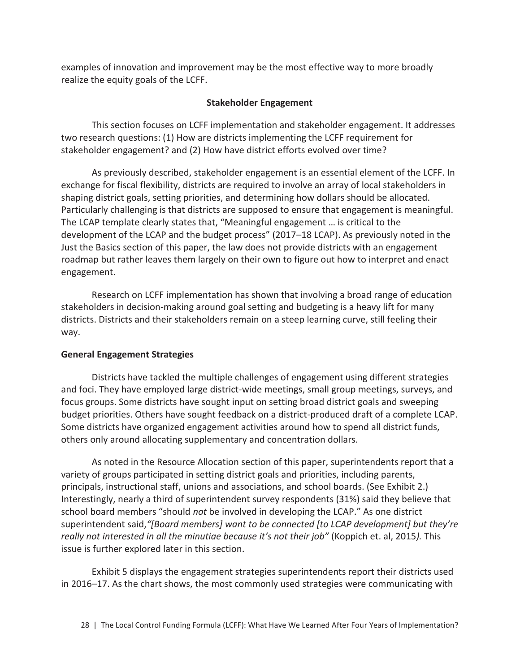examples of innovation and improvement may be the most effective way to more broadly realize the equity goals of the LCFF.

## **Stakeholder Engagement**

This section focuses on LCFF implementation and stakeholder engagement. It addresses two research questions: (1) How are districts implementing the LCFF requirement for stakeholder engagement? and (2) How have district efforts evolved over time?

As previously described, stakeholder engagement is an essential element of the LCFF. In exchange for fiscal flexibility, districts are required to involve an array of local stakeholders in shaping district goals, setting priorities, and determining how dollars should be allocated. Particularly challenging is that districts are supposed to ensure that engagement is meaningful. The LCAP template clearly states that, "Meaningful engagement … is critical to the development of the LCAP and the budget process" (2017–18 LCAP). As previously noted in the Just the Basics section of this paper, the law does not provide districts with an engagement roadmap but rather leaves them largely on their own to figure out how to interpret and enact engagement.

Research on LCFF implementation has shown that involving a broad range of education stakeholders in decision-making around goal setting and budgeting is a heavy lift for many districts. Districts and their stakeholders remain on a steep learning curve, still feeling their way.

#### **General Engagement Strategies**

Districts have tackled the multiple challenges of engagement using different strategies and foci. They have employed large district-wide meetings, small group meetings, surveys, and focus groups. Some districts have sought input on setting broad district goals and sweeping budget priorities. Others have sought feedback on a district-produced draft of a complete LCAP. Some districts have organized engagement activities around how to spend all district funds, others only around allocating supplementary and concentration dollars.

As noted in the Resource Allocation section of this paper, superintendents report that a variety of groups participated in setting district goals and priorities, including parents, principals, instructional staff, unions and associations, and school boards. (See Exhibit 2.) Interestingly, nearly a third of superintendent survey respondents (31%) said they believe that school board members "should *not* be involved in developing the LCAP." As one district superintendent said,*"[Board members] want to be connected [to LCAP development] but they're really not interested in all the minutiae because it's not their job"* (Koppich et. al, 2015*).* This issue is further explored later in this section.

Exhibit 5 displays the engagement strategies superintendents report their districts used in 2016–17. As the chart shows, the most commonly used strategies were communicating with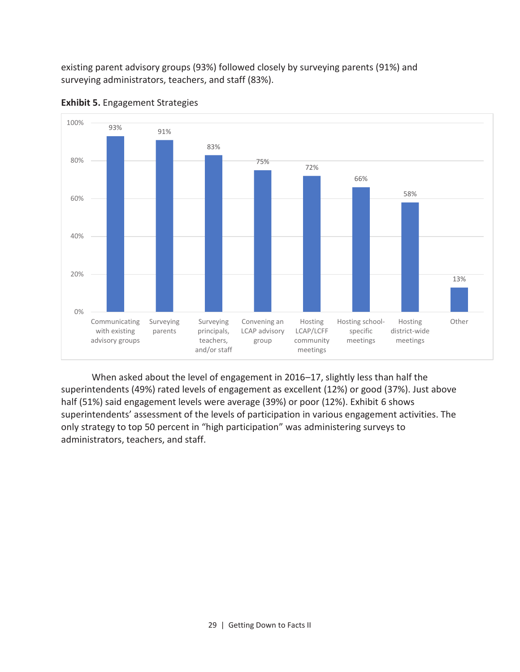existing parent advisory groups (93%) followed closely by surveying parents (91%) and surveying administrators, teachers, and staff (83%).



**Exhibit 5.** Engagement Strategies

When asked about the level of engagement in 2016–17, slightly less than half the superintendents (49%) rated levels of engagement as excellent (12%) or good (37%). Just above half (51%) said engagement levels were average (39%) or poor (12%). Exhibit 6 shows superintendents' assessment of the levels of participation in various engagement activities. The only strategy to top 50 percent in "high participation" was administering surveys to administrators, teachers, and staff.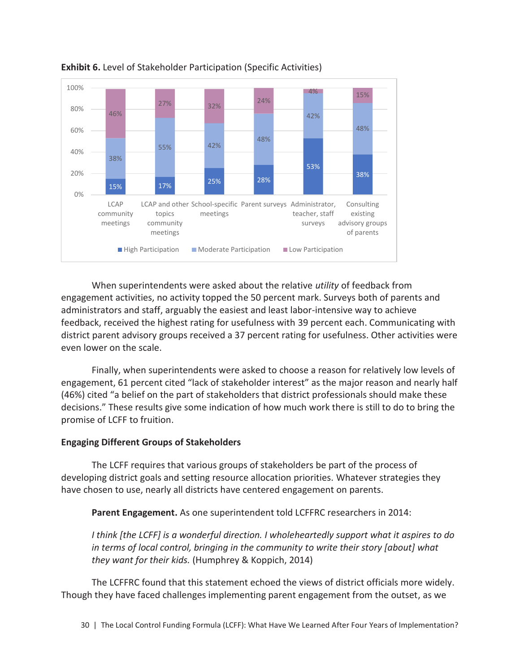

**Exhibit 6.** Level of Stakeholder Participation (Specific Activities)

When superintendents were asked about the relative *utility* of feedback from engagement activities, no activity topped the 50 percent mark. Surveys both of parents and administrators and staff, arguably the easiest and least labor-intensive way to achieve feedback, received the highest rating for usefulness with 39 percent each. Communicating with district parent advisory groups received a 37 percent rating for usefulness. Other activities were even lower on the scale.

Finally, when superintendents were asked to choose a reason for relatively low levels of engagement, 61 percent cited "lack of stakeholder interest" as the major reason and nearly half (46%) cited "a belief on the part of stakeholders that district professionals should make these decisions." These results give some indication of how much work there is still to do to bring the promise of LCFF to fruition.

#### **Engaging Different Groups of Stakeholders**

The LCFF requires that various groups of stakeholders be part of the process of developing district goals and setting resource allocation priorities. Whatever strategies they have chosen to use, nearly all districts have centered engagement on parents.

**Parent Engagement.** As one superintendent told LCFFRC researchers in 2014:

*I think [the LCFF] is a wonderful direction. I wholeheartedly support what it aspires to do in terms of local control, bringing in the community to write their story [about] what they want for their kids.* (Humphrey & Koppich, 2014)

The LCFFRC found that this statement echoed the views of district officials more widely. Though they have faced challenges implementing parent engagement from the outset, as we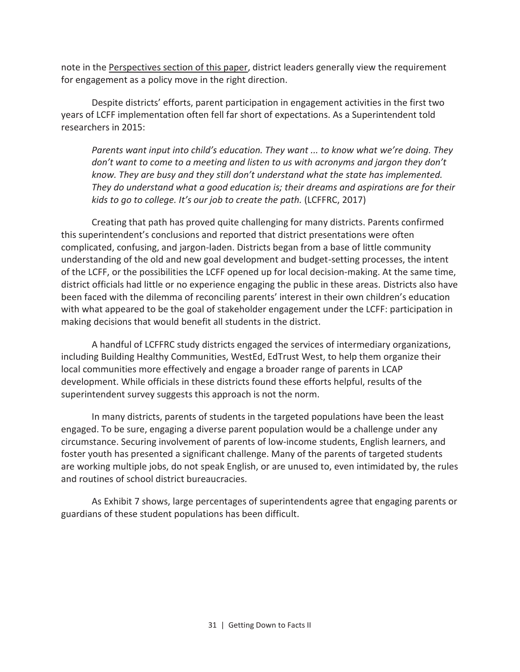note in the Perspectives section of this paper, district leaders generally view the requirement for engagement as a policy move in the right direction.

Despite districts' efforts, parent participation in engagement activities in the first two years of LCFF implementation often fell far short of expectations. As a Superintendent told researchers in 2015:

*Parents want input into child's education. They want ... to know what we're doing. They don't want to come to a meeting and listen to us with acronyms and jargon they don't know. They are busy and they still don't understand what the state has implemented. They do understand what a good education is; their dreams and aspirations are for their kids to go to college. It's our job to create the path.* (LCFFRC, 2017)

Creating that path has proved quite challenging for many districts. Parents confirmed this superintendent's conclusions and reported that district presentations were often complicated, confusing, and jargon-laden. Districts began from a base of little community understanding of the old and new goal development and budget-setting processes, the intent of the LCFF, or the possibilities the LCFF opened up for local decision-making. At the same time, district officials had little or no experience engaging the public in these areas. Districts also have been faced with the dilemma of reconciling parents' interest in their own children's education with what appeared to be the goal of stakeholder engagement under the LCFF: participation in making decisions that would benefit all students in the district.

A handful of LCFFRC study districts engaged the services of intermediary organizations, including Building Healthy Communities, WestEd, EdTrust West, to help them organize their local communities more effectively and engage a broader range of parents in LCAP development. While officials in these districts found these efforts helpful, results of the superintendent survey suggests this approach is not the norm.

In many districts, parents of students in the targeted populations have been the least engaged. To be sure, engaging a diverse parent population would be a challenge under any circumstance. Securing involvement of parents of low-income students, English learners, and foster youth has presented a significant challenge. Many of the parents of targeted students are working multiple jobs, do not speak English, or are unused to, even intimidated by, the rules and routines of school district bureaucracies.

As Exhibit 7 shows, large percentages of superintendents agree that engaging parents or guardians of these student populations has been difficult.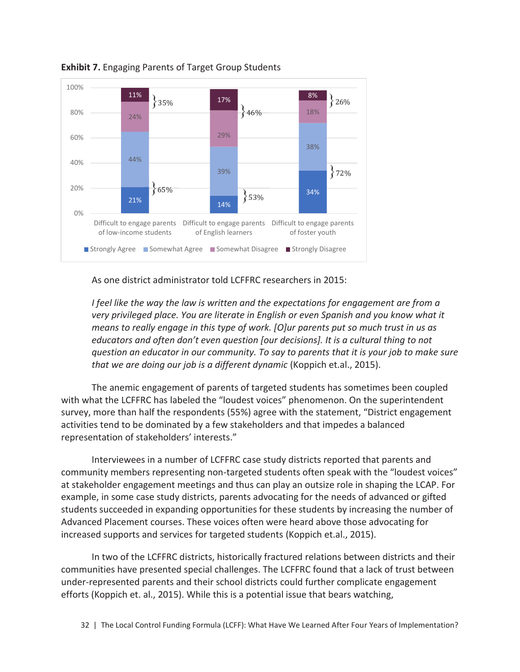

**Exhibit 7.** Engaging Parents of Target Group Students

As one district administrator told LCFFRC researchers in 2015:

*I* feel like the way the law is written and the expectations for engagement are from a *very privileged place. You are literate in English or even Spanish and you know what it means to really engage in this type of work. [O]ur parents put so much trust in us as educators and often don't even question [our decisions]. It is a cultural thing to not question an educator in our community. To say to parents that it is your job to make sure that we are doing our job is a different dynamic* (Koppich et.al., 2015).

The anemic engagement of parents of targeted students has sometimes been coupled with what the LCFFRC has labeled the "loudest voices" phenomenon. On the superintendent survey, more than half the respondents (55%) agree with the statement, "District engagement activities tend to be dominated by a few stakeholders and that impedes a balanced representation of stakeholders' interests."

Interviewees in a number of LCFFRC case study districts reported that parents and community members representing non-targeted students often speak with the "loudest voices" at stakeholder engagement meetings and thus can play an outsize role in shaping the LCAP. For example, in some case study districts, parents advocating for the needs of advanced or gifted students succeeded in expanding opportunities for these students by increasing the number of Advanced Placement courses. These voices often were heard above those advocating for increased supports and services for targeted students (Koppich et.al., 2015).

In two of the LCFFRC districts, historically fractured relations between districts and their communities have presented special challenges. The LCFFRC found that a lack of trust between under-represented parents and their school districts could further complicate engagement efforts (Koppich et. al., 2015). While this is a potential issue that bears watching,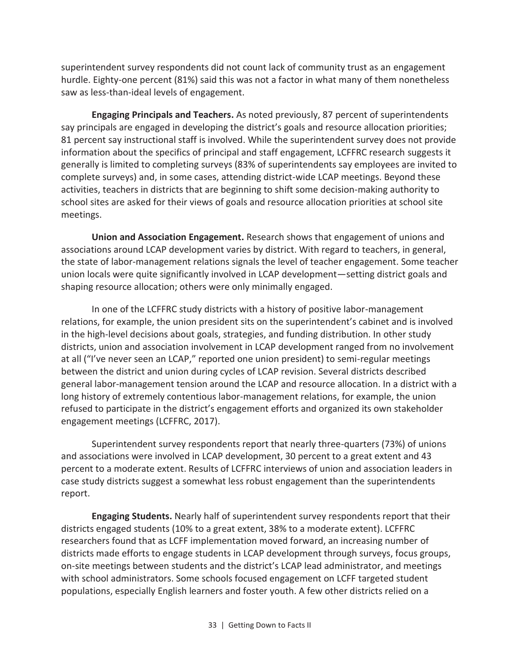superintendent survey respondents did not count lack of community trust as an engagement hurdle. Eighty-one percent (81%) said this was not a factor in what many of them nonetheless saw as less-than-ideal levels of engagement.

**Engaging Principals and Teachers.** As noted previously, 87 percent of superintendents say principals are engaged in developing the district's goals and resource allocation priorities; 81 percent say instructional staff is involved. While the superintendent survey does not provide information about the specifics of principal and staff engagement, LCFFRC research suggests it generally is limited to completing surveys (83% of superintendents say employees are invited to complete surveys) and, in some cases, attending district-wide LCAP meetings. Beyond these activities, teachers in districts that are beginning to shift some decision-making authority to school sites are asked for their views of goals and resource allocation priorities at school site meetings.

**Union and Association Engagement.** Research shows that engagement of unions and associations around LCAP development varies by district. With regard to teachers, in general, the state of labor-management relations signals the level of teacher engagement. Some teacher union locals were quite significantly involved in LCAP development—setting district goals and shaping resource allocation; others were only minimally engaged.

In one of the LCFFRC study districts with a history of positive labor-management relations, for example, the union president sits on the superintendent's cabinet and is involved in the high-level decisions about goals, strategies, and funding distribution. In other study districts, union and association involvement in LCAP development ranged from no involvement at all ("I've never seen an LCAP," reported one union president) to semi-regular meetings between the district and union during cycles of LCAP revision. Several districts described general labor-management tension around the LCAP and resource allocation. In a district with a long history of extremely contentious labor-management relations, for example, the union refused to participate in the district's engagement efforts and organized its own stakeholder engagement meetings (LCFFRC, 2017).

Superintendent survey respondents report that nearly three-quarters (73%) of unions and associations were involved in LCAP development, 30 percent to a great extent and 43 percent to a moderate extent. Results of LCFFRC interviews of union and association leaders in case study districts suggest a somewhat less robust engagement than the superintendents report.

**Engaging Students.** Nearly half of superintendent survey respondents report that their districts engaged students (10% to a great extent, 38% to a moderate extent). LCFFRC researchers found that as LCFF implementation moved forward, an increasing number of districts made efforts to engage students in LCAP development through surveys, focus groups, on-site meetings between students and the district's LCAP lead administrator, and meetings with school administrators. Some schools focused engagement on LCFF targeted student populations, especially English learners and foster youth. A few other districts relied on a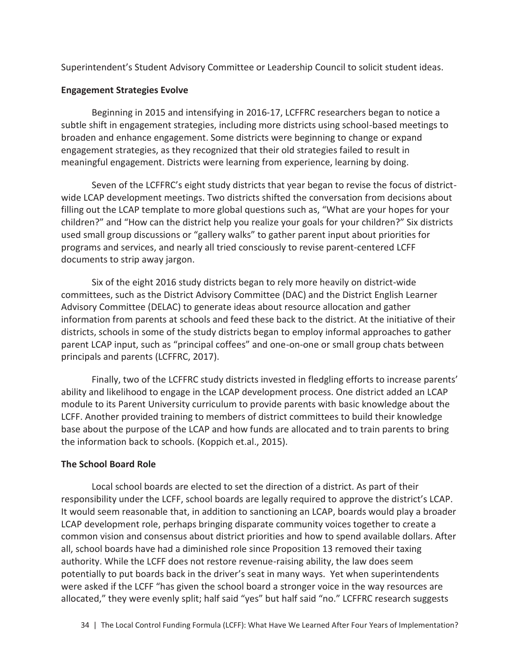Superintendent's Student Advisory Committee or Leadership Council to solicit student ideas.

## **Engagement Strategies Evolve**

Beginning in 2015 and intensifying in 2016-17, LCFFRC researchers began to notice a subtle shift in engagement strategies, including more districts using school-based meetings to broaden and enhance engagement. Some districts were beginning to change or expand engagement strategies, as they recognized that their old strategies failed to result in meaningful engagement. Districts were learning from experience, learning by doing.

Seven of the LCFFRC's eight study districts that year began to revise the focus of districtwide LCAP development meetings. Two districts shifted the conversation from decisions about filling out the LCAP template to more global questions such as, "What are your hopes for your children?" and "How can the district help you realize your goals for your children?" Six districts used small group discussions or "gallery walks" to gather parent input about priorities for programs and services, and nearly all tried consciously to revise parent-centered LCFF documents to strip away jargon.

Six of the eight 2016 study districts began to rely more heavily on district-wide committees, such as the District Advisory Committee (DAC) and the District English Learner Advisory Committee (DELAC) to generate ideas about resource allocation and gather information from parents at schools and feed these back to the district. At the initiative of their districts, schools in some of the study districts began to employ informal approaches to gather parent LCAP input, such as "principal coffees" and one-on-one or small group chats between principals and parents (LCFFRC, 2017).

Finally, two of the LCFFRC study districts invested in fledgling efforts to increase parents' ability and likelihood to engage in the LCAP development process. One district added an LCAP module to its Parent University curriculum to provide parents with basic knowledge about the LCFF. Another provided training to members of district committees to build their knowledge base about the purpose of the LCAP and how funds are allocated and to train parents to bring the information back to schools. (Koppich et.al., 2015).

## **The School Board Role**

Local school boards are elected to set the direction of a district. As part of their responsibility under the LCFF, school boards are legally required to approve the district's LCAP. It would seem reasonable that, in addition to sanctioning an LCAP, boards would play a broader LCAP development role, perhaps bringing disparate community voices together to create a common vision and consensus about district priorities and how to spend available dollars. After all, school boards have had a diminished role since Proposition 13 removed their taxing authority. While the LCFF does not restore revenue-raising ability, the law does seem potentially to put boards back in the driver's seat in many ways. Yet when superintendents were asked if the LCFF "has given the school board a stronger voice in the way resources are allocated," they were evenly split; half said "yes" but half said "no." LCFFRC research suggests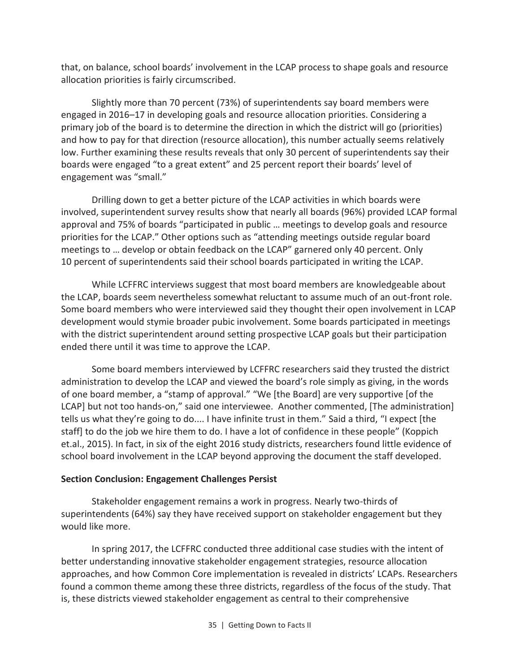that, on balance, school boards' involvement in the LCAP process to shape goals and resource allocation priorities is fairly circumscribed.

Slightly more than 70 percent (73%) of superintendents say board members were engaged in 2016–17 in developing goals and resource allocation priorities. Considering a primary job of the board is to determine the direction in which the district will go (priorities) and how to pay for that direction (resource allocation), this number actually seems relatively low. Further examining these results reveals that only 30 percent of superintendents say their boards were engaged "to a great extent" and 25 percent report their boards' level of engagement was "small."

Drilling down to get a better picture of the LCAP activities in which boards were involved, superintendent survey results show that nearly all boards (96%) provided LCAP formal approval and 75% of boards "participated in public … meetings to develop goals and resource priorities for the LCAP." Other options such as "attending meetings outside regular board meetings to … develop or obtain feedback on the LCAP" garnered only 40 percent. Only 10 percent of superintendents said their school boards participated in writing the LCAP.

While LCFFRC interviews suggest that most board members are knowledgeable about the LCAP, boards seem nevertheless somewhat reluctant to assume much of an out-front role. Some board members who were interviewed said they thought their open involvement in LCAP development would stymie broader pubic involvement. Some boards participated in meetings with the district superintendent around setting prospective LCAP goals but their participation ended there until it was time to approve the LCAP.

Some board members interviewed by LCFFRC researchers said they trusted the district administration to develop the LCAP and viewed the board's role simply as giving, in the words of one board member, a "stamp of approval." "We [the Board] are very supportive [of the LCAP] but not too hands-on," said one interviewee. Another commented, [The administration] tells us what they're going to do.... I have infinite trust in them." Said a third, "I expect [the staff] to do the job we hire them to do. I have a lot of confidence in these people" (Koppich et.al., 2015). In fact, in six of the eight 2016 study districts, researchers found little evidence of school board involvement in the LCAP beyond approving the document the staff developed.

## **Section Conclusion: Engagement Challenges Persist**

Stakeholder engagement remains a work in progress. Nearly two-thirds of superintendents (64%) say they have received support on stakeholder engagement but they would like more.

In spring 2017, the LCFFRC conducted three additional case studies with the intent of better understanding innovative stakeholder engagement strategies, resource allocation approaches, and how Common Core implementation is revealed in districts' LCAPs. Researchers found a common theme among these three districts, regardless of the focus of the study. That is, these districts viewed stakeholder engagement as central to their comprehensive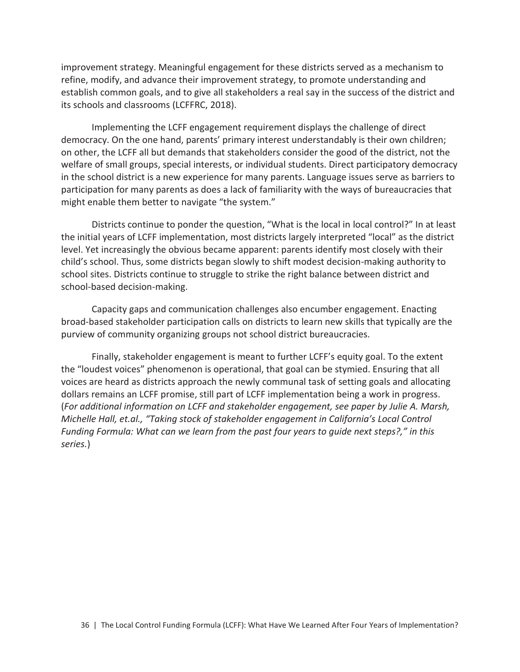improvement strategy. Meaningful engagement for these districts served as a mechanism to refine, modify, and advance their improvement strategy, to promote understanding and establish common goals, and to give all stakeholders a real say in the success of the district and its schools and classrooms (LCFFRC, 2018).

Implementing the LCFF engagement requirement displays the challenge of direct democracy. On the one hand, parents' primary interest understandably is their own children; on other, the LCFF all but demands that stakeholders consider the good of the district, not the welfare of small groups, special interests, or individual students. Direct participatory democracy in the school district is a new experience for many parents. Language issues serve as barriers to participation for many parents as does a lack of familiarity with the ways of bureaucracies that might enable them better to navigate "the system."

Districts continue to ponder the question, "What is the local in local control?" In at least the initial years of LCFF implementation, most districts largely interpreted "local" as the district level. Yet increasingly the obvious became apparent: parents identify most closely with their child's school. Thus, some districts began slowly to shift modest decision-making authority to school sites. Districts continue to struggle to strike the right balance between district and school-based decision-making.

Capacity gaps and communication challenges also encumber engagement. Enacting broad-based stakeholder participation calls on districts to learn new skills that typically are the purview of community organizing groups not school district bureaucracies.

Finally, stakeholder engagement is meant to further LCFF's equity goal. To the extent the "loudest voices" phenomenon is operational, that goal can be stymied. Ensuring that all voices are heard as districts approach the newly communal task of setting goals and allocating dollars remains an LCFF promise, still part of LCFF implementation being a work in progress. (*For additional information on LCFF and stakeholder engagement, see paper by Julie A. Marsh, Michelle Hall, et.al., "Taking stock of stakeholder engagement in California's Local Control Funding Formula: What can we learn from the past four years to guide next steps?," in this series.*)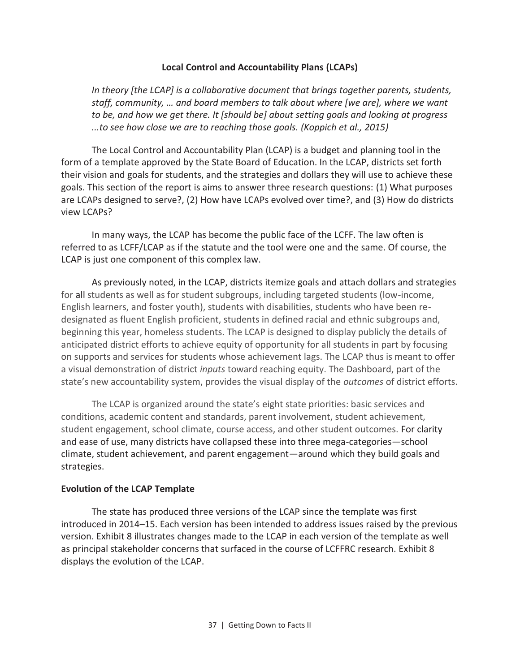#### **Local Control and Accountability Plans (LCAPs)**

*In theory [the LCAP] is a collaborative document that brings together parents, students, staff, community, … and board members to talk about where [we are], where we want to be, and how we get there. It [should be] about setting goals and looking at progress ...to see how close we are to reaching those goals. (Koppich et al., 2015)* 

The Local Control and Accountability Plan (LCAP) is a budget and planning tool in the form of a template approved by the State Board of Education. In the LCAP, districts set forth their vision and goals for students, and the strategies and dollars they will use to achieve these goals. This section of the report is aims to answer three research questions: (1) What purposes are LCAPs designed to serve?, (2) How have LCAPs evolved over time?, and (3) How do districts view LCAPs?

In many ways, the LCAP has become the public face of the LCFF. The law often is referred to as LCFF/LCAP as if the statute and the tool were one and the same. Of course, the LCAP is just one component of this complex law.

As previously noted, in the LCAP, districts itemize goals and attach dollars and strategies for all students as well as for student subgroups, including targeted students (low-income, English learners, and foster youth), students with disabilities, students who have been redesignated as fluent English proficient, students in defined racial and ethnic subgroups and, beginning this year, homeless students. The LCAP is designed to display publicly the details of anticipated district efforts to achieve equity of opportunity for all students in part by focusing on supports and services for students whose achievement lags. The LCAP thus is meant to offer a visual demonstration of district *inputs* toward reaching equity. The Dashboard, part of the state's new accountability system, provides the visual display of the *outcomes* of district efforts.

The LCAP is organized around the state's eight state priorities: basic services and conditions, academic content and standards, parent involvement, student achievement, student engagement, school climate, course access, and other student outcomes. For clarity and ease of use, many districts have collapsed these into three mega-categories—school climate, student achievement, and parent engagement—around which they build goals and strategies.

#### **Evolution of the LCAP Template**

The state has produced three versions of the LCAP since the template was first introduced in 2014–15. Each version has been intended to address issues raised by the previous version. Exhibit 8 illustrates changes made to the LCAP in each version of the template as well as principal stakeholder concerns that surfaced in the course of LCFFRC research. Exhibit 8 displays the evolution of the LCAP.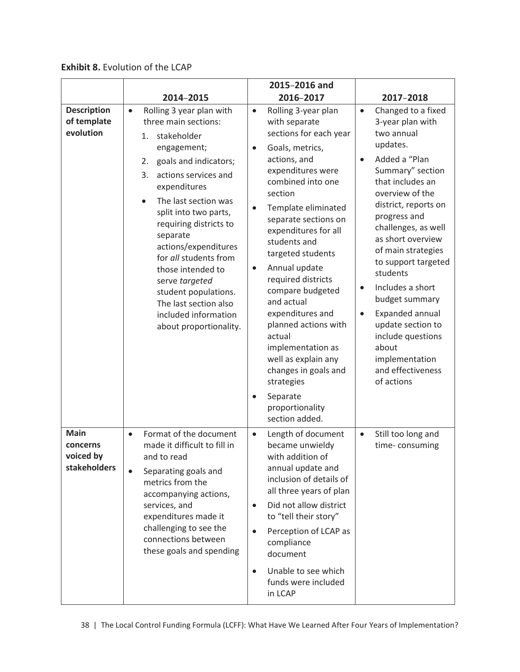**Exhibit 8.** Evolution of the LCAP

|                                                      |                                                                                                                                                                                                                                                                                                                                                                                                                                                               | 2015-2016 and                                                                                                                                                                                                                                                                                                                                                                                                                                                                                                                                                                                         |                                                                                                                                                                                                                                                                                                                                                                                                                                                                                                   |
|------------------------------------------------------|---------------------------------------------------------------------------------------------------------------------------------------------------------------------------------------------------------------------------------------------------------------------------------------------------------------------------------------------------------------------------------------------------------------------------------------------------------------|-------------------------------------------------------------------------------------------------------------------------------------------------------------------------------------------------------------------------------------------------------------------------------------------------------------------------------------------------------------------------------------------------------------------------------------------------------------------------------------------------------------------------------------------------------------------------------------------------------|---------------------------------------------------------------------------------------------------------------------------------------------------------------------------------------------------------------------------------------------------------------------------------------------------------------------------------------------------------------------------------------------------------------------------------------------------------------------------------------------------|
|                                                      | 2014-2015                                                                                                                                                                                                                                                                                                                                                                                                                                                     | 2016-2017                                                                                                                                                                                                                                                                                                                                                                                                                                                                                                                                                                                             | 2017-2018                                                                                                                                                                                                                                                                                                                                                                                                                                                                                         |
| <b>Description</b><br>of template<br>evolution       | Rolling 3 year plan with<br>$\bullet$<br>three main sections:<br>1. stakeholder<br>engagement;<br>goals and indicators;<br>2.<br>actions services and<br>3.<br>expenditures<br>The last section was<br>split into two parts,<br>requiring districts to<br>separate<br>actions/expenditures<br>for all students from<br>those intended to<br>serve targeted<br>student populations.<br>The last section also<br>included information<br>about proportionality. | Rolling 3-year plan<br>$\bullet$<br>with separate<br>sections for each year<br>Goals, metrics,<br>$\bullet$<br>actions, and<br>expenditures were<br>combined into one<br>section<br>Template eliminated<br>$\bullet$<br>separate sections on<br>expenditures for all<br>students and<br>targeted students<br>Annual update<br>$\bullet$<br>required districts<br>compare budgeted<br>and actual<br>expenditures and<br>planned actions with<br>actual<br>implementation as<br>well as explain any<br>changes in goals and<br>strategies<br>Separate<br>$\bullet$<br>proportionality<br>section added. | Changed to a fixed<br>$\bullet$<br>3-year plan with<br>two annual<br>updates.<br>Added a "Plan<br>$\bullet$<br>Summary" section<br>that includes an<br>overview of the<br>district, reports on<br>progress and<br>challenges, as well<br>as short overview<br>of main strategies<br>to support targeted<br>students<br>Includes a short<br>budget summary<br>Expanded annual<br>$\bullet$<br>update section to<br>include questions<br>about<br>implementation<br>and effectiveness<br>of actions |
| <b>Main</b><br>concerns<br>voiced by<br>stakeholders | Format of the document<br>$\bullet$<br>made it difficult to fill in<br>and to read<br>Separating goals and<br>$\bullet$<br>metrics from the<br>accompanying actions,<br>services, and<br>expenditures made it<br>challenging to see the<br>connections between<br>these goals and spending                                                                                                                                                                    | Length of document<br>$\bullet$<br>became unwieldy<br>with addition of<br>annual update and<br>inclusion of details of<br>all three years of plan<br>Did not allow district<br>$\bullet$<br>to "tell their story"<br>Perception of LCAP as<br>$\bullet$<br>compliance<br>document<br>Unable to see which<br>$\bullet$<br>funds were included<br>in LCAP                                                                                                                                                                                                                                               | Still too long and<br>$\bullet$<br>time-consuming                                                                                                                                                                                                                                                                                                                                                                                                                                                 |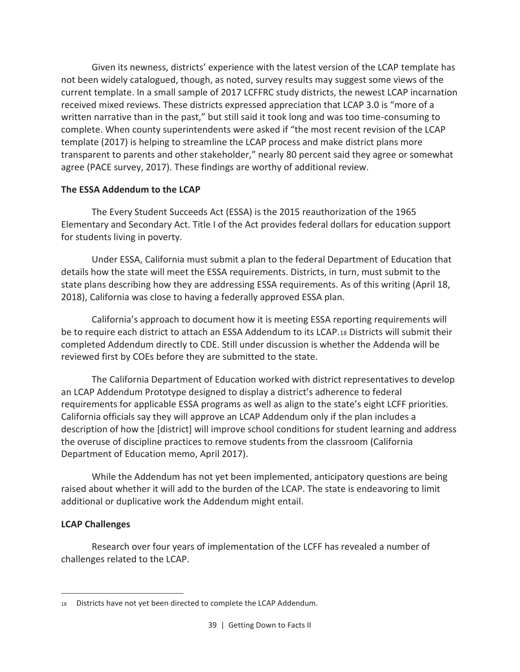Given its newness, districts' experience with the latest version of the LCAP template has not been widely catalogued, though, as noted, survey results may suggest some views of the current template. In a small sample of 2017 LCFFRC study districts, the newest LCAP incarnation received mixed reviews. These districts expressed appreciation that LCAP 3.0 is "more of a written narrative than in the past," but still said it took long and was too time-consuming to complete. When county superintendents were asked if "the most recent revision of the LCAP template (2017) is helping to streamline the LCAP process and make district plans more transparent to parents and other stakeholder," nearly 80 percent said they agree or somewhat agree (PACE survey, 2017). These findings are worthy of additional review.

## **The ESSA Addendum to the LCAP**

The Every Student Succeeds Act (ESSA) is the 2015 reauthorization of the 1965 Elementary and Secondary Act. Title I of the Act provides federal dollars for education support for students living in poverty.

Under ESSA, California must submit a plan to the federal Department of Education that details how the state will meet the ESSA requirements. Districts, in turn, must submit to the state plans describing how they are addressing ESSA requirements. As of this writing (April 18, 2018), California was close to having a federally approved ESSA plan.

California's approach to document how it is meeting ESSA reporting requirements will be to require each district to attach an ESSA Addendum to its LCAP.18 Districts will submit their completed Addendum directly to CDE. Still under discussion is whether the Addenda will be reviewed first by COEs before they are submitted to the state.

The California Department of Education worked with district representatives to develop an LCAP Addendum Prototype designed to display a district's adherence to federal requirements for applicable ESSA programs as well as align to the state's eight LCFF priorities. California officials say they will approve an LCAP Addendum only if the plan includes a description of how the [district] will improve school conditions for student learning and address the overuse of discipline practices to remove students from the classroom (California Department of Education memo, April 2017).

While the Addendum has not yet been implemented, anticipatory questions are being raised about whether it will add to the burden of the LCAP. The state is endeavoring to limit additional or duplicative work the Addendum might entail.

## **LCAP Challenges**

 $\overline{\phantom{0}}$ 

Research over four years of implementation of the LCFF has revealed a number of challenges related to the LCAP.

<sup>18</sup> Districts have not yet been directed to complete the LCAP Addendum.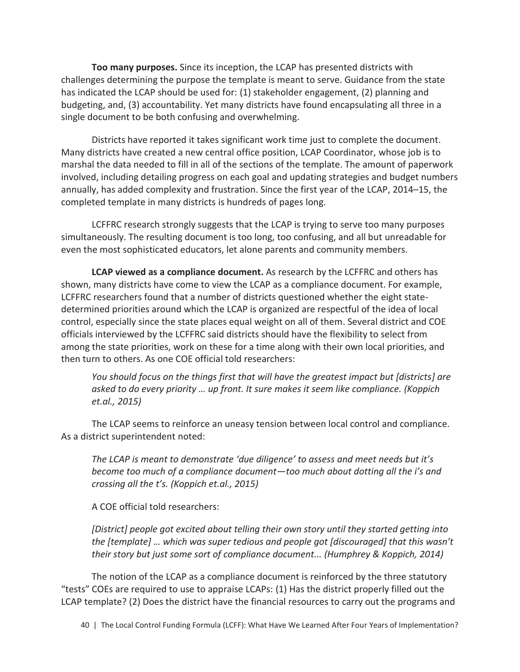**Too many purposes.** Since its inception, the LCAP has presented districts with challenges determining the purpose the template is meant to serve. Guidance from the state has indicated the LCAP should be used for: (1) stakeholder engagement, (2) planning and budgeting, and, (3) accountability. Yet many districts have found encapsulating all three in a single document to be both confusing and overwhelming.

Districts have reported it takes significant work time just to complete the document. Many districts have created a new central office position, LCAP Coordinator, whose job is to marshal the data needed to fill in all of the sections of the template. The amount of paperwork involved, including detailing progress on each goal and updating strategies and budget numbers annually, has added complexity and frustration. Since the first year of the LCAP, 2014–15, the completed template in many districts is hundreds of pages long.

LCFFRC research strongly suggests that the LCAP is trying to serve too many purposes simultaneously. The resulting document is too long, too confusing, and all but unreadable for even the most sophisticated educators, let alone parents and community members.

**LCAP viewed as a compliance document.** As research by the LCFFRC and others has shown, many districts have come to view the LCAP as a compliance document. For example, LCFFRC researchers found that a number of districts questioned whether the eight statedetermined priorities around which the LCAP is organized are respectful of the idea of local control, especially since the state places equal weight on all of them. Several district and COE officials interviewed by the LCFFRC said districts should have the flexibility to select from among the state priorities, work on these for a time along with their own local priorities, and then turn to others. As one COE official told researchers:

*You should focus on the things first that will have the greatest impact but [districts] are asked to do every priority … up front. It sure makes it seem like compliance. (Koppich et.al., 2015)* 

The LCAP seems to reinforce an uneasy tension between local control and compliance. As a district superintendent noted:

*The LCAP is meant to demonstrate 'due diligence' to assess and meet needs but it's become too much of a compliance document—too much about dotting all the i's and crossing all the t's. (Koppich et.al., 2015)* 

A COE official told researchers:

*[District] people got excited about telling their own story until they started getting into the [template] … which was super tedious and people got [discouraged] that this wasn't their story but just some sort of compliance document... (Humphrey & Koppich, 2014)* 

The notion of the LCAP as a compliance document is reinforced by the three statutory "tests" COEs are required to use to appraise LCAPs: (1) Has the district properly filled out the LCAP template? (2) Does the district have the financial resources to carry out the programs and

40 | The Local Control Funding Formula (LCFF): What Have We Learned After Four Years of Implementation?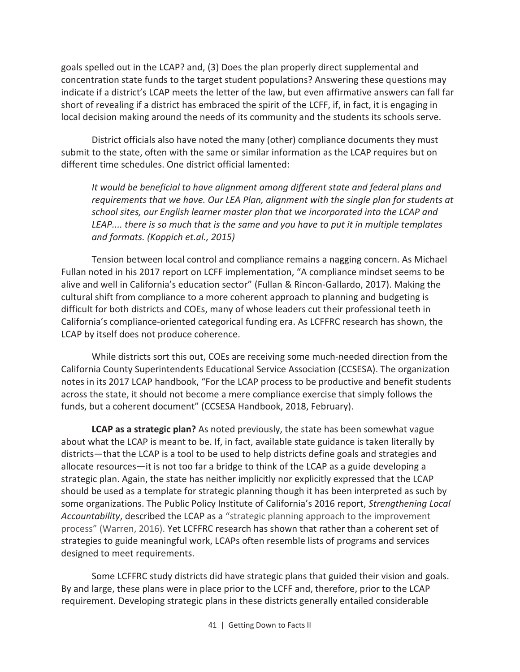goals spelled out in the LCAP? and, (3) Does the plan properly direct supplemental and concentration state funds to the target student populations? Answering these questions may indicate if a district's LCAP meets the letter of the law, but even affirmative answers can fall far short of revealing if a district has embraced the spirit of the LCFF, if, in fact, it is engaging in local decision making around the needs of its community and the students its schools serve.

District officials also have noted the many (other) compliance documents they must submit to the state, often with the same or similar information as the LCAP requires but on different time schedules. One district official lamented:

*It would be beneficial to have alignment among different state and federal plans and requirements that we have. Our LEA Plan, alignment with the single plan for students at school sites, our English learner master plan that we incorporated into the LCAP and LEAP.... there is so much that is the same and you have to put it in multiple templates and formats. (Koppich et.al., 2015)* 

Tension between local control and compliance remains a nagging concern. As Michael Fullan noted in his 2017 report on LCFF implementation, "A compliance mindset seems to be alive and well in California's education sector" (Fullan & Rincon-Gallardo, 2017). Making the cultural shift from compliance to a more coherent approach to planning and budgeting is difficult for both districts and COEs, many of whose leaders cut their professional teeth in California's compliance-oriented categorical funding era. As LCFFRC research has shown, the LCAP by itself does not produce coherence.

While districts sort this out, COEs are receiving some much-needed direction from the California County Superintendents Educational Service Association (CCSESA). The organization notes in its 2017 LCAP handbook, "For the LCAP process to be productive and benefit students across the state, it should not become a mere compliance exercise that simply follows the funds, but a coherent document" (CCSESA Handbook, 2018, February).

**LCAP as a strategic plan?** As noted previously, the state has been somewhat vague about what the LCAP is meant to be. If, in fact, available state guidance is taken literally by districts—that the LCAP is a tool to be used to help districts define goals and strategies and allocate resources—it is not too far a bridge to think of the LCAP as a guide developing a strategic plan. Again, the state has neither implicitly nor explicitly expressed that the LCAP should be used as a template for strategic planning though it has been interpreted as such by some organizations. The Public Policy Institute of California's 2016 report, *Strengthening Local Accountability*, described the LCAP as a "strategic planning approach to the improvement process" (Warren, 2016). Yet LCFFRC research has shown that rather than a coherent set of strategies to guide meaningful work, LCAPs often resemble lists of programs and services designed to meet requirements.

Some LCFFRC study districts did have strategic plans that guided their vision and goals. By and large, these plans were in place prior to the LCFF and, therefore, prior to the LCAP requirement. Developing strategic plans in these districts generally entailed considerable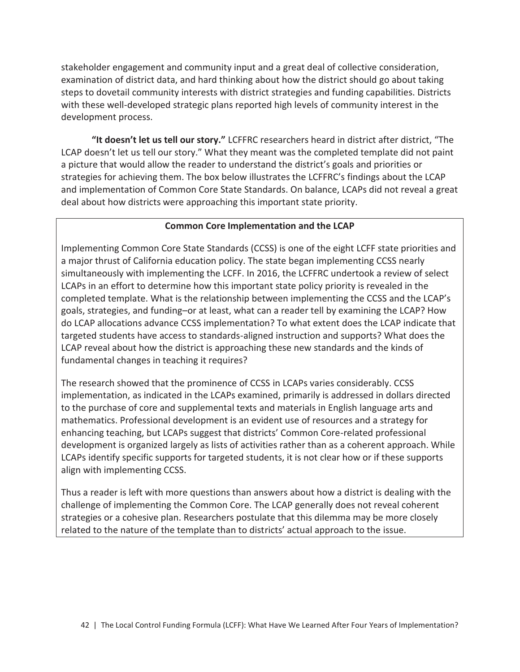stakeholder engagement and community input and a great deal of collective consideration, examination of district data, and hard thinking about how the district should go about taking steps to dovetail community interests with district strategies and funding capabilities. Districts with these well-developed strategic plans reported high levels of community interest in the development process.

**"It doesn't let us tell our story."** LCFFRC researchers heard in district after district, "The LCAP doesn't let us tell our story." What they meant was the completed template did not paint a picture that would allow the reader to understand the district's goals and priorities or strategies for achieving them. The box below illustrates the LCFFRC's findings about the LCAP and implementation of Common Core State Standards. On balance, LCAPs did not reveal a great deal about how districts were approaching this important state priority.

## **Common Core Implementation and the LCAP**

Implementing Common Core State Standards (CCSS) is one of the eight LCFF state priorities and a major thrust of California education policy. The state began implementing CCSS nearly simultaneously with implementing the LCFF. In 2016, the LCFFRC undertook a review of select LCAPs in an effort to determine how this important state policy priority is revealed in the completed template. What is the relationship between implementing the CCSS and the LCAP's goals, strategies, and funding–or at least, what can a reader tell by examining the LCAP? How do LCAP allocations advance CCSS implementation? To what extent does the LCAP indicate that targeted students have access to standards-aligned instruction and supports? What does the LCAP reveal about how the district is approaching these new standards and the kinds of fundamental changes in teaching it requires?

The research showed that the prominence of CCSS in LCAPs varies considerably. CCSS implementation, as indicated in the LCAPs examined, primarily is addressed in dollars directed to the purchase of core and supplemental texts and materials in English language arts and mathematics. Professional development is an evident use of resources and a strategy for enhancing teaching, but LCAPs suggest that districts' Common Core-related professional development is organized largely as lists of activities rather than as a coherent approach. While LCAPs identify specific supports for targeted students, it is not clear how or if these supports align with implementing CCSS.

Thus a reader is left with more questions than answers about how a district is dealing with the challenge of implementing the Common Core. The LCAP generally does not reveal coherent strategies or a cohesive plan. Researchers postulate that this dilemma may be more closely related to the nature of the template than to districts' actual approach to the issue.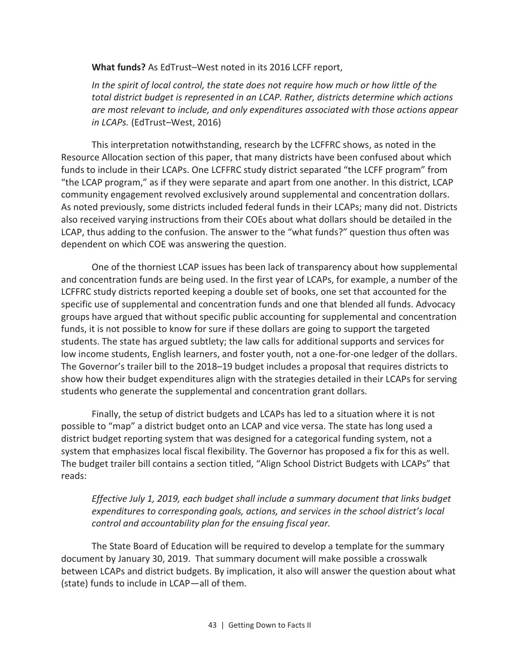**What funds?** As EdTrust–West noted in its 2016 LCFF report,

In the spirit of local control, the state does not require how much or how little of the *total district budget is represented in an LCAP. Rather, districts determine which actions are most relevant to include, and only expenditures associated with those actions appear in LCAPs.* (EdTrust*–*West, 2016)

This interpretation notwithstanding, research by the LCFFRC shows, as noted in the Resource Allocation section of this paper, that many districts have been confused about which funds to include in their LCAPs. One LCFFRC study district separated "the LCFF program" from "the LCAP program," as if they were separate and apart from one another. In this district, LCAP community engagement revolved exclusively around supplemental and concentration dollars. As noted previously, some districts included federal funds in their LCAPs; many did not. Districts also received varying instructions from their COEs about what dollars should be detailed in the LCAP, thus adding to the confusion. The answer to the "what funds?" question thus often was dependent on which COE was answering the question.

One of the thorniest LCAP issues has been lack of transparency about how supplemental and concentration funds are being used. In the first year of LCAPs, for example, a number of the LCFFRC study districts reported keeping a double set of books, one set that accounted for the specific use of supplemental and concentration funds and one that blended all funds. Advocacy groups have argued that without specific public accounting for supplemental and concentration funds, it is not possible to know for sure if these dollars are going to support the targeted students. The state has argued subtlety; the law calls for additional supports and services for low income students, English learners, and foster youth, not a one-for-one ledger of the dollars. The Governor's trailer bill to the 2018–19 budget includes a proposal that requires districts to show how their budget expenditures align with the strategies detailed in their LCAPs for serving students who generate the supplemental and concentration grant dollars.

Finally, the setup of district budgets and LCAPs has led to a situation where it is not possible to "map" a district budget onto an LCAP and vice versa. The state has long used a district budget reporting system that was designed for a categorical funding system, not a system that emphasizes local fiscal flexibility. The Governor has proposed a fix for this as well. The budget trailer bill contains a section titled, "Align School District Budgets with LCAPs" that reads:

*Effective July 1, 2019, each budget shall include a summary document that links budget expenditures to corresponding goals, actions, and services in the school district's local control and accountability plan for the ensuing fiscal year.* 

The State Board of Education will be required to develop a template for the summary document by January 30, 2019. That summary document will make possible a crosswalk between LCAPs and district budgets. By implication, it also will answer the question about what (state) funds to include in LCAP—all of them.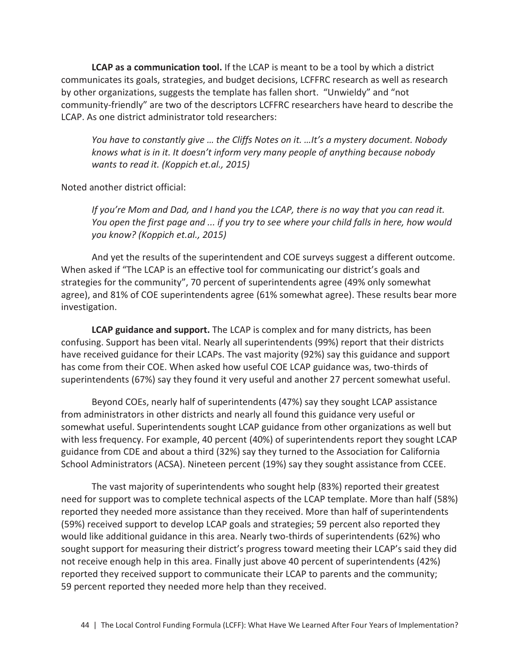**LCAP as a communication tool.** If the LCAP is meant to be a tool by which a district communicates its goals, strategies, and budget decisions, LCFFRC research as well as research by other organizations, suggests the template has fallen short. "Unwieldy" and "not community-friendly" are two of the descriptors LCFFRC researchers have heard to describe the LCAP. As one district administrator told researchers:

*You have to constantly give … the Cliffs Notes on it. …It's a mystery document. Nobody knows what is in it. It doesn't inform very many people of anything because nobody wants to read it. (Koppich et.al., 2015)* 

Noted another district official:

*If you're Mom and Dad, and I hand you the LCAP, there is no way that you can read it. You open the first page and ... if you try to see where your child falls in here, how would you know? (Koppich et.al., 2015)* 

And yet the results of the superintendent and COE surveys suggest a different outcome. When asked if "The LCAP is an effective tool for communicating our district's goals and strategies for the community", 70 percent of superintendents agree (49% only somewhat agree), and 81% of COE superintendents agree (61% somewhat agree). These results bear more investigation.

**LCAP guidance and support.** The LCAP is complex and for many districts, has been confusing. Support has been vital. Nearly all superintendents (99%) report that their districts have received guidance for their LCAPs. The vast majority (92%) say this guidance and support has come from their COE. When asked how useful COE LCAP guidance was, two-thirds of superintendents (67%) say they found it very useful and another 27 percent somewhat useful.

Beyond COEs, nearly half of superintendents (47%) say they sought LCAP assistance from administrators in other districts and nearly all found this guidance very useful or somewhat useful. Superintendents sought LCAP guidance from other organizations as well but with less frequency. For example, 40 percent (40%) of superintendents report they sought LCAP guidance from CDE and about a third (32%) say they turned to the Association for California School Administrators (ACSA). Nineteen percent (19%) say they sought assistance from CCEE.

The vast majority of superintendents who sought help (83%) reported their greatest need for support was to complete technical aspects of the LCAP template. More than half (58%) reported they needed more assistance than they received. More than half of superintendents (59%) received support to develop LCAP goals and strategies; 59 percent also reported they would like additional guidance in this area. Nearly two-thirds of superintendents (62%) who sought support for measuring their district's progress toward meeting their LCAP's said they did not receive enough help in this area. Finally just above 40 percent of superintendents (42%) reported they received support to communicate their LCAP to parents and the community; 59 percent reported they needed more help than they received.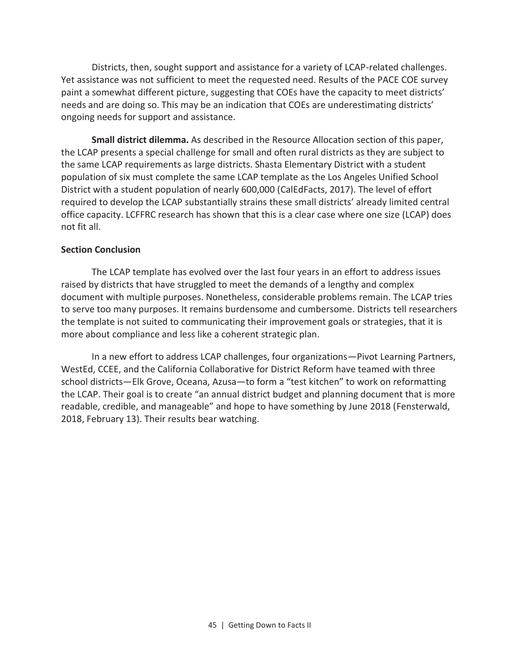Districts, then, sought support and assistance for a variety of LCAP-related challenges. Yet assistance was not sufficient to meet the requested need. Results of the PACE COE survey paint a somewhat different picture, suggesting that COEs have the capacity to meet districts' needs and are doing so. This may be an indication that COEs are underestimating districts' ongoing needs for support and assistance.

**Small district dilemma.** As described in the Resource Allocation section of this paper, the LCAP presents a special challenge for small and often rural districts as they are subject to the same LCAP requirements as large districts. Shasta Elementary District with a student population of six must complete the same LCAP template as the Los Angeles Unified School District with a student population of nearly 600,000 (CalEdFacts, 2017). The level of effort required to develop the LCAP substantially strains these small districts' already limited central office capacity. LCFFRC research has shown that this is a clear case where one size (LCAP) does not fit all.

#### **Section Conclusion**

The LCAP template has evolved over the last four years in an effort to address issues raised by districts that have struggled to meet the demands of a lengthy and complex document with multiple purposes. Nonetheless, considerable problems remain. The LCAP tries to serve too many purposes. It remains burdensome and cumbersome. Districts tell researchers the template is not suited to communicating their improvement goals or strategies, that it is more about compliance and less like a coherent strategic plan.

In a new effort to address LCAP challenges, four organizations—Pivot Learning Partners, WestEd, CCEE, and the California Collaborative for District Reform have teamed with three school districts—Elk Grove, Oceana, Azusa—to form a "test kitchen" to work on reformatting the LCAP. Their goal is to create "an annual district budget and planning document that is more readable, credible, and manageable" and hope to have something by June 2018 (Fensterwald, 2018, February 13). Their results bear watching.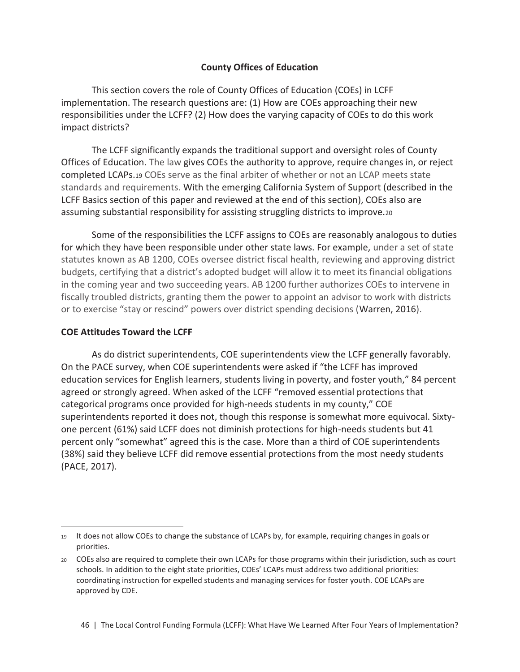## **County Offices of Education**

This section covers the role of County Offices of Education (COEs) in LCFF implementation. The research questions are: (1) How are COEs approaching their new responsibilities under the LCFF? (2) How does the varying capacity of COEs to do this work impact districts?

The LCFF significantly expands the traditional support and oversight roles of County Offices of Education. The law gives COEs the authority to approve, require changes in, or reject completed LCAPs.<sup>19</sup> COEs serve as the final arbiter of whether or not an LCAP meets state standards and requirements. With the emerging California System of Support (described in the LCFF Basics section of this paper and reviewed at the end of this section), COEs also are assuming substantial responsibility for assisting struggling districts to improve.<sup>20</sup>

Some of the responsibilities the LCFF assigns to COEs are reasonably analogous to duties for which they have been responsible under other state laws. For example, under a set of state statutes known as AB 1200, COEs oversee district fiscal health, reviewing and approving district budgets, certifying that a district's adopted budget will allow it to meet its financial obligations in the coming year and two succeeding years. AB 1200 further authorizes COEs to intervene in fiscally troubled districts, granting them the power to appoint an advisor to work with districts or to exercise "stay or rescind" powers over district spending decisions (Warren, 2016).

#### **COE Attitudes Toward the LCFF**

 $\overline{\phantom{0}}$ 

As do district superintendents, COE superintendents view the LCFF generally favorably. On the PACE survey, when COE superintendents were asked if "the LCFF has improved education services for English learners, students living in poverty, and foster youth," 84 percent agreed or strongly agreed. When asked of the LCFF "removed essential protections that categorical programs once provided for high-needs students in my county," COE superintendents reported it does not, though this response is somewhat more equivocal. Sixtyone percent (61%) said LCFF does not diminish protections for high-needs students but 41 percent only "somewhat" agreed this is the case. More than a third of COE superintendents (38%) said they believe LCFF did remove essential protections from the most needy students (PACE, 2017).

<sup>19</sup> It does not allow COEs to change the substance of LCAPs by, for example, requiring changes in goals or priorities.

<sup>20</sup> COEs also are required to complete their own LCAPs for those programs within their jurisdiction, such as court schools. In addition to the eight state priorities, COEs' LCAPs must address two additional priorities: coordinating instruction for expelled students and managing services for foster youth. COE LCAPs are approved by CDE.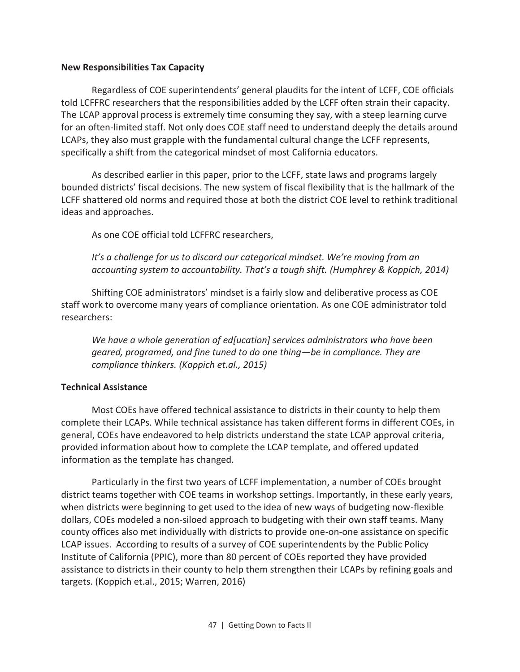#### **New Responsibilities Tax Capacity**

Regardless of COE superintendents' general plaudits for the intent of LCFF, COE officials told LCFFRC researchers that the responsibilities added by the LCFF often strain their capacity. The LCAP approval process is extremely time consuming they say, with a steep learning curve for an often-limited staff. Not only does COE staff need to understand deeply the details around LCAPs, they also must grapple with the fundamental cultural change the LCFF represents, specifically a shift from the categorical mindset of most California educators.

As described earlier in this paper, prior to the LCFF, state laws and programs largely bounded districts' fiscal decisions. The new system of fiscal flexibility that is the hallmark of the LCFF shattered old norms and required those at both the district COE level to rethink traditional ideas and approaches.

As one COE official told LCFFRC researchers,

*It's a challenge for us to discard our categorical mindset. We're moving from an accounting system to accountability. That's a tough shift. (Humphrey & Koppich, 2014)* 

Shifting COE administrators' mindset is a fairly slow and deliberative process as COE staff work to overcome many years of compliance orientation. As one COE administrator told researchers:

*We have a whole generation of ed[ucation] services administrators who have been geared, programed, and fine tuned to do one thing—be in compliance. They are compliance thinkers. (Koppich et.al., 2015)* 

## **Technical Assistance**

Most COEs have offered technical assistance to districts in their county to help them complete their LCAPs. While technical assistance has taken different forms in different COEs, in general, COEs have endeavored to help districts understand the state LCAP approval criteria, provided information about how to complete the LCAP template, and offered updated information as the template has changed.

Particularly in the first two years of LCFF implementation, a number of COEs brought district teams together with COE teams in workshop settings. Importantly, in these early years, when districts were beginning to get used to the idea of new ways of budgeting now-flexible dollars, COEs modeled a non-siloed approach to budgeting with their own staff teams. Many county offices also met individually with districts to provide one-on-one assistance on specific LCAP issues. According to results of a survey of COE superintendents by the Public Policy Institute of California (PPIC), more than 80 percent of COEs reported they have provided assistance to districts in their county to help them strengthen their LCAPs by refining goals and targets. (Koppich et.al., 2015; Warren, 2016)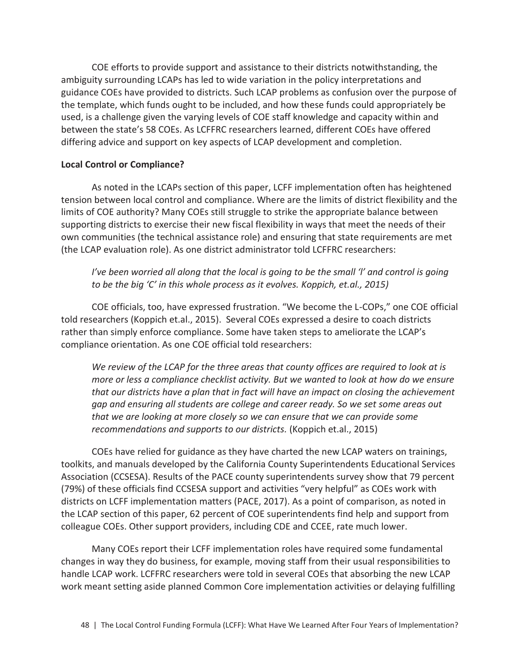COE efforts to provide support and assistance to their districts notwithstanding, the ambiguity surrounding LCAPs has led to wide variation in the policy interpretations and guidance COEs have provided to districts. Such LCAP problems as confusion over the purpose of the template, which funds ought to be included, and how these funds could appropriately be used, is a challenge given the varying levels of COE staff knowledge and capacity within and between the state's 58 COEs. As LCFFRC researchers learned, different COEs have offered differing advice and support on key aspects of LCAP development and completion.

## **Local Control or Compliance?**

As noted in the LCAPs section of this paper, LCFF implementation often has heightened tension between local control and compliance. Where are the limits of district flexibility and the limits of COE authority? Many COEs still struggle to strike the appropriate balance between supporting districts to exercise their new fiscal flexibility in ways that meet the needs of their own communities (the technical assistance role) and ensuring that state requirements are met (the LCAP evaluation role). As one district administrator told LCFFRC researchers:

*I've been worried all along that the local is going to be the small 'l' and control is going to be the big 'C' in this whole process as it evolves. Koppich, et.al., 2015)* 

COE officials, too, have expressed frustration. "We become the L-COPs," one COE official told researchers (Koppich et.al., 2015). Several COEs expressed a desire to coach districts rather than simply enforce compliance. Some have taken steps to ameliorate the LCAP's compliance orientation. As one COE official told researchers:

*We review of the LCAP for the three areas that county offices are required to look at is more or less a compliance checklist activity. But we wanted to look at how do we ensure that our districts have a plan that in fact will have an impact on closing the achievement gap and ensuring all students are college and career ready. So we set some areas out that we are looking at more closely so we can ensure that we can provide some recommendations and supports to our districts.* (Koppich et.al., 2015)

COEs have relied for guidance as they have charted the new LCAP waters on trainings, toolkits, and manuals developed by the California County Superintendents Educational Services Association (CCSESA). Results of the PACE county superintendents survey show that 79 percent (79%) of these officials find CCSESA support and activities "very helpful" as COEs work with districts on LCFF implementation matters (PACE, 2017). As a point of comparison, as noted in the LCAP section of this paper, 62 percent of COE superintendents find help and support from colleague COEs. Other support providers, including CDE and CCEE, rate much lower.

Many COEs report their LCFF implementation roles have required some fundamental changes in way they do business, for example, moving staff from their usual responsibilities to handle LCAP work. LCFFRC researchers were told in several COEs that absorbing the new LCAP work meant setting aside planned Common Core implementation activities or delaying fulfilling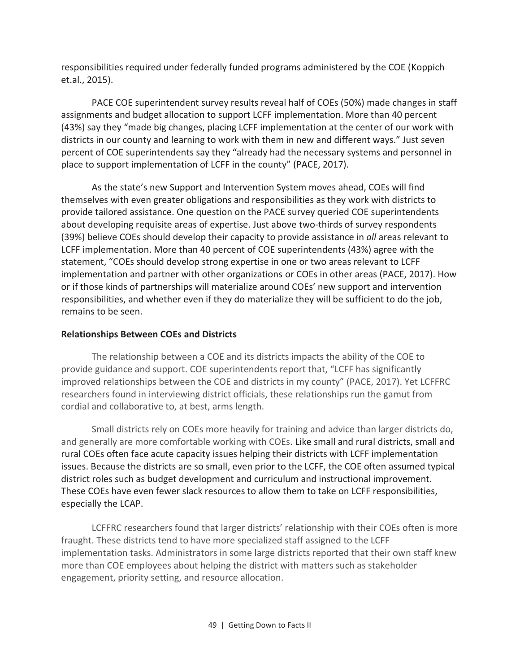responsibilities required under federally funded programs administered by the COE (Koppich et.al., 2015).

PACE COE superintendent survey results reveal half of COEs (50%) made changes in staff assignments and budget allocation to support LCFF implementation. More than 40 percent (43%) say they "made big changes, placing LCFF implementation at the center of our work with districts in our county and learning to work with them in new and different ways." Just seven percent of COE superintendents say they "already had the necessary systems and personnel in place to support implementation of LCFF in the county" (PACE, 2017).

As the state's new Support and Intervention System moves ahead, COEs will find themselves with even greater obligations and responsibilities as they work with districts to provide tailored assistance. One question on the PACE survey queried COE superintendents about developing requisite areas of expertise. Just above two-thirds of survey respondents (39%) believe COEs should develop their capacity to provide assistance in *all* areas relevant to LCFF implementation. More than 40 percent of COE superintendents (43%) agree with the statement, "COEs should develop strong expertise in one or two areas relevant to LCFF implementation and partner with other organizations or COEs in other areas (PACE, 2017). How or if those kinds of partnerships will materialize around COEs' new support and intervention responsibilities, and whether even if they do materialize they will be sufficient to do the job, remains to be seen.

## **Relationships Between COEs and Districts**

The relationship between a COE and its districts impacts the ability of the COE to provide guidance and support. COE superintendents report that, "LCFF has significantly improved relationships between the COE and districts in my county" (PACE, 2017). Yet LCFFRC researchers found in interviewing district officials, these relationships run the gamut from cordial and collaborative to, at best, arms length.

Small districts rely on COEs more heavily for training and advice than larger districts do, and generally are more comfortable working with COEs. Like small and rural districts, small and rural COEs often face acute capacity issues helping their districts with LCFF implementation issues. Because the districts are so small, even prior to the LCFF, the COE often assumed typical district roles such as budget development and curriculum and instructional improvement. These COEs have even fewer slack resources to allow them to take on LCFF responsibilities, especially the LCAP.

LCFFRC researchers found that larger districts' relationship with their COEs often is more fraught. These districts tend to have more specialized staff assigned to the LCFF implementation tasks. Administrators in some large districts reported that their own staff knew more than COE employees about helping the district with matters such as stakeholder engagement, priority setting, and resource allocation.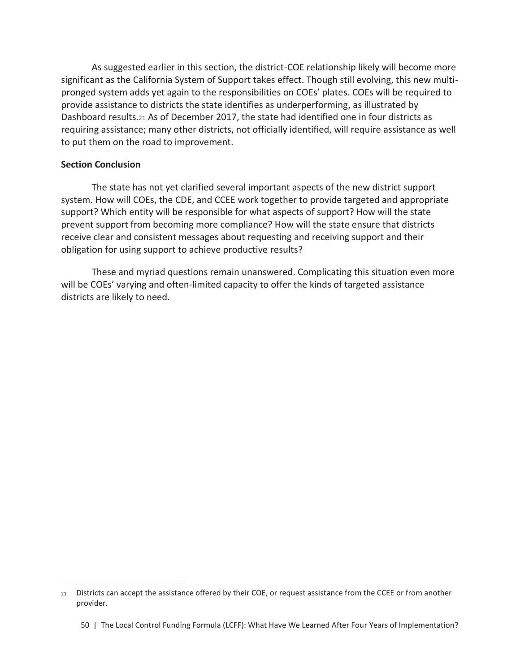As suggested earlier in this section, the district-COE relationship likely will become more significant as the California System of Support takes effect. Though still evolving, this new multipronged system adds yet again to the responsibilities on COEs' plates. COEs will be required to provide assistance to districts the state identifies as underperforming, as illustrated by Dashboard results.21 As of December 2017, the state had identified one in four districts as requiring assistance; many other districts, not officially identified, will require assistance as well to put them on the road to improvement.

#### **Section Conclusion**

 $\overline{\phantom{0}}$ 

The state has not yet clarified several important aspects of the new district support system. How will COEs, the CDE, and CCEE work together to provide targeted and appropriate support? Which entity will be responsible for what aspects of support? How will the state prevent support from becoming more compliance? How will the state ensure that districts receive clear and consistent messages about requesting and receiving support and their obligation for using support to achieve productive results?

These and myriad questions remain unanswered. Complicating this situation even more will be COEs' varying and often-limited capacity to offer the kinds of targeted assistance districts are likely to need.

<sup>21</sup> Districts can accept the assistance offered by their COE, or request assistance from the CCEE or from another provider.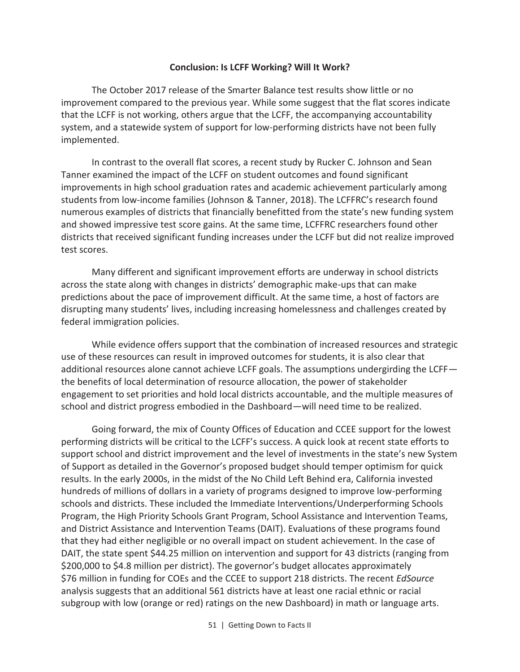#### **Conclusion: Is LCFF Working? Will It Work?**

The October 2017 release of the Smarter Balance test results show little or no improvement compared to the previous year. While some suggest that the flat scores indicate that the LCFF is not working, others argue that the LCFF, the accompanying accountability system, and a statewide system of support for low-performing districts have not been fully implemented.

In contrast to the overall flat scores, a recent study by Rucker C. Johnson and Sean Tanner examined the impact of the LCFF on student outcomes and found significant improvements in high school graduation rates and academic achievement particularly among students from low-income families (Johnson & Tanner, 2018). The LCFFRC's research found numerous examples of districts that financially benefitted from the state's new funding system and showed impressive test score gains. At the same time, LCFFRC researchers found other districts that received significant funding increases under the LCFF but did not realize improved test scores.

Many different and significant improvement efforts are underway in school districts across the state along with changes in districts' demographic make-ups that can make predictions about the pace of improvement difficult. At the same time, a host of factors are disrupting many students' lives, including increasing homelessness and challenges created by federal immigration policies.

While evidence offers support that the combination of increased resources and strategic use of these resources can result in improved outcomes for students, it is also clear that additional resources alone cannot achieve LCFF goals. The assumptions undergirding the LCFF the benefits of local determination of resource allocation, the power of stakeholder engagement to set priorities and hold local districts accountable, and the multiple measures of school and district progress embodied in the Dashboard—will need time to be realized.

Going forward, the mix of County Offices of Education and CCEE support for the lowest performing districts will be critical to the LCFF's success. A quick look at recent state efforts to support school and district improvement and the level of investments in the state's new System of Support as detailed in the Governor's proposed budget should temper optimism for quick results. In the early 2000s, in the midst of the No Child Left Behind era, California invested hundreds of millions of dollars in a variety of programs designed to improve low-performing schools and districts. These included the Immediate Interventions/Underperforming Schools Program, the High Priority Schools Grant Program, School Assistance and Intervention Teams, and District Assistance and Intervention Teams (DAIT). Evaluations of these programs found that they had either negligible or no overall impact on student achievement. In the case of DAIT, the state spent \$44.25 million on intervention and support for 43 districts (ranging from \$200,000 to \$4.8 million per district). The governor's budget allocates approximately \$76 million in funding for COEs and the CCEE to support 218 districts. The recent *EdSource* analysis suggests that an additional 561 districts have at least one racial ethnic or racial subgroup with low (orange or red) ratings on the new Dashboard) in math or language arts.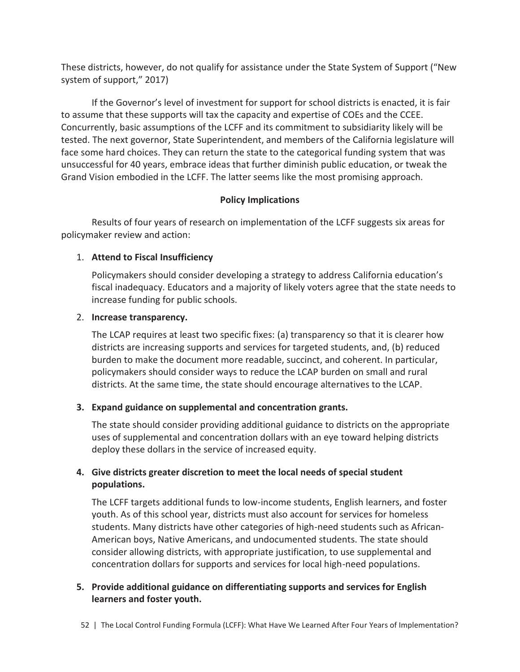These districts, however, do not qualify for assistance under the State System of Support ("New system of support," 2017)

If the Governor's level of investment for support for school districts is enacted, it is fair to assume that these supports will tax the capacity and expertise of COEs and the CCEE. Concurrently, basic assumptions of the LCFF and its commitment to subsidiarity likely will be tested. The next governor, State Superintendent, and members of the California legislature will face some hard choices. They can return the state to the categorical funding system that was unsuccessful for 40 years, embrace ideas that further diminish public education, or tweak the Grand Vision embodied in the LCFF. The latter seems like the most promising approach.

## **Policy Implications**

Results of four years of research on implementation of the LCFF suggests six areas for policymaker review and action:

## 1. **Attend to Fiscal Insufficiency**

Policymakers should consider developing a strategy to address California education's fiscal inadequacy. Educators and a majority of likely voters agree that the state needs to increase funding for public schools.

## 2. **Increase transparency.**

The LCAP requires at least two specific fixes: (a) transparency so that it is clearer how districts are increasing supports and services for targeted students, and, (b) reduced burden to make the document more readable, succinct, and coherent. In particular, policymakers should consider ways to reduce the LCAP burden on small and rural districts. At the same time, the state should encourage alternatives to the LCAP.

## **3. Expand guidance on supplemental and concentration grants.**

The state should consider providing additional guidance to districts on the appropriate uses of supplemental and concentration dollars with an eye toward helping districts deploy these dollars in the service of increased equity.

## **4. Give districts greater discretion to meet the local needs of special student populations.**

The LCFF targets additional funds to low-income students, English learners, and foster youth. As of this school year, districts must also account for services for homeless students. Many districts have other categories of high-need students such as African-American boys, Native Americans, and undocumented students. The state should consider allowing districts, with appropriate justification, to use supplemental and concentration dollars for supports and services for local high-need populations.

## **5. Provide additional guidance on differentiating supports and services for English learners and foster youth.**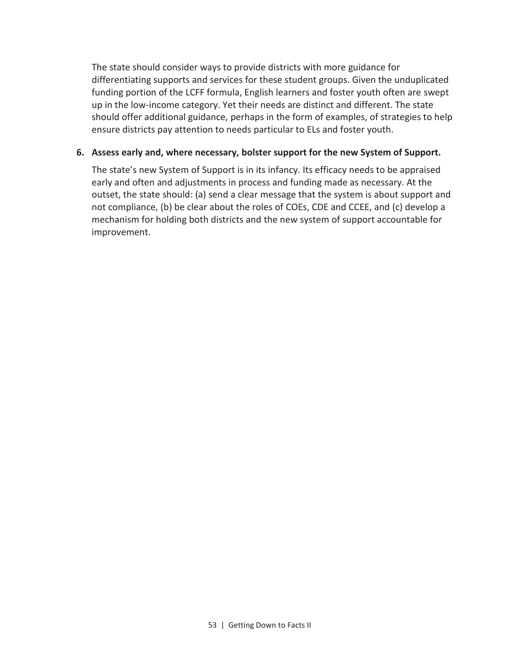The state should consider ways to provide districts with more guidance for differentiating supports and services for these student groups. Given the unduplicated funding portion of the LCFF formula, English learners and foster youth often are swept up in the low-income category. Yet their needs are distinct and different. The state should offer additional guidance, perhaps in the form of examples, of strategies to help ensure districts pay attention to needs particular to ELs and foster youth.

#### **6. Assess early and, where necessary, bolster support for the new System of Support.**

The state's new System of Support is in its infancy. Its efficacy needs to be appraised early and often and adjustments in process and funding made as necessary. At the outset, the state should: (a) send a clear message that the system is about support and not compliance, (b) be clear about the roles of COEs, CDE and CCEE, and (c) develop a mechanism for holding both districts and the new system of support accountable for improvement.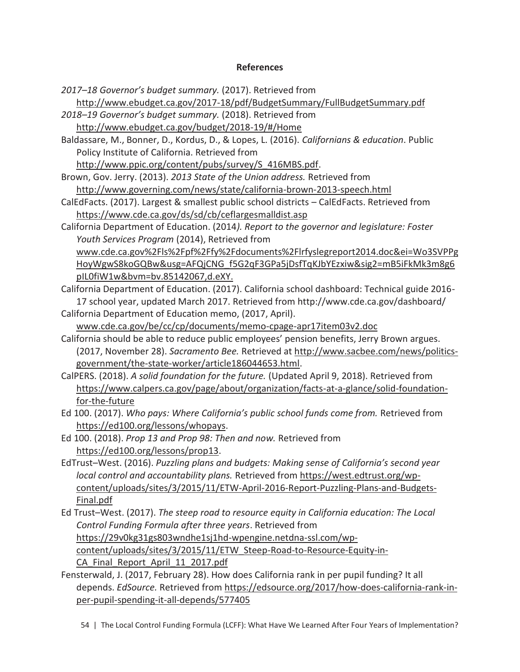#### **References**

*2017–18 Governor's budget summary.* (2017). Retrieved from

http://www.ebudget.ca.gov/2017-18/pdf/BudgetSummary/FullBudgetSummary.pdf

*2018–19 Governor's budget summary.* (2018). Retrieved from

http://www.ebudget.ca.gov/budget/2018-19/#/Home

Baldassare, M., Bonner, D., Kordus, D., & Lopes, L. (2016). *Californians & education*. Public Policy Institute of California. Retrieved from

http://www.ppic.org/content/pubs/survey/S\_416MBS.pdf.

Brown, Gov. Jerry. (2013). *2013 State of the Union address.* Retrieved from http://www.governing.com/news/state/california-brown-2013-speech.html

- CalEdFacts. (2017). Largest & smallest public school districts CalEdFacts. Retrieved from https://www.cde.ca.gov/ds/sd/cb/ceflargesmalldist.asp
- California Department of Education. (2014*). Report to the governor and legislature: Foster Youth Services Program* (2014), Retrieved from www.cde.ca.gov%2Fls%2Fpf%2Ffy%2Fdocuments%2Flrfyslegreport2014.doc&ei=Wo3SVPPg HoyWgwS8koGQBw&usg=AFQjCNG\_f5G2qF3GPa5jDsfTqKJbYEzxiw&sig2=mB5iFkMk3m8g6

pIL0fiW1w&bvm=bv.85142067,d.eXY.

- California Department of Education. (2017). California school dashboard: Technical guide 2016- 17 school year, updated March 2017. Retrieved from http://www.cde.ca.gov/dashboard/ California Department of Education memo, (2017, April).
	- www.cde.ca.gov/be/cc/cp/documents/memo-cpage-apr17item03v2.doc
- California should be able to reduce public employees' pension benefits, Jerry Brown argues. (2017, November 28). *Sacramento Bee.* Retrieved at http://www.sacbee.com/news/politicsgovernment/the-state-worker/article186044653.html.
- CalPERS. (2018). *A solid foundation for the future.* (Updated April 9, 2018). Retrieved from https://www.calpers.ca.gov/page/about/organization/facts-at-a-glance/solid-foundationfor-the-future
- Ed 100. (2017). *Who pays: Where California's public school funds come from.* Retrieved from https://ed100.org/lessons/whopays.
- Ed 100. (2018). *Prop 13 and Prop 98: Then and now.* Retrieved from https://ed100.org/lessons/prop13.
- EdTrust–West. (2016). *Puzzling plans and budgets: Making sense of California's second year local control and accountability plans.* Retrieved from https://west.edtrust.org/wpcontent/uploads/sites/3/2015/11/ETW-April-2016-Report-Puzzling-Plans-and-Budgets-Final.pdf
- Ed Trust–West. (2017). *The steep road to resource equity in California education: The Local Control Funding Formula after three years*. Retrieved from https://29v0kg31gs803wndhe1sj1hd-wpengine.netdna-ssl.com/wpcontent/uploads/sites/3/2015/11/ETW\_Steep-Road-to-Resource-Equity-in-CA Final Report April 11 2017.pdf
- Fensterwald, J. (2017, February 28). How does California rank in per pupil funding? It all depends. *EdSource.* Retrieved from https://edsource.org/2017/how-does-california-rank-inper-pupil-spending-it-all-depends/577405

54 | The Local Control Funding Formula (LCFF): What Have We Learned After Four Years of Implementation?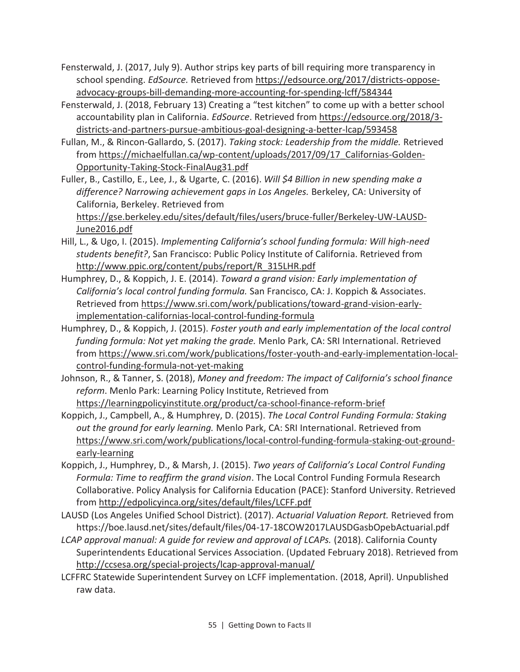- Fensterwald, J. (2017, July 9). Author strips key parts of bill requiring more transparency in school spending. *EdSource.* Retrieved from https://edsource.org/2017/districts-opposeadvocacy-groups-bill-demanding-more-accounting-for-spending-lcff/584344
- Fensterwald, J. (2018, February 13) Creating a "test kitchen" to come up with a better school accountability plan in California. *EdSource*. Retrieved from https://edsource.org/2018/3 districts-and-partners-pursue-ambitious-goal-designing-a-better-lcap/593458
- Fullan, M., & Rincon-Gallardo, S. (2017). *Taking stock: Leadership from the middle.* Retrieved from https://michaelfullan.ca/wp-content/uploads/2017/09/17\_Californias-Golden-Opportunity-Taking-Stock-FinalAug31.pdf
- Fuller, B., Castillo, E., Lee, J., & Ugarte, C. (2016). *Will \$4 Billion in new spending make a difference? Narrowing achievement gaps in Los Angeles.* Berkeley, CA: University of California, Berkeley. Retrieved from

https://gse.berkeley.edu/sites/default/files/users/bruce-fuller/Berkeley-UW-LAUSD-June2016.pdf

- Hill, L., & Ugo, I. (2015). *Implementing California's school funding formula: Will high-need students benefit?*, San Francisco: Public Policy Institute of California. Retrieved from http://www.ppic.org/content/pubs/report/R\_315LHR.pdf
- Humphrey, D., & Koppich, J. E. (2014). *Toward a grand vision: Early implementation of California's local control funding formula.* San Francisco, CA: J. Koppich & Associates. Retrieved from https://www.sri.com/work/publications/toward-grand-vision-earlyimplementation-californias-local-control-funding-formula
- Humphrey, D., & Koppich, J. (2015). *Foster youth and early implementation of the local control funding formula: Not yet making the grade.* Menlo Park, CA: SRI International. Retrieved from https://www.sri.com/work/publications/foster-youth-and-early-implementation-localcontrol-funding-formula-not-yet-making
- Johnson, R., & Tanner, S. (2018), *Money and freedom: The impact of California's school finance reform*. Menlo Park: Learning Policy Institute, Retrieved from

https://learningpolicyinstitute.org/product/ca-school-finance-reform-brief

- Koppich, J., Campbell, A., & Humphrey, D. (2015). *The Local Control Funding Formula: Staking out the ground for early learning.* Menlo Park, CA: SRI International. Retrieved from https://www.sri.com/work/publications/local-control-funding-formula-staking-out-groundearly-learning
- Koppich, J., Humphrey, D., & Marsh, J. (2015). *Two years of California's Local Control Funding Formula: Time to reaffirm the grand vision*. The Local Control Funding Formula Research Collaborative. Policy Analysis for California Education (PACE): Stanford University. Retrieved from http://edpolicyinca.org/sites/default/files/LCFF.pdf
- LAUSD (Los Angeles Unified School District). (2017). *Actuarial Valuation Report.* Retrieved from https://boe.lausd.net/sites/default/files/04-17-18COW2017LAUSDGasbOpebActuarial.pdf
- *LCAP approval manual: A guide for review and approval of LCAPs.* (2018). California County Superintendents Educational Services Association. (Updated February 2018). Retrieved from http://ccsesa.org/special-projects/lcap-approval-manual/
- LCFFRC Statewide Superintendent Survey on LCFF implementation. (2018, April). Unpublished raw data.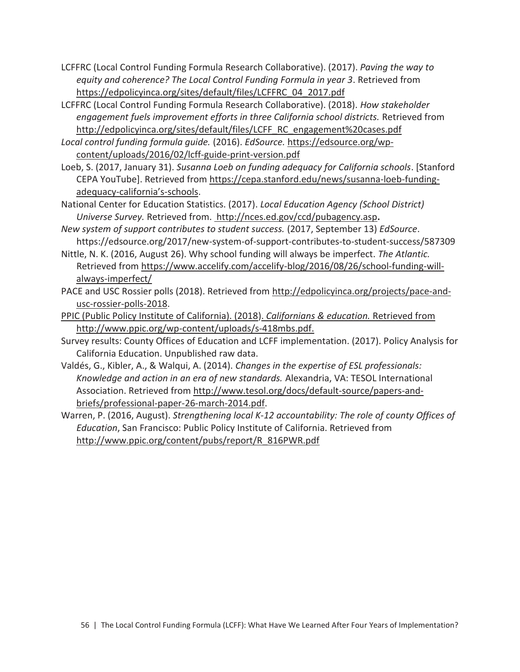- LCFFRC (Local Control Funding Formula Research Collaborative). (2017). *Paving the way to equity and coherence? The Local Control Funding Formula in year 3*. Retrieved from https://edpolicyinca.org/sites/default/files/LCFFRC\_04\_2017.pdf
- LCFFRC (Local Control Funding Formula Research Collaborative). (2018). *How stakeholder engagement fuels improvement efforts in three California school districts.* Retrieved from http://edpolicyinca.org/sites/default/files/LCFF\_RC\_engagement%20cases.pdf
- *Local control funding formula guide.* (2016). *EdSource.* https://edsource.org/wpcontent/uploads/2016/02/lcff-guide-print-version.pdf
- Loeb, S. (2017, January 31). *Susanna Loeb on funding adequacy for California schools*. [Stanford CEPA YouTube]. Retrieved from https://cepa.stanford.edu/news/susanna-loeb-fundingadequacy-california's-schools.
- National Center for Education Statistics. (2017). *Local Education Agency (School District) Universe Survey.* Retrieved from. http://nces.ed.gov/ccd/pubagency.asp**.**
- *New system of support contributes to student success.* (2017, September 13) *EdSource*. https://edsource.org/2017/new-system-of-support-contributes-to-student-success/587309
- Nittle, N. K. (2016, August 26). Why school funding will always be imperfect. *The Atlantic.*  Retrieved from https://www.accelify.com/accelify-blog/2016/08/26/school-funding-willalways-imperfect/
- PACE and USC Rossier polls (2018). Retrieved from http://edpolicyinca.org/projects/pace-andusc-rossier-polls-2018.
- PPIC (Public Policy Institute of California). (2018). *Californians & education.* Retrieved from http://www.ppic.org/wp-content/uploads/s-418mbs.pdf.
- Survey results: County Offices of Education and LCFF implementation. (2017). Policy Analysis for California Education. Unpublished raw data.
- Valdés, G., Kibler, A., & Walqui, A. (2014). *Changes in the expertise of ESL professionals: Knowledge and action in an era of new standards.* Alexandria, VA: TESOL International Association. Retrieved from http://www.tesol.org/docs/default-source/papers-andbriefs/professional-paper-26-march-2014.pdf.
- Warren, P. (2016, August). *Strengthening local K-12 accountability: The role of county Offices of Education*, San Francisco: Public Policy Institute of California. Retrieved from http://www.ppic.org/content/pubs/report/R\_816PWR.pdf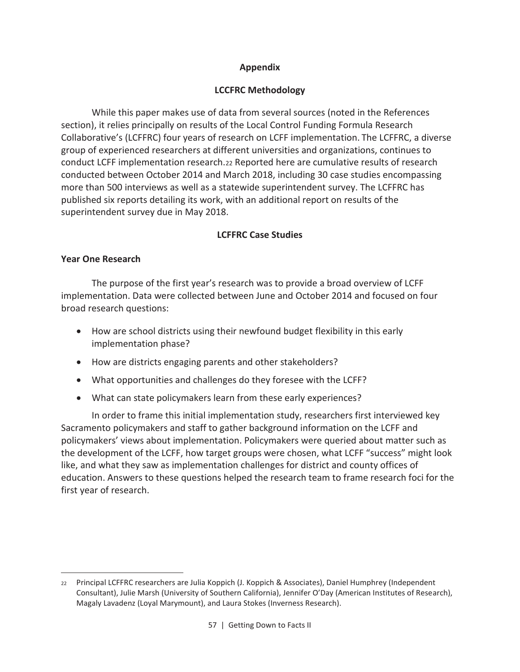## **Appendix**

## **LCCFRC Methodology**

While this paper makes use of data from several sources (noted in the References section), it relies principally on results of the Local Control Funding Formula Research Collaborative's (LCFFRC) four years of research on LCFF implementation. The LCFFRC, a diverse group of experienced researchers at different universities and organizations, continues to conduct LCFF implementation research.22 Reported here are cumulative results of research conducted between October 2014 and March 2018, including 30 case studies encompassing more than 500 interviews as well as a statewide superintendent survey. The LCFFRC has published six reports detailing its work, with an additional report on results of the superintendent survey due in May 2018.

## **LCFFRC Case Studies**

## **Year One Research**

 $\overline{\phantom{0}}$ 

The purpose of the first year's research was to provide a broad overview of LCFF implementation. Data were collected between June and October 2014 and focused on four broad research questions:

- · How are school districts using their newfound budget flexibility in this early implementation phase?
- · How are districts engaging parents and other stakeholders?
- · What opportunities and challenges do they foresee with the LCFF?
- · What can state policymakers learn from these early experiences?

In order to frame this initial implementation study, researchers first interviewed key Sacramento policymakers and staff to gather background information on the LCFF and policymakers' views about implementation. Policymakers were queried about matter such as the development of the LCFF, how target groups were chosen, what LCFF "success" might look like, and what they saw as implementation challenges for district and county offices of education. Answers to these questions helped the research team to frame research foci for the first year of research.

<sup>22</sup> Principal LCFFRC researchers are Julia Koppich (J. Koppich & Associates), Daniel Humphrey (Independent Consultant), Julie Marsh (University of Southern California), Jennifer O'Day (American Institutes of Research), Magaly Lavadenz (Loyal Marymount), and Laura Stokes (Inverness Research).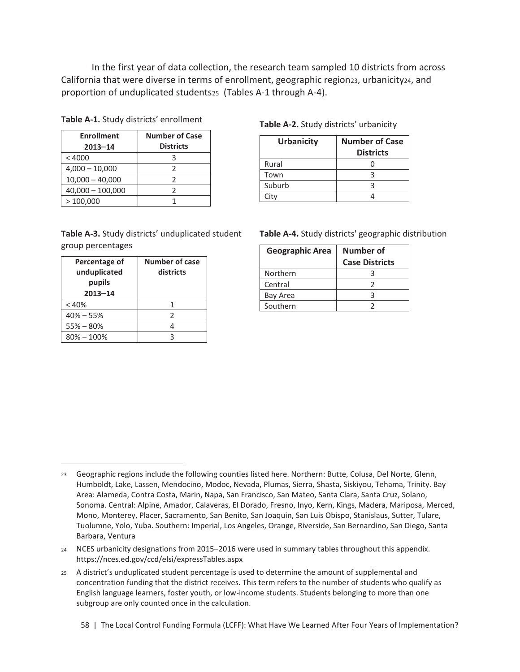In the first year of data collection, the research team sampled 10 districts from across California that were diverse in terms of enrollment, geographic region23, urbanicity24, and proportion of unduplicated students25 (Tables A-1 through A-4).

**Table A-1.** Study districts' enrollment

| <b>Enrollment</b><br>$2013 - 14$ | <b>Number of Case</b><br><b>Districts</b> |
|----------------------------------|-------------------------------------------|
| < 4000                           |                                           |
| $4,000 - 10,000$                 |                                           |
| $10,000 - 40,000$                |                                           |
| $40,000 - 100,000$               |                                           |
| >100,000                         |                                           |

## group percentages

| Percentage of<br>unduplicated<br>pupils<br>$2013 - 14$ | <b>Number of case</b><br>districts |
|--------------------------------------------------------|------------------------------------|
| < 40%                                                  | 1                                  |
| $40\% - 55\%$                                          | 2                                  |
| $55\% - 80\%$                                          |                                    |
| $80\% - 100\%$                                         | ੨                                  |

 $\overline{\phantom{0}}$ 

#### **Table A-2.** Study districts' urbanicity

| <b>Urbanicity</b> | <b>Number of Case</b><br><b>Districts</b> |
|-------------------|-------------------------------------------|
| Rural             |                                           |
| Town              |                                           |
| Suburb            |                                           |
| Citv              |                                           |

#### **Table A-3.** Study districts' unduplicated student **Table A-4.** Study districts' geographic distribution

| <b>Geographic Area</b> | Number of<br><b>Case Districts</b> |
|------------------------|------------------------------------|
| Northern               |                                    |
| Central                |                                    |
| Bay Area               |                                    |
| Southern               |                                    |

#### 58 | The Local Control Funding Formula (LCFF): What Have We Learned After Four Years of Implementation?

<sup>23</sup> Geographic regions include the following counties listed here. Northern: Butte, Colusa, Del Norte, Glenn, Humboldt, Lake, Lassen, Mendocino, Modoc, Nevada, Plumas, Sierra, Shasta, Siskiyou, Tehama, Trinity. Bay Area: Alameda, Contra Costa, Marin, Napa, San Francisco, San Mateo, Santa Clara, Santa Cruz, Solano, Sonoma. Central: Alpine, Amador, Calaveras, El Dorado, Fresno, Inyo, Kern, Kings, Madera, Mariposa, Merced, Mono, Monterey, Placer, Sacramento, San Benito, San Joaquin, San Luis Obispo, Stanislaus, Sutter, Tulare, Tuolumne, Yolo, Yuba. Southern: Imperial, Los Angeles, Orange, Riverside, San Bernardino, San Diego, Santa Barbara, Ventura

<sup>24</sup> NCES urbanicity designations from 2015–2016 were used in summary tables throughout this appendix. https://nces.ed.gov/ccd/elsi/expressTables.aspx

<sup>25</sup> A district's unduplicated student percentage is used to determine the amount of supplemental and concentration funding that the district receives. This term refers to the number of students who qualify as English language learners, foster youth, or low-income students. Students belonging to more than one subgroup are only counted once in the calculation.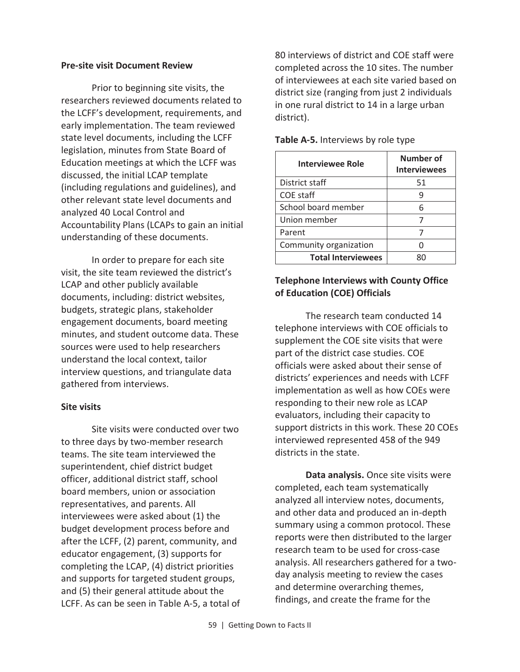#### **Pre-site visit Document Review**

Prior to beginning site visits, the researchers reviewed documents related to the LCFF's development, requirements, and early implementation. The team reviewed state level documents, including the LCFF legislation, minutes from State Board of Education meetings at which the LCFF was discussed, the initial LCAP template (including regulations and guidelines), and other relevant state level documents and analyzed 40 Local Control and Accountability Plans (LCAPs to gain an initial understanding of these documents.

In order to prepare for each site visit, the site team reviewed the district's LCAP and other publicly available documents, including: district websites, budgets, strategic plans, stakeholder engagement documents, board meeting minutes, and student outcome data. These sources were used to help researchers understand the local context, tailor interview questions, and triangulate data gathered from interviews.

#### **Site visits**

Site visits were conducted over two to three days by two-member research teams. The site team interviewed the superintendent, chief district budget officer, additional district staff, school board members, union or association representatives, and parents. All interviewees were asked about (1) the budget development process before and after the LCFF, (2) parent, community, and educator engagement, (3) supports for completing the LCAP, (4) district priorities and supports for targeted student groups, and (5) their general attitude about the LCFF. As can be seen in Table A-5, a total of 80 interviews of district and COE staff were completed across the 10 sites. The number of interviewees at each site varied based on district size (ranging from just 2 individuals in one rural district to 14 in a large urban district).

| <b>Interviewee Role</b>   | Number of<br><b>Interviewees</b> |
|---------------------------|----------------------------------|
| District staff            | 51                               |
| COE staff                 |                                  |
| School board member       | հ                                |
| Union member              |                                  |
| Parent                    |                                  |
| Community organization    |                                  |
| <b>Total Interviewees</b> |                                  |

#### **Table A-5.** Interviews by role type

## **Telephone Interviews with County Office of Education (COE) Officials**

The research team conducted 14 telephone interviews with COE officials to supplement the COE site visits that were part of the district case studies. COE officials were asked about their sense of districts' experiences and needs with LCFF implementation as well as how COEs were responding to their new role as LCAP evaluators, including their capacity to support districts in this work. These 20 COEs interviewed represented 458 of the 949 districts in the state.

**Data analysis.** Once site visits were completed, each team systematically analyzed all interview notes, documents, and other data and produced an in-depth summary using a common protocol. These reports were then distributed to the larger research team to be used for cross-case analysis. All researchers gathered for a twoday analysis meeting to review the cases and determine overarching themes, findings, and create the frame for the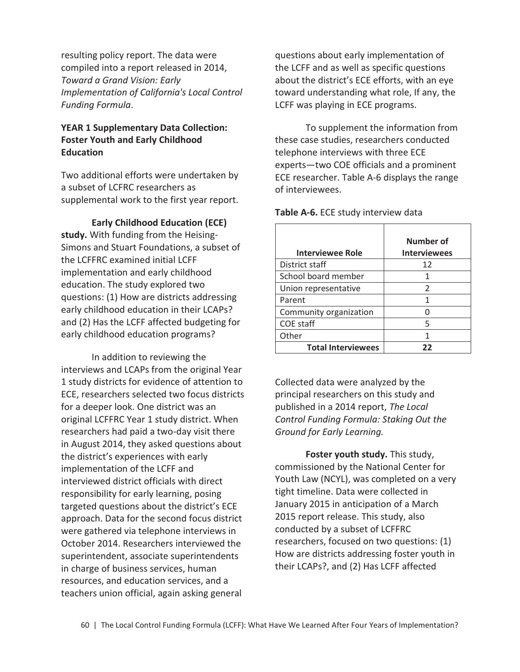resulting policy report. The data were compiled into a report released in 2014, *Toward a Grand Vision: Early Implementation of California's Local Control Funding Formula*.

## **YEAR 1 Supplementary Data Collection: Foster Youth and Early Childhood Education**

Two additional efforts were undertaken by a subset of LCFRC researchers as supplemental work to the first year report.

**Early Childhood Education (ECE) study.** With funding from the Heising-Simons and Stuart Foundations, a subset of the LCFFRC examined initial LCFF implementation and early childhood education. The study explored two questions: (1) How are districts addressing early childhood education in their LCAPs? and (2) Has the LCFF affected budgeting for early childhood education programs?

In addition to reviewing the interviews and LCAPs from the original Year 1 study districts for evidence of attention to ECE, researchers selected two focus districts for a deeper look. One district was an original LCFFRC Year 1 study district. When researchers had paid a two-day visit there in August 2014, they asked questions about the district's experiences with early implementation of the LCFF and interviewed district officials with direct responsibility for early learning, posing targeted questions about the district's ECE approach. Data for the second focus district were gathered via telephone interviews in October 2014. Researchers interviewed the superintendent, associate superintendents in charge of business services, human resources, and education services, and a teachers union official, again asking general

questions about early implementation of the LCFF and as well as specific questions about the district's ECE efforts, with an eye toward understanding what role, If any, the LCFF was playing in ECE programs.

To supplement the information from these case studies, researchers conducted telephone interviews with three ECE experts—two COE officials and a prominent ECE researcher. Table A-6 displays the range of interviewees.

**Interviewee Role Number of Interviewees**  District staff 12 School board member 1 Union representative | 2 Parent 1 1 Community organization | 0 COE staff 5 Other 1 1 **Total Interviewees 22** 

**Table A-6.** ECE study interview data

Collected data were analyzed by the principal researchers on this study and published in a 2014 report, *The Local Control Funding Formula: Staking Out the Ground for Early Learning.*

**Foster youth study.** This study, commissioned by the National Center for Youth Law (NCYL), was completed on a very tight timeline. Data were collected in January 2015 in anticipation of a March 2015 report release. This study, also conducted by a subset of LCFFRC researchers, focused on two questions: (1) How are districts addressing foster youth in their LCAPs?, and (2) Has LCFF affected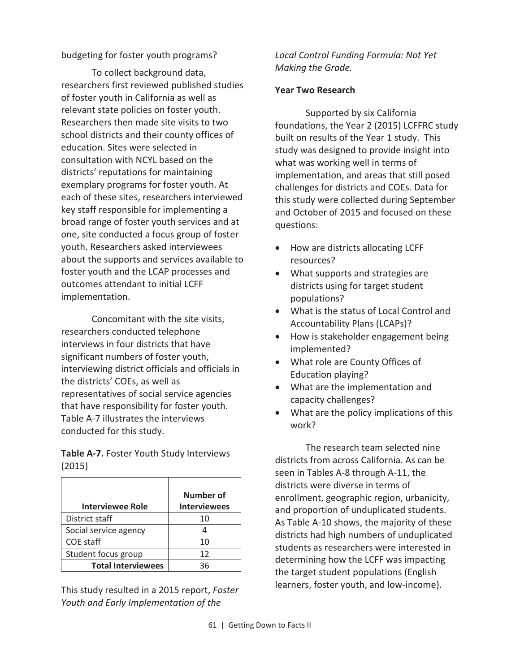## budgeting for foster youth programs?

To collect background data, researchers first reviewed published studies of foster youth in California as well as relevant state policies on foster youth. Researchers then made site visits to two school districts and their county offices of education. Sites were selected in consultation with NCYL based on the districts' reputations for maintaining exemplary programs for foster youth. At each of these sites, researchers interviewed key staff responsible for implementing a broad range of foster youth services and at one, site conducted a focus group of foster youth. Researchers asked interviewees about the supports and services available to foster youth and the LCAP processes and outcomes attendant to initial LCFF implementation.

Concomitant with the site visits, researchers conducted telephone interviews in four districts that have significant numbers of foster youth, interviewing district officials and officials in the districts' COEs, as well as representatives of social service agencies that have responsibility for foster youth. Table A-7 illustrates the interviews conducted for this study.

**Table A-7.** Foster Youth Study Interviews (2015)

| <b>Interviewee Role</b>   | Number of<br><b>Interviewees</b> |
|---------------------------|----------------------------------|
| District staff            | 10                               |
| Social service agency     |                                  |
| COE staff                 | 10                               |
| Student focus group       | 12                               |
| <b>Total Interviewees</b> | 36                               |

This study resulted in a 2015 report, *Foster Youth and Early Implementation of the* 

*Local Control Funding Formula: Not Yet Making the Grade.*

#### **Year Two Research**

Supported by six California foundations, the Year 2 (2015) LCFFRC study built on results of the Year 1 study. This study was designed to provide insight into what was working well in terms of implementation, and areas that still posed challenges for districts and COEs. Data for this study were collected during September and October of 2015 and focused on these questions:

- · How are districts allocating LCFF resources?
- · What supports and strategies are districts using for target student populations?
- · What is the status of Local Control and Accountability Plans (LCAPs)?
- · How is stakeholder engagement being implemented?
- · What role are County Offices of Education playing?
- · What are the implementation and capacity challenges?
- What are the policy implications of this work?

The research team selected nine districts from across California. As can be seen in Tables A-8 through A-11, the districts were diverse in terms of enrollment, geographic region, urbanicity, and proportion of unduplicated students. As Table A-10 shows, the majority of these districts had high numbers of unduplicated students as researchers were interested in determining how the LCFF was impacting the target student populations (English learners, foster youth, and low-income).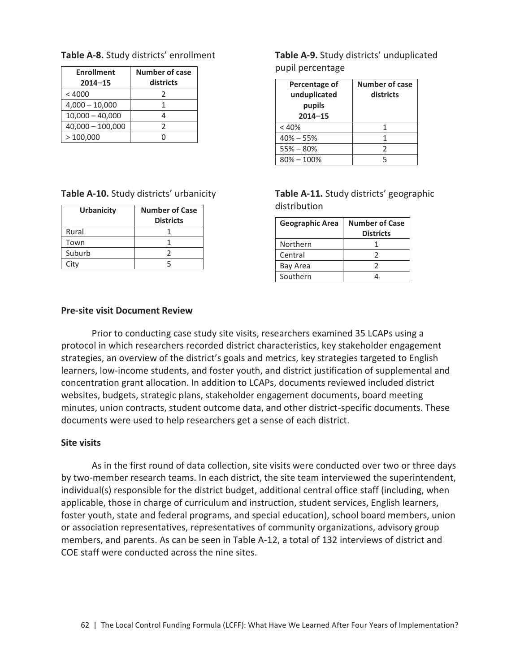#### **Table A-8.** Study districts' enrollment

| <b>Enrollment</b>  | <b>Number of case</b> |
|--------------------|-----------------------|
| $2014 - 15$        | districts             |
| < 4000             | 2                     |
| $4,000 - 10,000$   |                       |
| $10,000 - 40,000$  |                       |
| $40,000 - 100,000$ | 2                     |
| >100,000           |                       |

#### **Table A-10.** Study districts' urbanicity

| Urbanicity | <b>Number of Case</b> |
|------------|-----------------------|
|            | <b>Districts</b>      |
| Rural      |                       |
| Town       |                       |
| Suburb     |                       |
| Citv       |                       |

**Table A-9.** Study districts' unduplicated pupil percentage

| Percentage of<br>unduplicated<br>pupils<br>$2014 - 15$ | <b>Number of case</b><br>districts |
|--------------------------------------------------------|------------------------------------|
| < 40%                                                  |                                    |
| $40\% - 55\%$                                          |                                    |
| $55% - 80%$                                            | フ                                  |
| $80\% - 100\%$                                         |                                    |

**Table A-11.** Study districts' geographic distribution

| <b>Geographic Area</b> | <b>Number of Case</b><br><b>Districts</b> |
|------------------------|-------------------------------------------|
| Northern               |                                           |
| Central                |                                           |
| Bay Area               | 7                                         |
| Southern               |                                           |

#### **Pre-site visit Document Review**

Prior to conducting case study site visits, researchers examined 35 LCAPs using a protocol in which researchers recorded district characteristics, key stakeholder engagement strategies, an overview of the district's goals and metrics, key strategies targeted to English learners, low-income students, and foster youth, and district justification of supplemental and concentration grant allocation. In addition to LCAPs, documents reviewed included district websites, budgets, strategic plans, stakeholder engagement documents, board meeting minutes, union contracts, student outcome data, and other district-specific documents. These documents were used to help researchers get a sense of each district.

#### **Site visits**

As in the first round of data collection, site visits were conducted over two or three days by two-member research teams. In each district, the site team interviewed the superintendent, individual(s) responsible for the district budget, additional central office staff (including, when applicable, those in charge of curriculum and instruction, student services, English learners, foster youth, state and federal programs, and special education), school board members, union or association representatives, representatives of community organizations, advisory group members, and parents. As can be seen in Table A-12, a total of 132 interviews of district and COE staff were conducted across the nine sites.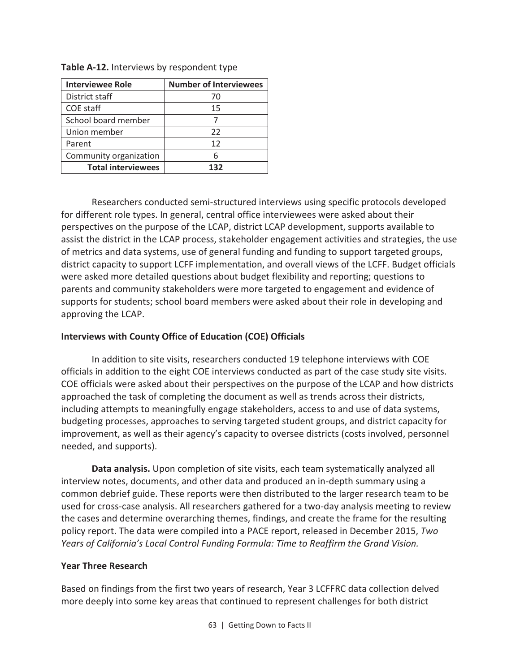| <b>Interviewee Role</b>   | <b>Number of Interviewees</b> |
|---------------------------|-------------------------------|
| District staff            | 70                            |
| COE staff                 | 15                            |
| School board member       |                               |
| Union member              | 22                            |
| Parent                    | 12                            |
| Community organization    |                               |
| <b>Total interviewees</b> | 132                           |

**Table A-12.** Interviews by respondent type

Researchers conducted semi-structured interviews using specific protocols developed for different role types. In general, central office interviewees were asked about their perspectives on the purpose of the LCAP, district LCAP development, supports available to assist the district in the LCAP process, stakeholder engagement activities and strategies, the use of metrics and data systems, use of general funding and funding to support targeted groups, district capacity to support LCFF implementation, and overall views of the LCFF. Budget officials were asked more detailed questions about budget flexibility and reporting; questions to parents and community stakeholders were more targeted to engagement and evidence of supports for students; school board members were asked about their role in developing and approving the LCAP.

## **Interviews with County Office of Education (COE) Officials**

In addition to site visits, researchers conducted 19 telephone interviews with COE officials in addition to the eight COE interviews conducted as part of the case study site visits. COE officials were asked about their perspectives on the purpose of the LCAP and how districts approached the task of completing the document as well as trends across their districts, including attempts to meaningfully engage stakeholders, access to and use of data systems, budgeting processes, approaches to serving targeted student groups, and district capacity for improvement, as well as their agency's capacity to oversee districts (costs involved, personnel needed, and supports).

**Data analysis.** Upon completion of site visits, each team systematically analyzed all interview notes, documents, and other data and produced an in-depth summary using a common debrief guide. These reports were then distributed to the larger research team to be used for cross-case analysis. All researchers gathered for a two-day analysis meeting to review the cases and determine overarching themes, findings, and create the frame for the resulting policy report. The data were compiled into a PACE report, released in December 2015, *Two Years of California's Local Control Funding Formula: Time to Reaffirm the Grand Vision.*

#### **Year Three Research**

Based on findings from the first two years of research, Year 3 LCFFRC data collection delved more deeply into some key areas that continued to represent challenges for both district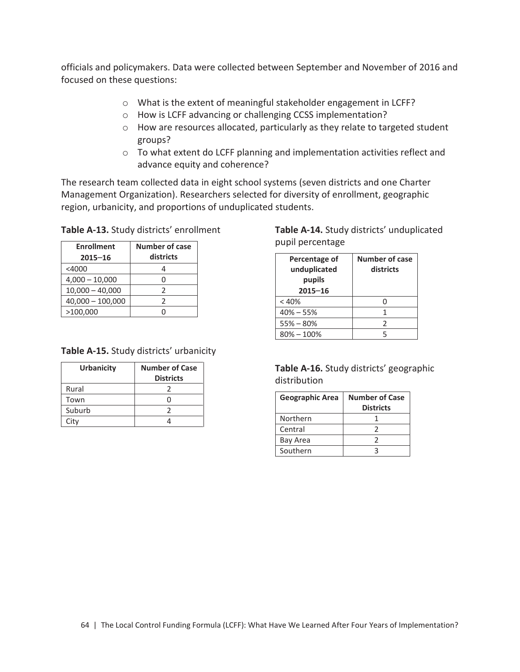officials and policymakers. Data were collected between September and November of 2016 and focused on these questions:

- o What is the extent of meaningful stakeholder engagement in LCFF?
- o How is LCFF advancing or challenging CCSS implementation?
- o How are resources allocated, particularly as they relate to targeted student groups?
- o To what extent do LCFF planning and implementation activities reflect and advance equity and coherence?

The research team collected data in eight school systems (seven districts and one Charter Management Organization). Researchers selected for diversity of enrollment, geographic region, urbanicity, and proportions of unduplicated students.

| Table A-13. Study districts' enrollment |  |  |  |
|-----------------------------------------|--|--|--|
|-----------------------------------------|--|--|--|

| <b>Enrollment</b><br>$2015 - 16$ | <b>Number of case</b><br>districts |  |
|----------------------------------|------------------------------------|--|
| $<$ 4000                         |                                    |  |
| $4,000 - 10,000$                 |                                    |  |
| $10,000 - 40,000$                | 2                                  |  |
| $40,000 - 100,000$               | 2                                  |  |
| >100,000                         |                                    |  |

| Table A-15. Study districts' urbanicity |  |  |  |
|-----------------------------------------|--|--|--|
|-----------------------------------------|--|--|--|

| <b>Urbanicity</b> | <b>Number of Case</b><br><b>Districts</b> |
|-------------------|-------------------------------------------|
| Rural             |                                           |
| Town              |                                           |
| Suburb            |                                           |
| City              |                                           |

## **Table A-14.** Study districts' unduplicated pupil percentage

| Percentage of<br>unduplicated<br>pupils<br>$2015 - 16$ | <b>Number of case</b><br>districts |
|--------------------------------------------------------|------------------------------------|
| < 40%                                                  |                                    |
| $40\% - 55\%$                                          |                                    |
| $55% - 80%$                                            | $\mathcal{P}$                      |
| $80\% - 100\%$                                         |                                    |

#### **Table A-16.** Study districts' geographic distribution

| <b>Geographic Area</b> | <b>Number of Case</b><br><b>Districts</b> |
|------------------------|-------------------------------------------|
| Northern               |                                           |
| Central                |                                           |
| Bay Area               |                                           |
| Southern               |                                           |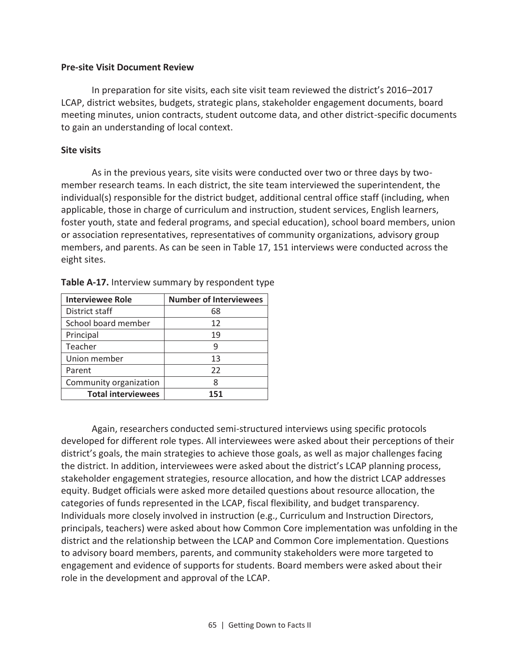#### **Pre-site Visit Document Review**

In preparation for site visits, each site visit team reviewed the district's 2016–2017 LCAP, district websites, budgets, strategic plans, stakeholder engagement documents, board meeting minutes, union contracts, student outcome data, and other district-specific documents to gain an understanding of local context.

#### **Site visits**

As in the previous years, site visits were conducted over two or three days by twomember research teams. In each district, the site team interviewed the superintendent, the individual(s) responsible for the district budget, additional central office staff (including, when applicable, those in charge of curriculum and instruction, student services, English learners, foster youth, state and federal programs, and special education), school board members, union or association representatives, representatives of community organizations, advisory group members, and parents. As can be seen in Table 17, 151 interviews were conducted across the eight sites.

| <b>Interviewee Role</b>   | <b>Number of Interviewees</b> |  |
|---------------------------|-------------------------------|--|
| District staff            | 68                            |  |
| School board member       | 12                            |  |
| Principal                 | 19                            |  |
| Teacher                   | 9                             |  |
| Union member              | 13                            |  |
| Parent                    | 22                            |  |
| Community organization    | 8                             |  |
| <b>Total interviewees</b> | 151                           |  |

| Table A-17. Interview summary by respondent type |  |  |
|--------------------------------------------------|--|--|
|--------------------------------------------------|--|--|

Again, researchers conducted semi-structured interviews using specific protocols developed for different role types. All interviewees were asked about their perceptions of their district's goals, the main strategies to achieve those goals, as well as major challenges facing the district. In addition, interviewees were asked about the district's LCAP planning process, stakeholder engagement strategies, resource allocation, and how the district LCAP addresses equity. Budget officials were asked more detailed questions about resource allocation, the categories of funds represented in the LCAP, fiscal flexibility, and budget transparency. Individuals more closely involved in instruction (e.g., Curriculum and Instruction Directors, principals, teachers) were asked about how Common Core implementation was unfolding in the district and the relationship between the LCAP and Common Core implementation. Questions to advisory board members, parents, and community stakeholders were more targeted to engagement and evidence of supports for students. Board members were asked about their role in the development and approval of the LCAP.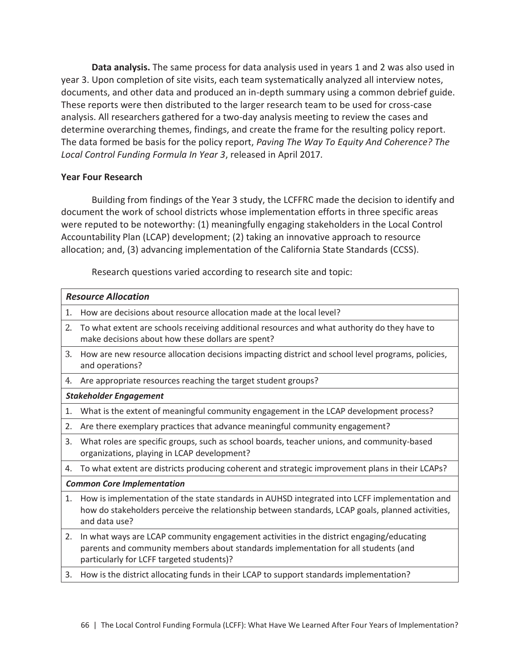**Data analysis.** The same process for data analysis used in years 1 and 2 was also used in year 3. Upon completion of site visits, each team systematically analyzed all interview notes, documents, and other data and produced an in-depth summary using a common debrief guide. These reports were then distributed to the larger research team to be used for cross-case analysis. All researchers gathered for a two-day analysis meeting to review the cases and determine overarching themes, findings, and create the frame for the resulting policy report. The data formed be basis for the policy report, *Paving The Way To Equity And Coherence? The Local Control Funding Formula In Year 3*, released in April 2017*.*

## **Year Four Research**

Building from findings of the Year 3 study, the LCFFRC made the decision to identify and document the work of school districts whose implementation efforts in three specific areas were reputed to be noteworthy: (1) meaningfully engaging stakeholders in the Local Control Accountability Plan (LCAP) development; (2) taking an innovative approach to resource allocation; and, (3) advancing implementation of the California State Standards (CCSS).

Research questions varied according to research site and topic:

|    | <b>Resource Allocation</b>                                                                                                                                                                                                  |
|----|-----------------------------------------------------------------------------------------------------------------------------------------------------------------------------------------------------------------------------|
| 1. | How are decisions about resource allocation made at the local level?                                                                                                                                                        |
| 2. | To what extent are schools receiving additional resources and what authority do they have to<br>make decisions about how these dollars are spent?                                                                           |
| 3. | How are new resource allocation decisions impacting district and school level programs, policies,<br>and operations?                                                                                                        |
| 4. | Are appropriate resources reaching the target student groups?                                                                                                                                                               |
|    | <b>Stakeholder Engagement</b>                                                                                                                                                                                               |
| 1. | What is the extent of meaningful community engagement in the LCAP development process?                                                                                                                                      |
| 2. | Are there exemplary practices that advance meaningful community engagement?                                                                                                                                                 |
| 3. | What roles are specific groups, such as school boards, teacher unions, and community-based<br>organizations, playing in LCAP development?                                                                                   |
| 4. | To what extent are districts producing coherent and strategic improvement plans in their LCAPs?                                                                                                                             |
|    | <b>Common Core Implementation</b>                                                                                                                                                                                           |
| 1. | How is implementation of the state standards in AUHSD integrated into LCFF implementation and<br>how do stakeholders perceive the relationship between standards, LCAP goals, planned activities,<br>and data use?          |
| 2. | In what ways are LCAP community engagement activities in the district engaging/educating<br>parents and community members about standards implementation for all students (and<br>particularly for LCFF targeted students)? |
| 3. | How is the district allocating funds in their LCAP to support standards implementation?                                                                                                                                     |
|    |                                                                                                                                                                                                                             |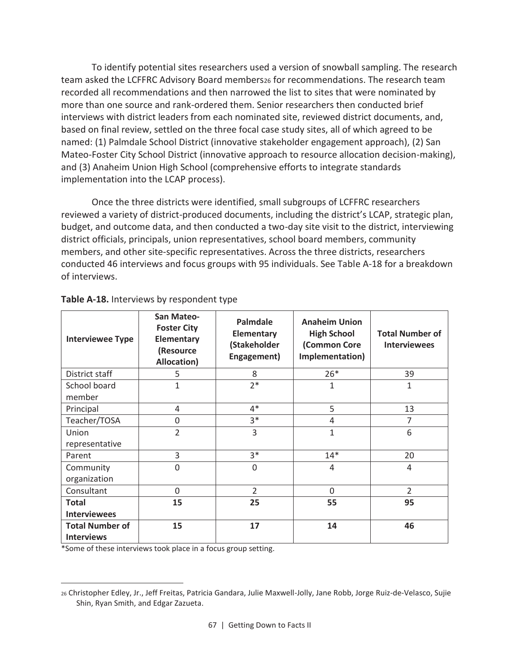To identify potential sites researchers used a version of snowball sampling. The research team asked the LCFFRC Advisory Board members26 for recommendations. The research team recorded all recommendations and then narrowed the list to sites that were nominated by more than one source and rank-ordered them. Senior researchers then conducted brief interviews with district leaders from each nominated site, reviewed district documents, and, based on final review, settled on the three focal case study sites, all of which agreed to be named: (1) Palmdale School District (innovative stakeholder engagement approach), (2) San Mateo-Foster City School District (innovative approach to resource allocation decision-making), and (3) Anaheim Union High School (comprehensive efforts to integrate standards implementation into the LCAP process).

Once the three districts were identified, small subgroups of LCFFRC researchers reviewed a variety of district-produced documents, including the district's LCAP, strategic plan, budget, and outcome data, and then conducted a two-day site visit to the district, interviewing district officials, principals, union representatives, school board members, community members, and other site-specific representatives. Across the three districts, researchers conducted 46 interviews and focus groups with 95 individuals. See Table A-18 for a breakdown of interviews.

| <b>Interviewee Type</b>                     | San Mateo-<br><b>Foster City</b><br><b>Elementary</b><br>(Resource<br>Allocation) | <b>Palmdale</b><br><b>Elementary</b><br>(Stakeholder<br>Engagement) | <b>Anaheim Union</b><br><b>High School</b><br>(Common Core<br>Implementation) | <b>Total Number of</b><br><b>Interviewees</b> |
|---------------------------------------------|-----------------------------------------------------------------------------------|---------------------------------------------------------------------|-------------------------------------------------------------------------------|-----------------------------------------------|
| District staff                              | 5                                                                                 | 8                                                                   | $26*$                                                                         | 39                                            |
| School board<br>member                      | $\mathbf{1}$                                                                      | $2*$                                                                | $\mathbf{1}$                                                                  | $\mathbf{1}$                                  |
| Principal                                   | 4                                                                                 | $4*$                                                                | 5                                                                             | 13                                            |
| Teacher/TOSA                                | $\mathbf 0$                                                                       | $3*$                                                                | $\overline{4}$                                                                | 7                                             |
| Union<br>representative                     | $\overline{2}$                                                                    | 3                                                                   | $\mathbf{1}$                                                                  | 6                                             |
| Parent                                      | 3                                                                                 | $3*$                                                                | $14*$                                                                         | 20                                            |
| Community<br>organization                   | $\mathbf{0}$                                                                      | $\Omega$                                                            | 4                                                                             | 4                                             |
| Consultant                                  | $\mathbf 0$                                                                       | $\overline{2}$                                                      | $\Omega$                                                                      | $\overline{2}$                                |
| <b>Total</b><br><b>Interviewees</b>         | 15                                                                                | 25                                                                  | 55                                                                            | 95                                            |
| <b>Total Number of</b><br><b>Interviews</b> | 15                                                                                | 17                                                                  | 14                                                                            | 46                                            |

#### **Table A-18.** Interviews by respondent type

\*Some of these interviews took place in a focus group setting.

 $\overline{\phantom{0}}$ 

<sup>26</sup> Christopher Edley, Jr., Jeff Freitas, Patricia Gandara, Julie Maxwell-Jolly, Jane Robb, Jorge Ruiz-de-Velasco, Sujie Shin, Ryan Smith, and Edgar Zazueta.